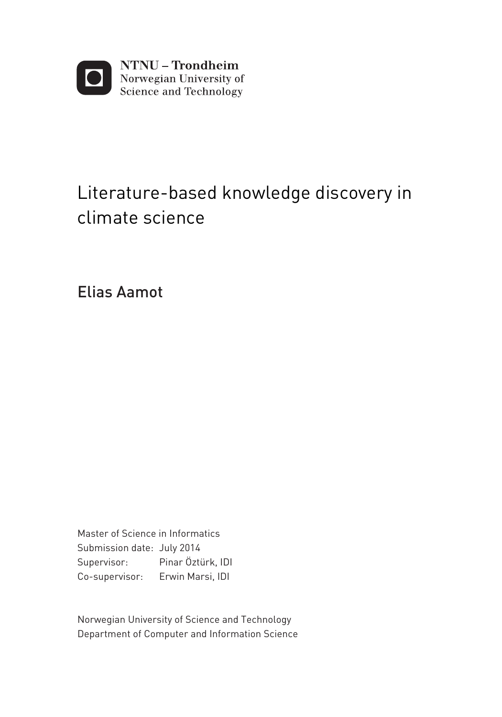

## Literature-based knowledge discovery in climate science

Elias Aamot

Master of Science in Informatics Supervisor: Pinar Öztürk, IDI Co-supervisor: Erwin Marsi, IDI Submission date: July 2014

Department of Computer and Information Science Norwegian University of Science and Technology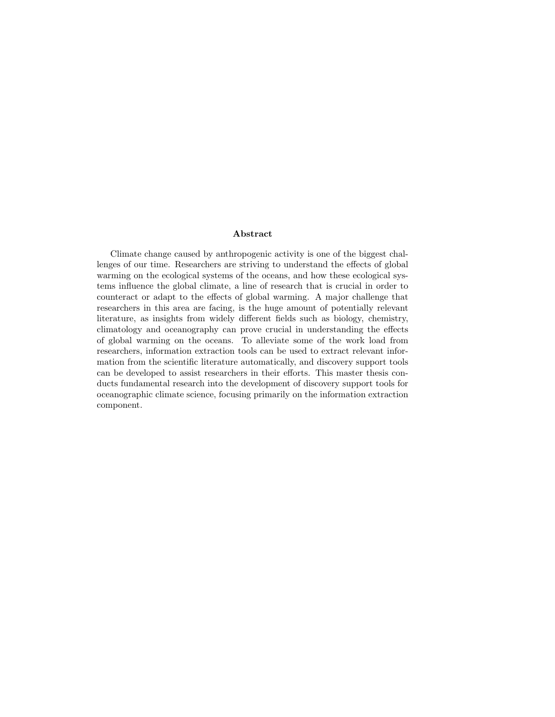#### Abstract

Climate change caused by anthropogenic activity is one of the biggest challenges of our time. Researchers are striving to understand the effects of global warming on the ecological systems of the oceans, and how these ecological systems influence the global climate, a line of research that is crucial in order to counteract or adapt to the effects of global warming. A major challenge that researchers in this area are facing, is the huge amount of potentially relevant literature, as insights from widely different fields such as biology, chemistry, climatology and oceanography can prove crucial in understanding the effects of global warming on the oceans. To alleviate some of the work load from researchers, information extraction tools can be used to extract relevant information from the scientific literature automatically, and discovery support tools can be developed to assist researchers in their efforts. This master thesis conducts fundamental research into the development of discovery support tools for oceanographic climate science, focusing primarily on the information extraction component.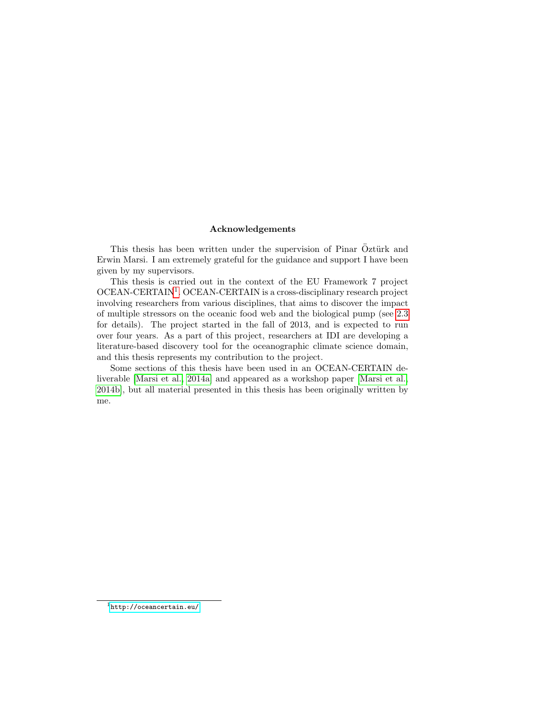#### Acknowledgements

This thesis has been written under the supervision of Pinar Öztürk and Erwin Marsi. I am extremely grateful for the guidance and support I have been given by my supervisors.

This thesis is carried out in the context of the EU Framework 7 project OCEAN-CERTAIN<sup>[1](#page-3-0)</sup>. OCEAN-CERTAIN is a cross-disciplinary research project involving researchers from various disciplines, that aims to discover the impact of multiple stressors on the oceanic food web and the biological pump (see [2.3](#page-29-0) for details). The project started in the fall of 2013, and is expected to run over four years. As a part of this project, researchers at IDI are developing a literature-based discovery tool for the oceanographic climate science domain, and this thesis represents my contribution to the project.

<span id="page-3-0"></span>Some sections of this thesis have been used in an OCEAN-CERTAIN deliverable [\[Marsi et al., 2014a\]](#page-93-0) and appeared as a workshop paper [\[Marsi et al.,](#page-94-0) [2014b\]](#page-94-0), but all material presented in this thesis has been originally written by me.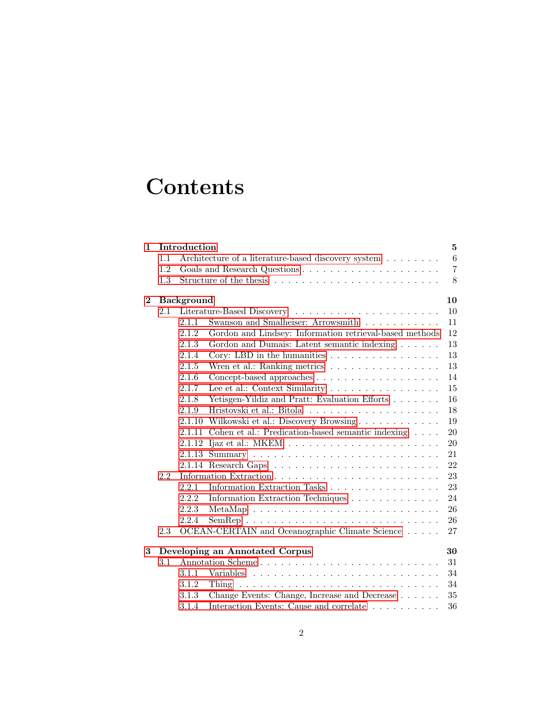# **Contents**

| $\mathbf{1}$ |     | Introduction      |                                                                                  | 5              |  |  |  |  |  |  |  |  |  |
|--------------|-----|-------------------|----------------------------------------------------------------------------------|----------------|--|--|--|--|--|--|--|--|--|
|              | 1.1 |                   | Architecture of a literature-based discovery system                              | $\,6\,$        |  |  |  |  |  |  |  |  |  |
|              | 1.2 |                   |                                                                                  | $\overline{7}$ |  |  |  |  |  |  |  |  |  |
|              | 1.3 |                   |                                                                                  | 8              |  |  |  |  |  |  |  |  |  |
| $\bf{2}$     |     | <b>Background</b> |                                                                                  | 10             |  |  |  |  |  |  |  |  |  |
|              | 2.1 |                   |                                                                                  | 10             |  |  |  |  |  |  |  |  |  |
|              |     | 2.1.1             | Swanson and Smalheiser: Arrowsmith                                               | 11             |  |  |  |  |  |  |  |  |  |
|              |     | 2.1.2             | Gordon and Lindsey: Information retrieval-based methods                          | 12             |  |  |  |  |  |  |  |  |  |
|              |     | 2.1.3             | Gordon and Dumais: Latent semantic indexing                                      | 13             |  |  |  |  |  |  |  |  |  |
|              |     | 2.1.4             | Cory: LBD in the humanities $\ldots \ldots \ldots \ldots \ldots$                 | 13             |  |  |  |  |  |  |  |  |  |
|              |     | 2.1.5             | Wren et al.: Ranking metrics                                                     | 13             |  |  |  |  |  |  |  |  |  |
|              |     | 2.1.6             | Concept-based approaches $\dots \dots \dots \dots \dots \dots \dots$             | 14             |  |  |  |  |  |  |  |  |  |
|              |     | 2.1.7             | Lee et al.: Context Similarity                                                   | 15             |  |  |  |  |  |  |  |  |  |
|              |     | 2.1.8             | Yetisgen-Yildiz and Pratt: Evaluation Efforts                                    | 16             |  |  |  |  |  |  |  |  |  |
|              |     | 2.1.9             |                                                                                  | 18             |  |  |  |  |  |  |  |  |  |
|              |     | 2.1.10            | Wilkowski et al.: Discovery Browsing                                             | 19             |  |  |  |  |  |  |  |  |  |
|              |     | 2.1.11            | Cohen et al.: Predication-based semantic indexing $\ldots$ .                     | 20             |  |  |  |  |  |  |  |  |  |
|              |     | 2.1.12            |                                                                                  | 20             |  |  |  |  |  |  |  |  |  |
|              |     | 2.1.13            |                                                                                  | 21             |  |  |  |  |  |  |  |  |  |
|              |     |                   |                                                                                  | 22             |  |  |  |  |  |  |  |  |  |
|              | 2.2 |                   |                                                                                  |                |  |  |  |  |  |  |  |  |  |
|              |     | 2.2.1             | Information Extraction Tasks                                                     | 23             |  |  |  |  |  |  |  |  |  |
|              |     | 2.2.2             | Information Extraction Techniques                                                | 24             |  |  |  |  |  |  |  |  |  |
|              |     | 2.2.3             |                                                                                  | 26             |  |  |  |  |  |  |  |  |  |
|              |     | 2.2.4             | $SemRep \dots \dots \dots \dots \dots \dots \dots \dots \dots \dots \dots \dots$ | 26             |  |  |  |  |  |  |  |  |  |
|              | 2.3 |                   | OCEAN-CERTAIN and Oceanographic Climate Science                                  | 27             |  |  |  |  |  |  |  |  |  |
| 3            |     |                   | Developing an Annotated Corpus                                                   | 30             |  |  |  |  |  |  |  |  |  |
|              | 3.1 |                   | Annotation Scheme                                                                | 31             |  |  |  |  |  |  |  |  |  |
|              |     | 3.1.1             |                                                                                  | 34             |  |  |  |  |  |  |  |  |  |
|              |     | 3.1.2             |                                                                                  | 34             |  |  |  |  |  |  |  |  |  |
|              |     | 3.1.3             | Change Events: Change, Increase and Decrease                                     | 35             |  |  |  |  |  |  |  |  |  |
|              |     | 3.1.4             | Interaction Events: Cause and correlate $\ldots \ldots \ldots$                   | 36             |  |  |  |  |  |  |  |  |  |
|              |     |                   |                                                                                  |                |  |  |  |  |  |  |  |  |  |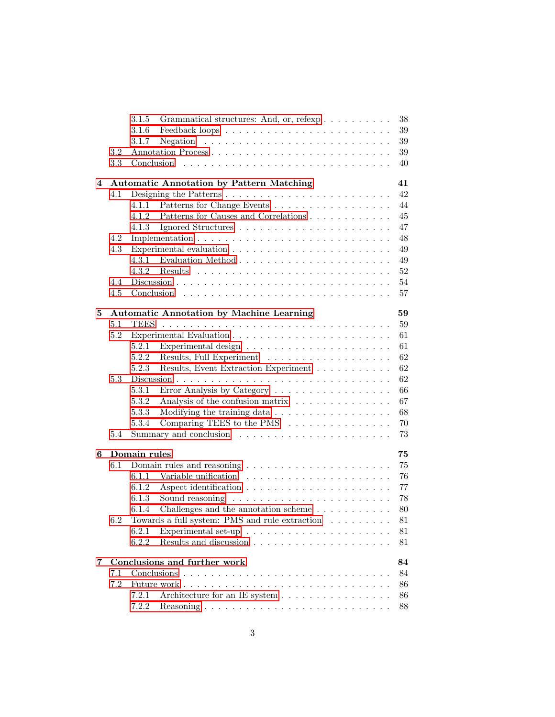|   |     | 3.1.5        | Grammatical structures: And, or, refexp                                       | 38     |
|---|-----|--------------|-------------------------------------------------------------------------------|--------|
|   |     | 3.1.6        |                                                                               | 39     |
|   |     | 3.1.7        |                                                                               | 39     |
|   | 3.2 |              | Annotation Process                                                            | $39\,$ |
|   | 3.3 | Conclusion   |                                                                               | 40     |
| 4 |     |              | <b>Automatic Annotation by Pattern Matching</b>                               | 41     |
|   | 4.1 |              |                                                                               | 42     |
|   |     | 4.1.1        | Patterns for Change Events                                                    | 44     |
|   |     | 4.1.2        |                                                                               | 45     |
|   |     | 4.1.3        |                                                                               | 47     |
|   | 4.2 |              |                                                                               | 48     |
|   | 4.3 |              |                                                                               | 49     |
|   |     | 4.3.1        |                                                                               | 49     |
|   |     | 4.3.2        |                                                                               | $52\,$ |
|   | 4.4 |              |                                                                               | 54     |
|   | 4.5 |              |                                                                               | 57     |
| 5 |     |              | <b>Automatic Annotation by Machine Learning</b>                               | 59     |
|   | 5.1 |              |                                                                               | 59     |
|   | 5.2 |              |                                                                               | 61     |
|   |     | 5.2.1        |                                                                               | 61     |
|   |     | 5.2.2        | Results, Full Experiment                                                      | 62     |
|   |     | 5.2.3        | Results, Event Extraction Experiment                                          | 62     |
|   | 5.3 |              |                                                                               | 62     |
|   |     | 5.3.1        | Error Analysis by Category                                                    | 66     |
|   |     | 5.3.2        | Analysis of the confusion matrix                                              | 67     |
|   |     | 5.3.3        | Modifying the training data                                                   | 68     |
|   |     | 5.3.4        | Comparing TEES to the PMS $\ldots \ldots \ldots \ldots \ldots$                | 70     |
|   | 5.4 |              |                                                                               | 73     |
| 6 |     | Domain rules |                                                                               | 75     |
|   | 6.1 |              | Domain rules and reasoning $\ldots \ldots \ldots \ldots \ldots \ldots \ldots$ | 75     |
|   |     | 6.1.1        |                                                                               | 76     |
|   |     | 6.1.2        |                                                                               | 77     |
|   |     | 6.1.3        | Sound reasoning $\ldots \ldots \ldots \ldots \ldots \ldots \ldots$            | 78     |
|   |     | 6.1.4        | Challenges and the annotation scheme $\dots \dots \dots$                      | 80     |
|   | 6.2 |              | Towards a full system: PMS and rule extraction                                | 81     |
|   |     | 6.2.1        | Experimental set-up $\dots \dots \dots \dots \dots \dots \dots \dots$         | 81     |
|   |     | 6.2.2        |                                                                               | 81     |
| 7 |     |              | Conclusions and further work                                                  | 84     |
|   | 7.1 |              |                                                                               | 84     |
|   | 7.2 |              |                                                                               | 86     |
|   |     | 7.2.1        | Architecture for an IE system                                                 | 86     |
|   |     | 7.2.2        |                                                                               | 88     |
|   |     |              |                                                                               |        |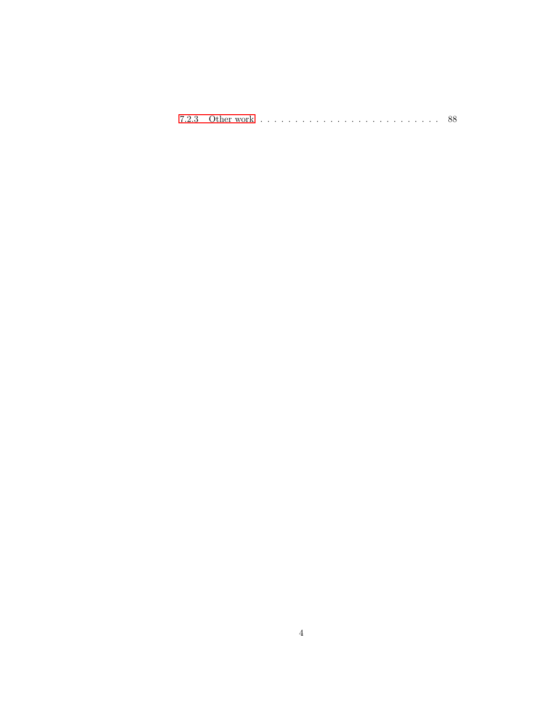|--|--|--|--|--|--|--|--|--|--|--|--|--|--|--|--|--|--|--|--|--|--|--|--|--|--|--|--|--|--|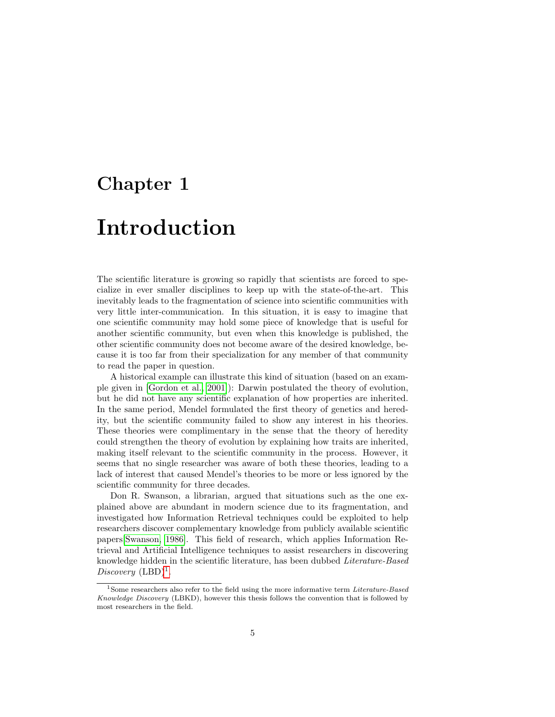## <span id="page-7-0"></span>Chapter 1

## Introduction

The scientific literature is growing so rapidly that scientists are forced to specialize in ever smaller disciplines to keep up with the state-of-the-art. This inevitably leads to the fragmentation of science into scientific communities with very little inter-communication. In this situation, it is easy to imagine that one scientific community may hold some piece of knowledge that is useful for another scientific community, but even when this knowledge is published, the other scientific community does not become aware of the desired knowledge, because it is too far from their specialization for any member of that community to read the paper in question.

A historical example can illustrate this kind of situation (based on an example given in [\[Gordon et al., 2001\]](#page-92-0)): Darwin postulated the theory of evolution, but he did not have any scientific explanation of how properties are inherited. In the same period, Mendel formulated the first theory of genetics and heredity, but the scientific community failed to show any interest in his theories. These theories were complimentary in the sense that the theory of heredity could strengthen the theory of evolution by explaining how traits are inherited, making itself relevant to the scientific community in the process. However, it seems that no single researcher was aware of both these theories, leading to a lack of interest that caused Mendel's theories to be more or less ignored by the scientific community for three decades.

Don R. Swanson, a librarian, argued that situations such as the one explained above are abundant in modern science due to its fragmentation, and investigated how Information Retrieval techniques could be exploited to help researchers discover complementary knowledge from publicly available scientific papers[\[Swanson, 1986\]](#page-94-1). This field of research, which applies Information Retrieval and Artificial Intelligence techniques to assist researchers in discovering knowledge hidden in the scientific literature, has been dubbed Literature-Based  $Discovery (LBD)^1$  $Discovery (LBD)^1$ .

<span id="page-7-1"></span><sup>&</sup>lt;sup>1</sup>Some researchers also refer to the field using the more informative term *Literature-Based* Knowledge Discovery (LBKD), however this thesis follows the convention that is followed by most researchers in the field.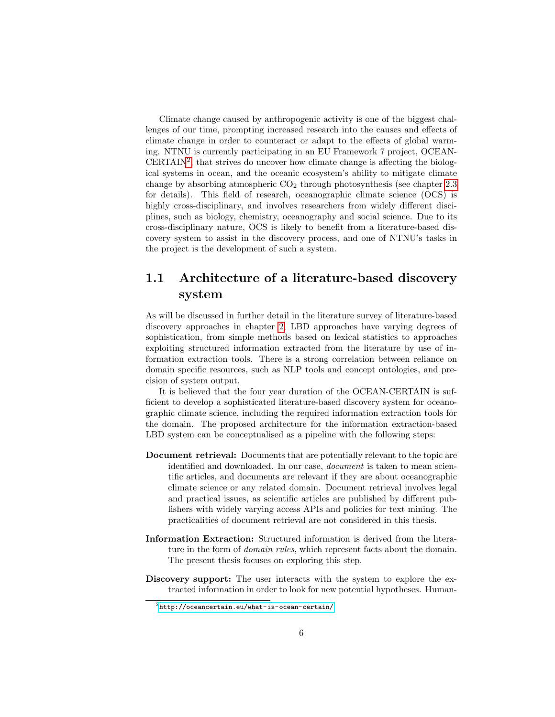Climate change caused by anthropogenic activity is one of the biggest challenges of our time, prompting increased research into the causes and effects of climate change in order to counteract or adapt to the effects of global warming. NTNU is currently participating in an EU Framework 7 project, OCEAN-CERTAIN<sup>[2](#page-8-1)</sup>, that strives do uncover how climate change is affecting the biological systems in ocean, and the oceanic ecosystem's ability to mitigate climate change by absorbing atmospheric  $CO<sub>2</sub>$  through photosynthesis (see chapter [2.3](#page-29-0)) for details). This field of research, oceanographic climate science (OCS) is highly cross-disciplinary, and involves researchers from widely different disciplines, such as biology, chemistry, oceanography and social science. Due to its cross-disciplinary nature, OCS is likely to benefit from a literature-based discovery system to assist in the discovery process, and one of NTNU's tasks in the project is the development of such a system.

### <span id="page-8-0"></span>1.1 Architecture of a literature-based discovery system

As will be discussed in further detail in the literature survey of literature-based discovery approaches in chapter [2,](#page-12-0) LBD approaches have varying degrees of sophistication, from simple methods based on lexical statistics to approaches exploiting structured information extracted from the literature by use of information extraction tools. There is a strong correlation between reliance on domain specific resources, such as NLP tools and concept ontologies, and precision of system output.

It is believed that the four year duration of the OCEAN-CERTAIN is sufficient to develop a sophisticated literature-based discovery system for oceanographic climate science, including the required information extraction tools for the domain. The proposed architecture for the information extraction-based LBD system can be conceptualised as a pipeline with the following steps:

- Document retrieval: Documents that are potentially relevant to the topic are identified and downloaded. In our case, *document* is taken to mean scientific articles, and documents are relevant if they are about oceanographic climate science or any related domain. Document retrieval involves legal and practical issues, as scientific articles are published by different publishers with widely varying access APIs and policies for text mining. The practicalities of document retrieval are not considered in this thesis.
- Information Extraction: Structured information is derived from the literature in the form of *domain rules*, which represent facts about the domain. The present thesis focuses on exploring this step.
- Discovery support: The user interacts with the system to explore the extracted information in order to look for new potential hypotheses. Human-

<span id="page-8-1"></span> $^2$ <http://oceancertain.eu/what-is-ocean-certain/>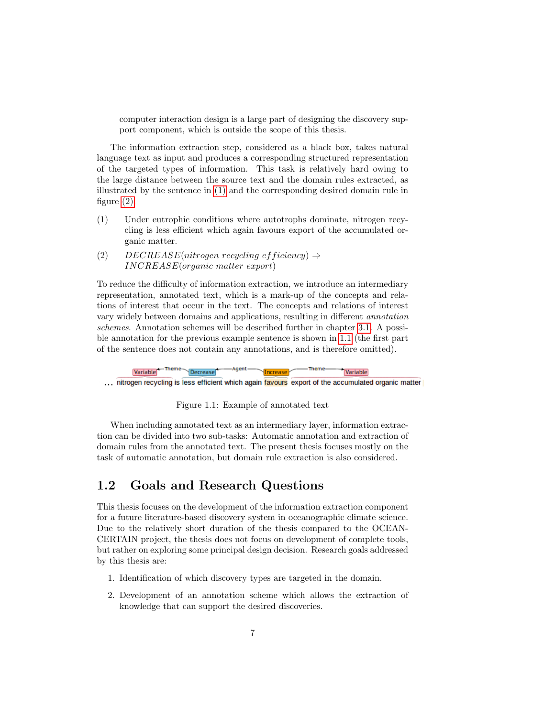computer interaction design is a large part of designing the discovery support component, which is outside the scope of this thesis.

The information extraction step, considered as a black box, takes natural language text as input and produces a corresponding structured representation of the targeted types of information. This task is relatively hard owing to the large distance between the source text and the domain rules extracted, as illustrated by the sentence in [\(1\)](#page-9-1) and the corresponding desired domain rule in figure  $(2)$ .

- <span id="page-9-1"></span>(1) Under eutrophic conditions where autotrophs dominate, nitrogen recycling is less efficient which again favours export of the accumulated organic matter.
- <span id="page-9-2"></span>(2) DECREASE(nitrogen recycling efficiency)  $\Rightarrow$ INCREASE(organic matter export)

To reduce the difficulty of information extraction, we introduce an intermediary representation, annotated text, which is a mark-up of the concepts and relations of interest that occur in the text. The concepts and relations of interest vary widely between domains and applications, resulting in different annotation schemes. Annotation schemes will be described further in chapter [3.1.](#page-33-0) A possible annotation for the previous example sentence is shown in [1.1](#page-9-3) (the first part of the sentence does not contain any annotations, and is therefore omitted).



<span id="page-9-3"></span>Figure 1.1: Example of annotated text

When including annotated text as an intermediary layer, information extraction can be divided into two sub-tasks: Automatic annotation and extraction of domain rules from the annotated text. The present thesis focuses mostly on the task of automatic annotation, but domain rule extraction is also considered.

### <span id="page-9-0"></span>1.2 Goals and Research Questions

This thesis focuses on the development of the information extraction component for a future literature-based discovery system in oceanographic climate science. Due to the relatively short duration of the thesis compared to the OCEAN-CERTAIN project, the thesis does not focus on development of complete tools, but rather on exploring some principal design decision. Research goals addressed by this thesis are:

- 1. Identification of which discovery types are targeted in the domain.
- 2. Development of an annotation scheme which allows the extraction of knowledge that can support the desired discoveries.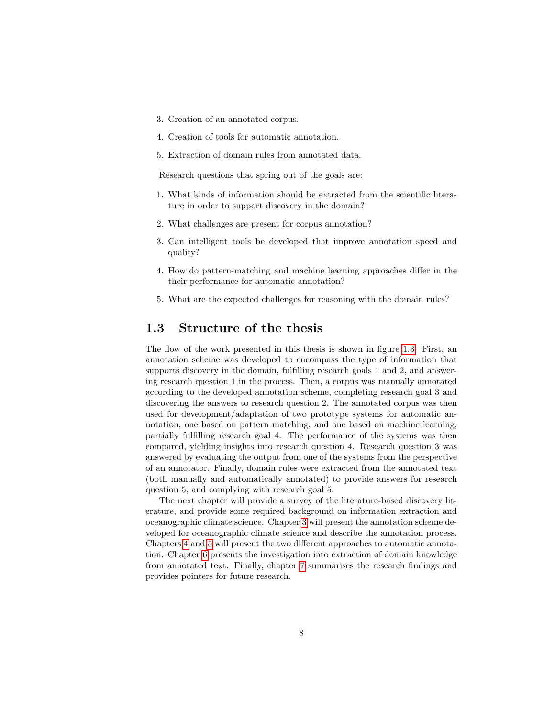- 3. Creation of an annotated corpus.
- 4. Creation of tools for automatic annotation.
- 5. Extraction of domain rules from annotated data.

Research questions that spring out of the goals are:

- 1. What kinds of information should be extracted from the scientific literature in order to support discovery in the domain?
- 2. What challenges are present for corpus annotation?
- 3. Can intelligent tools be developed that improve annotation speed and quality?
- 4. How do pattern-matching and machine learning approaches differ in the their performance for automatic annotation?
- 5. What are the expected challenges for reasoning with the domain rules?

#### <span id="page-10-0"></span>1.3 Structure of the thesis

The flow of the work presented in this thesis is shown in figure [1.3.](#page-10-0) First, an annotation scheme was developed to encompass the type of information that supports discovery in the domain, fulfilling research goals 1 and 2, and answering research question 1 in the process. Then, a corpus was manually annotated according to the developed annotation scheme, completing research goal 3 and discovering the answers to research question 2. The annotated corpus was then used for development/adaptation of two prototype systems for automatic annotation, one based on pattern matching, and one based on machine learning, partially fulfilling research goal 4. The performance of the systems was then compared, yielding insights into research question 4. Research question 3 was answered by evaluating the output from one of the systems from the perspective of an annotator. Finally, domain rules were extracted from the annotated text (both manually and automatically annotated) to provide answers for research question 5, and complying with research goal 5.

The next chapter will provide a survey of the literature-based discovery literature, and provide some required background on information extraction and oceanographic climate science. Chapter [3](#page-32-0) will present the annotation scheme developed for oceanographic climate science and describe the annotation process. Chapters [4](#page-43-0) and [5](#page-61-0) will present the two different approaches to automatic annotation. Chapter [6](#page-77-0) presents the investigation into extraction of domain knowledge from annotated text. Finally, chapter [7](#page-86-0) summarises the research findings and provides pointers for future research.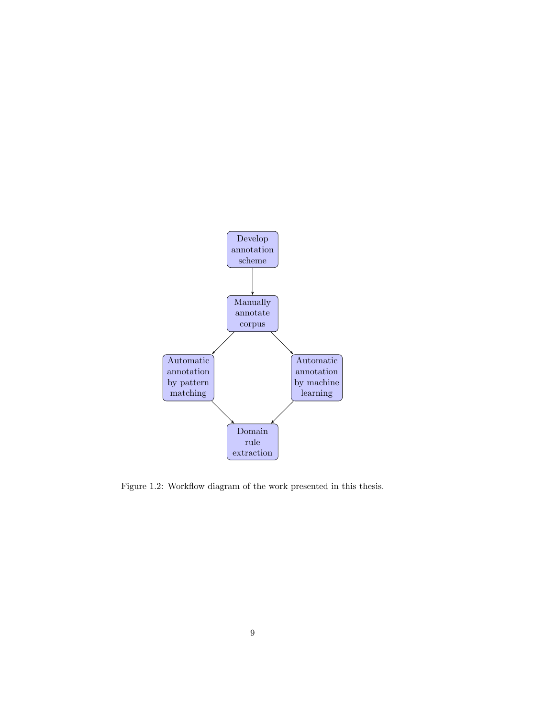

Figure 1.2: Workflow diagram of the work presented in this thesis.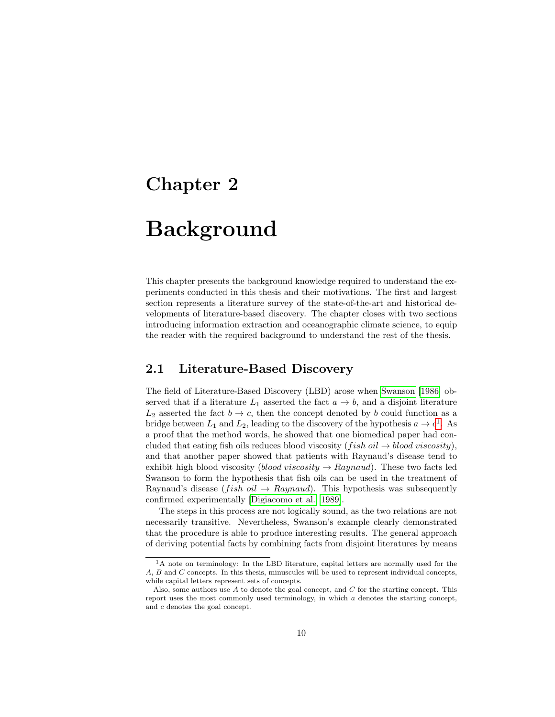## <span id="page-12-0"></span>Chapter 2

## Background

This chapter presents the background knowledge required to understand the experiments conducted in this thesis and their motivations. The first and largest section represents a literature survey of the state-of-the-art and historical developments of literature-based discovery. The chapter closes with two sections introducing information extraction and oceanographic climate science, to equip the reader with the required background to understand the rest of the thesis.

#### <span id="page-12-1"></span>2.1 Literature-Based Discovery

The field of Literature-Based Discovery (LBD) arose when [Swanson](#page-94-1) [\[1986\]](#page-94-1) observed that if a literature  $L_1$  asserted the fact  $a \to b$ , and a disjoint literature  $L_2$  asserted the fact  $b \to c$ , then the concept denoted by b could function as a bridge between  $L_1$  $L_1$  and  $L_2$ , leading to the discovery of the hypothesis  $a \to c^1$ . As a proof that the method words, he showed that one biomedical paper had concluded that eating fish oils reduces blood viscosity (fish oil  $\rightarrow$  blood viscosity), and that another paper showed that patients with Raynaud's disease tend to exhibit high blood viscosity (blood viscosity  $\rightarrow$  Raynaud). These two facts led Swanson to form the hypothesis that fish oils can be used in the treatment of Raynaud's disease (*fish oil*  $\rightarrow$  *Raynaud*). This hypothesis was subsequently confirmed experimentally [\[Digiacomo et al., 1989\]](#page-92-1).

The steps in this process are not logically sound, as the two relations are not necessarily transitive. Nevertheless, Swanson's example clearly demonstrated that the procedure is able to produce interesting results. The general approach of deriving potential facts by combining facts from disjoint literatures by means

<span id="page-12-2"></span><sup>&</sup>lt;sup>1</sup>A note on terminology: In the LBD literature, capital letters are normally used for the A, B and C concepts. In this thesis, minuscules will be used to represent individual concepts, while capital letters represent sets of concepts.

Also, some authors use  $A$  to denote the goal concept, and  $C$  for the starting concept. This report uses the most commonly used terminology, in which a denotes the starting concept, and c denotes the goal concept.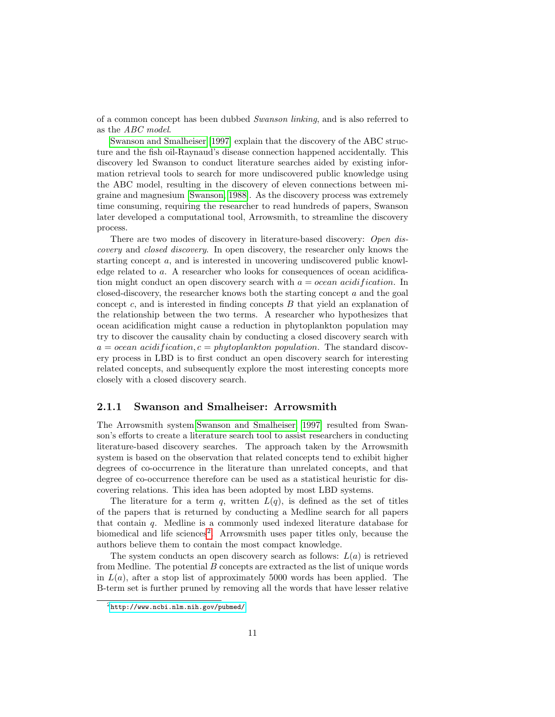of a common concept has been dubbed Swanson linking, and is also referred to as the ABC model.

[Swanson and Smalheiser](#page-95-0) [\[1997\]](#page-95-0) explain that the discovery of the ABC structure and the fish oil-Raynaud's disease connection happened accidentally. This discovery led Swanson to conduct literature searches aided by existing information retrieval tools to search for more undiscovered public knowledge using the ABC model, resulting in the discovery of eleven connections between migraine and magnesium [\[Swanson, 1988\]](#page-94-2). As the discovery process was extremely time consuming, requiring the researcher to read hundreds of papers, Swanson later developed a computational tool, Arrowsmith, to streamline the discovery process.

There are two modes of discovery in literature-based discovery: Open discovery and closed discovery. In open discovery, the researcher only knows the starting concept a, and is interested in uncovering undiscovered public knowledge related to a. A researcher who looks for consequences of ocean acidification might conduct an open discovery search with  $a = ocean\ acidification$ . In closed-discovery, the researcher knows both the starting concept a and the goal concept  $c$ , and is interested in finding concepts  $B$  that yield an explanation of the relationship between the two terms. A researcher who hypothesizes that ocean acidification might cause a reduction in phytoplankton population may try to discover the causality chain by conducting a closed discovery search with  $a = ocean\ acidification, c = phytoplankton\ population.$  The standard discovery process in LBD is to first conduct an open discovery search for interesting related concepts, and subsequently explore the most interesting concepts more closely with a closed discovery search.

#### <span id="page-13-0"></span>2.1.1 Swanson and Smalheiser: Arrowsmith

The Arrowsmith system[\[Swanson and Smalheiser, 1997\]](#page-95-0) resulted from Swanson's efforts to create a literature search tool to assist researchers in conducting literature-based discovery searches. The approach taken by the Arrowsmith system is based on the observation that related concepts tend to exhibit higher degrees of co-occurrence in the literature than unrelated concepts, and that degree of co-occurrence therefore can be used as a statistical heuristic for discovering relations. This idea has been adopted by most LBD systems.

The literature for a term q, written  $L(q)$ , is defined as the set of titles of the papers that is returned by conducting a Medline search for all papers that contain q. Medline is a commonly used indexed literature database for biomedical and life sciences<sup>[2](#page-13-1)</sup>. Arrowsmith uses paper titles only, because the authors believe them to contain the most compact knowledge.

The system conducts an open discovery search as follows:  $L(a)$  is retrieved from Medline. The potential  $B$  concepts are extracted as the list of unique words in  $L(a)$ , after a stop list of approximately 5000 words has been applied. The B-term set is further pruned by removing all the words that have lesser relative

<span id="page-13-1"></span><sup>2</sup><http://www.ncbi.nlm.nih.gov/pubmed/>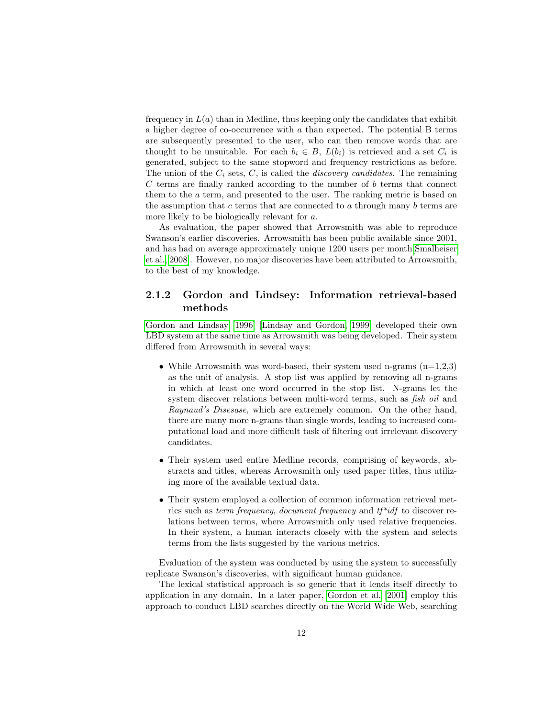frequency in  $L(a)$  than in Medline, thus keeping only the candidates that exhibit a higher degree of co-occurrence with a than expected. The potential B terms are subsequently presented to the user, who can then remove words that are thought to be unsuitable. For each  $b_i \in B$ ,  $L(b_i)$  is retrieved and a set  $C_i$  is generated, subject to the same stopword and frequency restrictions as before. The union of the  $C_i$  sets,  $C$ , is called the *discovery candidates*. The remaining  $C$  terms are finally ranked according to the number of  $b$  terms that connect them to the a term, and presented to the user. The ranking metric is based on the assumption that c terms that are connected to a through many  $b$  terms are more likely to be biologically relevant for a.

As evaluation, the paper showed that Arrowsmith was able to reproduce Swanson's earlier discoveries. Arrowsmith has been public available since 2001, and has had on average approximately unique 1200 users per month[\[Smalheiser](#page-94-3) [et al., 2008\]](#page-94-3). However, no major discoveries have been attributed to Arrowsmith, to the best of my knowledge.

#### <span id="page-14-0"></span>2.1.2 Gordon and Lindsey: Information retrieval-based methods

[Gordon and Lindsay](#page-92-2) [\[1996\]](#page-92-2) [\[Lindsay and Gordon, 1999\]](#page-93-1) developed their own LBD system at the same time as Arrowsmith was being developed. Their system differed from Arrowsmith in several ways:

- While Arrowsmith was word-based, their system used n-grams  $(n=1,2,3)$ as the unit of analysis. A stop list was applied by removing all n-grams in which at least one word occurred in the stop list. N-grams let the system discover relations between multi-word terms, such as *fish oil* and Raynaud's Disesase, which are extremely common. On the other hand, there are many more n-grams than single words, leading to increased computational load and more difficult task of filtering out irrelevant discovery candidates.
- Their system used entire Medline records, comprising of keywords, abstracts and titles, whereas Arrowsmith only used paper titles, thus utilizing more of the available textual data.
- Their system employed a collection of common information retrieval metrics such as *term frequency, document frequency* and  $tf^*idf$  to discover relations between terms, where Arrowsmith only used relative frequencies. In their system, a human interacts closely with the system and selects terms from the lists suggested by the various metrics.

Evaluation of the system was conducted by using the system to successfully replicate Swanson's discoveries, with significant human guidance.

The lexical statistical approach is so generic that it lends itself directly to application in any domain. In a later paper, [Gordon et al.](#page-92-0) [\[2001\]](#page-92-0) employ this approach to conduct LBD searches directly on the World Wide Web, searching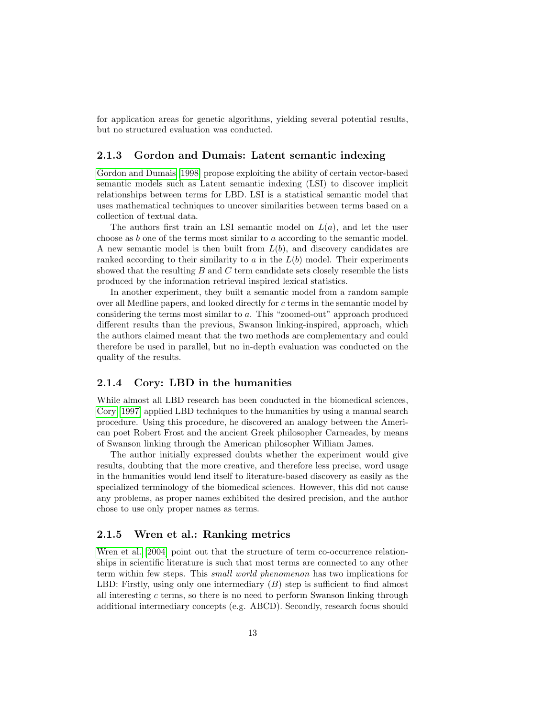for application areas for genetic algorithms, yielding several potential results, but no structured evaluation was conducted.

#### <span id="page-15-0"></span>2.1.3 Gordon and Dumais: Latent semantic indexing

[Gordon and Dumais](#page-92-3) [\[1998\]](#page-92-3) propose exploiting the ability of certain vector-based semantic models such as Latent semantic indexing (LSI) to discover implicit relationships between terms for LBD. LSI is a statistical semantic model that uses mathematical techniques to uncover similarities between terms based on a collection of textual data.

The authors first train an LSI semantic model on  $L(a)$ , and let the user choose as b one of the terms most similar to a according to the semantic model. A new semantic model is then built from  $L(b)$ , and discovery candidates are ranked according to their similarity to a in the  $L(b)$  model. Their experiments showed that the resulting  $B$  and  $C$  term candidate sets closely resemble the lists produced by the information retrieval inspired lexical statistics.

In another experiment, they built a semantic model from a random sample over all Medline papers, and looked directly for c terms in the semantic model by considering the terms most similar to a. This "zoomed-out" approach produced different results than the previous, Swanson linking-inspired, approach, which the authors claimed meant that the two methods are complementary and could therefore be used in parallel, but no in-depth evaluation was conducted on the quality of the results.

#### <span id="page-15-1"></span>2.1.4 Cory: LBD in the humanities

While almost all LBD research has been conducted in the biomedical sciences, [Cory](#page-92-4) [\[1997\]](#page-92-4) applied LBD techniques to the humanities by using a manual search procedure. Using this procedure, he discovered an analogy between the American poet Robert Frost and the ancient Greek philosopher Carneades, by means of Swanson linking through the American philosopher William James.

The author initially expressed doubts whether the experiment would give results, doubting that the more creative, and therefore less precise, word usage in the humanities would lend itself to literature-based discovery as easily as the specialized terminology of the biomedical sciences. However, this did not cause any problems, as proper names exhibited the desired precision, and the author chose to use only proper names as terms.

#### <span id="page-15-2"></span>2.1.5 Wren et al.: Ranking metrics

[Wren et al.](#page-95-1) [\[2004\]](#page-95-1) point out that the structure of term co-occurrence relationships in scientific literature is such that most terms are connected to any other term within few steps. This small world phenomenon has two implications for LBD: Firstly, using only one intermediary  $(B)$  step is sufficient to find almost all interesting c terms, so there is no need to perform Swanson linking through additional intermediary concepts (e.g. ABCD). Secondly, research focus should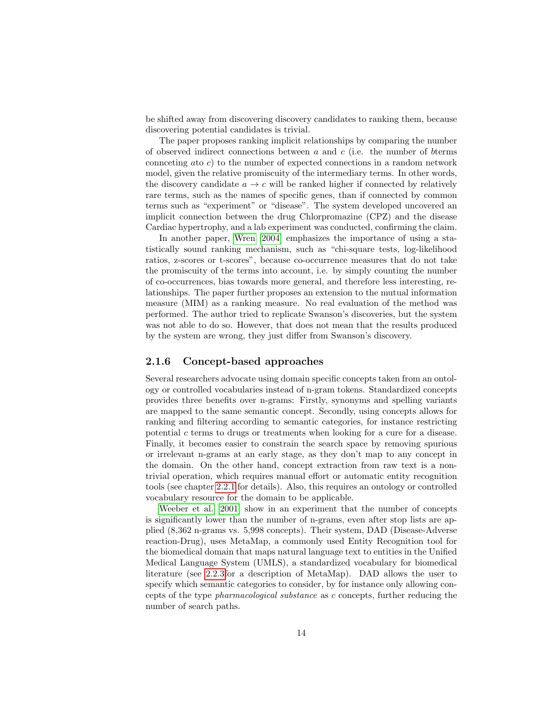be shifted away from discovering discovery candidates to ranking them, because discovering potential candidates is trivial.

The paper proposes ranking implicit relationships by comparing the number of observed indirect connections between  $a$  and  $c$  (i.e. the number of bterms connceting ato c) to the number of expected connections in a random network model, given the relative promiscuity of the intermediary terms. In other words, the discovery candidate  $a \to c$  will be ranked higher if connected by relatively rare terms, such as the names of specific genes, than if connected by common terms such as "experiment" or "disease". The system developed uncovered an implicit connection between the drug Chlorpromazine (CPZ) and the disease Cardiac hypertrophy, and a lab experiment was conducted, confirming the claim.

In another paper, [Wren](#page-95-2) [\[2004\]](#page-95-2) emphasizes the importance of using a statistically sound ranking mechanism, such as "chi-square tests, log-likelihood ratios, z-scores or t-scores", because co-occurrence measures that do not take the promiscuity of the terms into account, i.e. by simply counting the number of co-occurrences, bias towards more general, and therefore less interesting, relationships. The paper further proposes an extension to the mutual information measure (MIM) as a ranking measure. No real evaluation of the method was performed. The author tried to replicate Swanson's discoveries, but the system was not able to do so. However, that does not mean that the results produced by the system are wrong, they just differ from Swanson's discovery.

#### <span id="page-16-0"></span>2.1.6 Concept-based approaches

Several researchers advocate using domain specific concepts taken from an ontology or controlled vocabularies instead of n-gram tokens. Standardized concepts provides three benefits over n-grams: Firstly, synonyms and spelling variants are mapped to the same semantic concept. Secondly, using concepts allows for ranking and filtering according to semantic categories, for instance restricting potential c terms to drugs or treatments when looking for a cure for a disease. Finally, it becomes easier to constrain the search space by removing spurious or irrelevant n-grams at an early stage, as they don't map to any concept in the domain. On the other hand, concept extraction from raw text is a nontrivial operation, which requires manual effort or automatic entity recognition tools (see chapter [2.2.1](#page-25-1) for details). Also, this requires an ontology or controlled vocabulary resource for the domain to be applicable.

[Weeber et al.](#page-95-3) [\[2001\]](#page-95-3) show in an experiment that the number of concepts is significantly lower than the number of n-grams, even after stop lists are applied (8,362 n-grams vs. 5,998 concepts). Their system, DAD (Disease-Adverse reaction-Drug), uses MetaMap, a commonly used Entity Recognition tool for the biomedical domain that maps natural language text to entities in the Unified Medical Language System (UMLS), a standardized vocabulary for biomedical literature (see [2.2.3f](#page-28-0)or a description of MetaMap). DAD allows the user to specify which semantic categories to consider, by for instance only allowing concepts of the type pharmacological substance as c concepts, further reducing the number of search paths.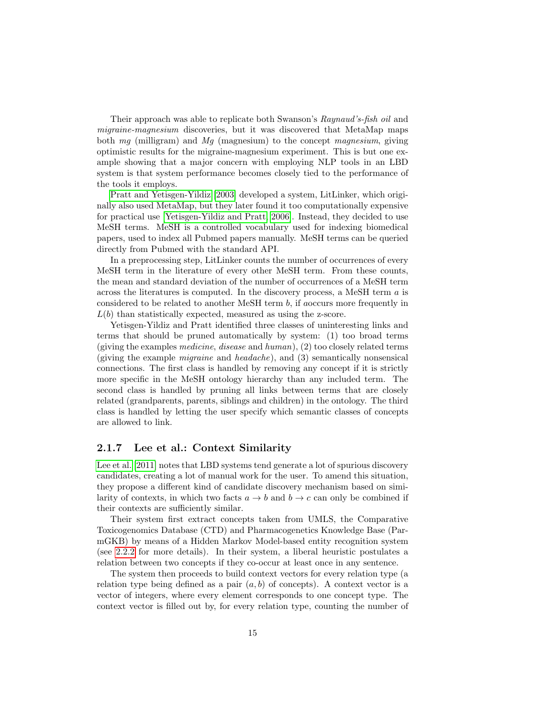Their approach was able to replicate both Swanson's Raynaud's-fish oil and migraine-magnesium discoveries, but it was discovered that MetaMap maps both  $mq$  (milligram) and  $Mq$  (magnesium) to the concept magnesium, giving optimistic results for the migraine-magnesium experiment. This is but one example showing that a major concern with employing NLP tools in an LBD system is that system performance becomes closely tied to the performance of the tools it employs.

[Pratt and Yetisgen-Yildiz](#page-94-4) [\[2003\]](#page-94-4) developed a system, LitLinker, which originally also used MetaMap, but they later found it too computationally expensive for practical use [\[Yetisgen-Yildiz and Pratt, 2006\]](#page-95-4). Instead, they decided to use MeSH terms. MeSH is a controlled vocabulary used for indexing biomedical papers, used to index all Pubmed papers manually. MeSH terms can be queried directly from Pubmed with the standard API.

In a preprocessing step, LitLinker counts the number of occurrences of every MeSH term in the literature of every other MeSH term. From these counts, the mean and standard deviation of the number of occurrences of a MeSH term across the literatures is computed. In the discovery process, a MeSH term a is considered to be related to another MeSH term b, if aoccurs more frequently in  $L(b)$  than statistically expected, measured as using the z-score.

Yetisgen-Yildiz and Pratt identified three classes of uninteresting links and terms that should be pruned automatically by system: (1) too broad terms (giving the examples medicine, disease and human), (2) too closely related terms (giving the example migraine and headache), and (3) semantically nonsensical connections. The first class is handled by removing any concept if it is strictly more specific in the MeSH ontology hierarchy than any included term. The second class is handled by pruning all links between terms that are closely related (grandparents, parents, siblings and children) in the ontology. The third class is handled by letting the user specify which semantic classes of concepts are allowed to link.

#### <span id="page-17-0"></span>2.1.7 Lee et al.: Context Similarity

[Lee et al.](#page-93-2) [\[2011\]](#page-93-2) notes that LBD systems tend generate a lot of spurious discovery candidates, creating a lot of manual work for the user. To amend this situation, they propose a different kind of candidate discovery mechanism based on similarity of contexts, in which two facts  $a \to b$  and  $b \to c$  can only be combined if their contexts are sufficiently similar.

Their system first extract concepts taken from UMLS, the Comparative Toxicogenomics Database (CTD) and Pharmacogenetics Knowledge Base (ParmGKB) by means of a Hidden Markov Model-based entity recognition system (see [2.2.2](#page-26-0) for more details). In their system, a liberal heuristic postulates a relation between two concepts if they co-occur at least once in any sentence.

The system then proceeds to build context vectors for every relation type (a relation type being defined as a pair  $(a, b)$  of concepts). A context vector is a vector of integers, where every element corresponds to one concept type. The context vector is filled out by, for every relation type, counting the number of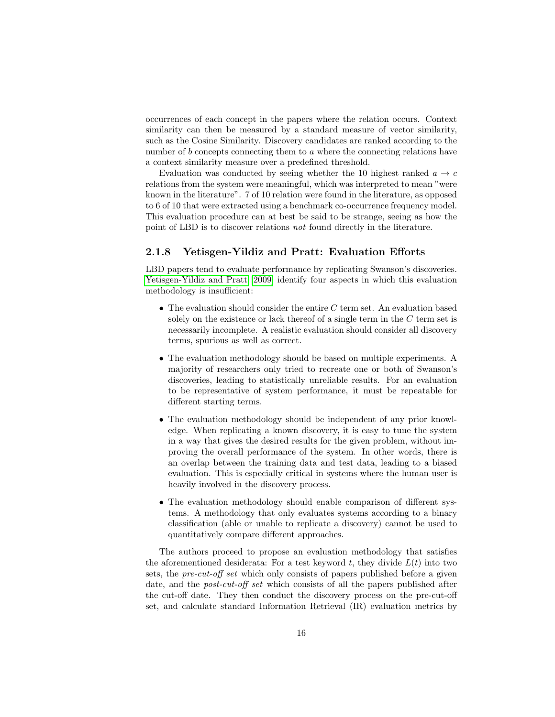occurrences of each concept in the papers where the relation occurs. Context similarity can then be measured by a standard measure of vector similarity, such as the Cosine Similarity. Discovery candidates are ranked according to the number of b concepts connecting them to a where the connecting relations have a context similarity measure over a predefined threshold.

Evaluation was conducted by seeing whether the 10 highest ranked  $a \rightarrow c$ relations from the system were meaningful, which was interpreted to mean "were known in the literature". 7 of 10 relation were found in the literature, as opposed to 6 of 10 that were extracted using a benchmark co-occurrence frequency model. This evaluation procedure can at best be said to be strange, seeing as how the point of LBD is to discover relations not found directly in the literature.

#### <span id="page-18-0"></span>2.1.8 Yetisgen-Yildiz and Pratt: Evaluation Efforts

LBD papers tend to evaluate performance by replicating Swanson's discoveries. [Yetisgen-Yildiz and Pratt](#page-95-5) [\[2009\]](#page-95-5) identify four aspects in which this evaluation methodology is insufficient:

- The evaluation should consider the entire  $C$  term set. An evaluation based solely on the existence or lack thereof of a single term in the  $C$  term set is necessarily incomplete. A realistic evaluation should consider all discovery terms, spurious as well as correct.
- The evaluation methodology should be based on multiple experiments. A majority of researchers only tried to recreate one or both of Swanson's discoveries, leading to statistically unreliable results. For an evaluation to be representative of system performance, it must be repeatable for different starting terms.
- The evaluation methodology should be independent of any prior knowledge. When replicating a known discovery, it is easy to tune the system in a way that gives the desired results for the given problem, without improving the overall performance of the system. In other words, there is an overlap between the training data and test data, leading to a biased evaluation. This is especially critical in systems where the human user is heavily involved in the discovery process.
- The evaluation methodology should enable comparison of different systems. A methodology that only evaluates systems according to a binary classification (able or unable to replicate a discovery) cannot be used to quantitatively compare different approaches.

The authors proceed to propose an evaluation methodology that satisfies the aforementioned desiderata: For a test keyword  $t$ , they divide  $L(t)$  into two sets, the pre-cut-off set which only consists of papers published before a given date, and the post-cut-off set which consists of all the papers published after the cut-off date. They then conduct the discovery process on the pre-cut-off set, and calculate standard Information Retrieval (IR) evaluation metrics by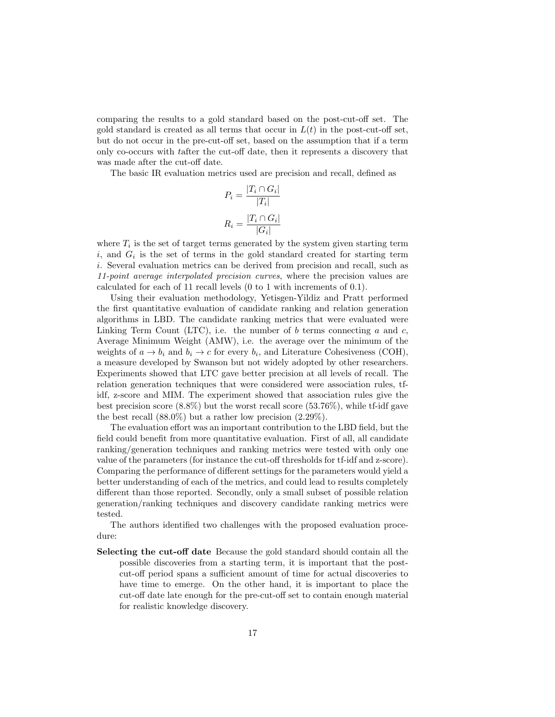comparing the results to a gold standard based on the post-cut-off set. The gold standard is created as all terms that occur in  $L(t)$  in the post-cut-off set, but do not occur in the pre-cut-off set, based on the assumption that if a term only co-occurs with tafter the cut-off date, then it represents a discovery that was made after the cut-off date.

The basic IR evaluation metrics used are precision and recall, defined as

$$
P_i = \frac{|T_i \cap G_i|}{|T_i|}
$$

$$
R_i = \frac{|T_i \cap G_i|}{|G_i|}
$$

where  $T_i$  is the set of target terms generated by the system given starting term  $i$ , and  $G_i$  is the set of terms in the gold standard created for starting term i. Several evaluation metrics can be derived from precision and recall, such as 11-point average interpolated precision curves, where the precision values are calculated for each of 11 recall levels (0 to 1 with increments of 0.1).

Using their evaluation methodology, Yetisgen-Yildiz and Pratt performed the first quantitative evaluation of candidate ranking and relation generation algorithms in LBD. The candidate ranking metrics that were evaluated were Linking Term Count (LTC), i.e. the number of b terms connecting a and c, Average Minimum Weight (AMW), i.e. the average over the minimum of the weights of  $a \to b_i$  and  $b_i \to c$  for every  $b_i$ , and Literature Cohesiveness (COH), a measure developed by Swanson but not widely adopted by other researchers. Experiments showed that LTC gave better precision at all levels of recall. The relation generation techniques that were considered were association rules, tfidf, z-score and MIM. The experiment showed that association rules give the best precision score  $(8.8\%)$  but the worst recall score  $(53.76\%)$ , while tf-idf gave the best recall  $(88.0\%)$  but a rather low precision  $(2.29\%).$ 

The evaluation effort was an important contribution to the LBD field, but the field could benefit from more quantitative evaluation. First of all, all candidate ranking/generation techniques and ranking metrics were tested with only one value of the parameters (for instance the cut-off thresholds for tf-idf and z-score). Comparing the performance of different settings for the parameters would yield a better understanding of each of the metrics, and could lead to results completely different than those reported. Secondly, only a small subset of possible relation generation/ranking techniques and discovery candidate ranking metrics were tested.

The authors identified two challenges with the proposed evaluation procedure:

Selecting the cut-off date Because the gold standard should contain all the possible discoveries from a starting term, it is important that the postcut-off period spans a sufficient amount of time for actual discoveries to have time to emerge. On the other hand, it is important to place the cut-off date late enough for the pre-cut-off set to contain enough material for realistic knowledge discovery.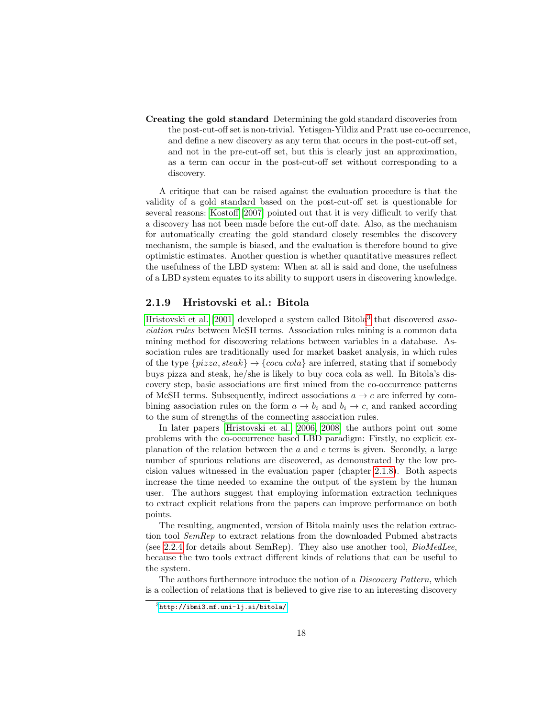Creating the gold standard Determining the gold standard discoveries from the post-cut-off set is non-trivial. Yetisgen-Yildiz and Pratt use co-occurrence, and define a new discovery as any term that occurs in the post-cut-off set, and not in the pre-cut-off set, but this is clearly just an approximation, as a term can occur in the post-cut-off set without corresponding to a discovery.

A critique that can be raised against the evaluation procedure is that the validity of a gold standard based on the post-cut-off set is questionable for several reasons: [Kostoff](#page-93-3) [\[2007\]](#page-93-3) pointed out that it is very difficult to verify that a discovery has not been made before the cut-off date. Also, as the mechanism for automatically creating the gold standard closely resembles the discovery mechanism, the sample is biased, and the evaluation is therefore bound to give optimistic estimates. Another question is whether quantitative measures reflect the usefulness of the LBD system: When at all is said and done, the usefulness of a LBD system equates to its ability to support users in discovering knowledge.

#### <span id="page-20-0"></span>2.1.9 Hristovski et al.: Bitola

[Hristovski et al.](#page-93-4) [\[2001\]](#page-93-4) developed a system called Bitola<sup>[3](#page-20-1)</sup> that discovered association rules between MeSH terms. Association rules mining is a common data mining method for discovering relations between variables in a database. Association rules are traditionally used for market basket analysis, in which rules of the type  $\{pizza, steak\} \rightarrow \{coca \,cola\}$  are inferred, stating that if somebody buys pizza and steak, he/she is likely to buy coca cola as well. In Bitola's discovery step, basic associations are first mined from the co-occurrence patterns of MeSH terms. Subsequently, indirect associations  $a \rightarrow c$  are inferred by combining association rules on the form  $a \to b_i$  and  $b_i \to c$ , and ranked according to the sum of strengths of the connecting association rules.

In later papers [\[Hristovski et al., 2006,](#page-92-5) [2008\]](#page-93-5) the authors point out some problems with the co-occurrence based LBD paradigm: Firstly, no explicit explanation of the relation between the  $a$  and  $c$  terms is given. Secondly, a large number of spurious relations are discovered, as demonstrated by the low precision values witnessed in the evaluation paper (chapter [2.1.8\)](#page-18-0). Both aspects increase the time needed to examine the output of the system by the human user. The authors suggest that employing information extraction techniques to extract explicit relations from the papers can improve performance on both points.

The resulting, augmented, version of Bitola mainly uses the relation extraction tool SemRep to extract relations from the downloaded Pubmed abstracts (see [2.2.4](#page-28-1) for details about SemRep). They also use another tool,  $BiOMedLee$ , because the two tools extract different kinds of relations that can be useful to the system.

The authors furthermore introduce the notion of a *Discovery Pattern*, which is a collection of relations that is believed to give rise to an interesting discovery

<span id="page-20-1"></span> $3$ <http://ibmi3.mf.uni-lj.si/bitola/>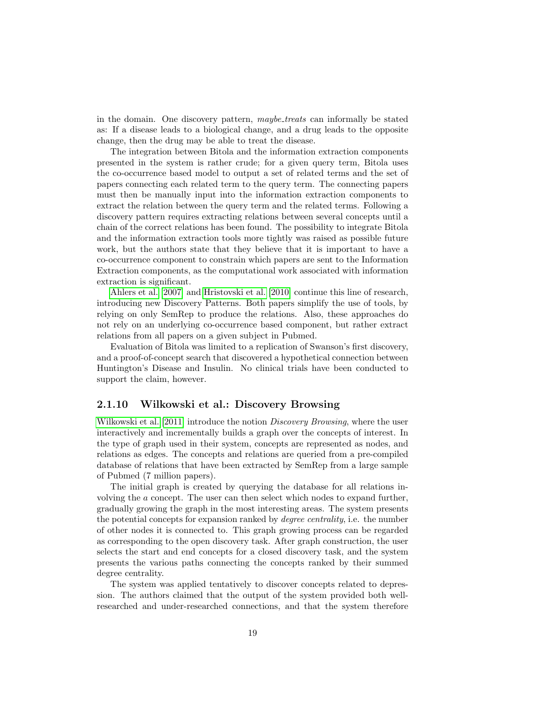in the domain. One discovery pattern, *maybe\_treats* can informally be stated as: If a disease leads to a biological change, and a drug leads to the opposite change, then the drug may be able to treat the disease.

The integration between Bitola and the information extraction components presented in the system is rather crude; for a given query term, Bitola uses the co-occurrence based model to output a set of related terms and the set of papers connecting each related term to the query term. The connecting papers must then be manually input into the information extraction components to extract the relation between the query term and the related terms. Following a discovery pattern requires extracting relations between several concepts until a chain of the correct relations has been found. The possibility to integrate Bitola and the information extraction tools more tightly was raised as possible future work, but the authors state that they believe that it is important to have a co-occurrence component to constrain which papers are sent to the Information Extraction components, as the computational work associated with information extraction is significant.

[Ahlers et al.](#page-91-0) [\[2007\]](#page-91-0) and [Hristovski et al.](#page-93-6) [\[2010\]](#page-93-6) continue this line of research, introducing new Discovery Patterns. Both papers simplify the use of tools, by relying on only SemRep to produce the relations. Also, these approaches do not rely on an underlying co-occurrence based component, but rather extract relations from all papers on a given subject in Pubmed.

Evaluation of Bitola was limited to a replication of Swanson's first discovery, and a proof-of-concept search that discovered a hypothetical connection between Huntington's Disease and Insulin. No clinical trials have been conducted to support the claim, however.

#### <span id="page-21-0"></span>2.1.10 Wilkowski et al.: Discovery Browsing

[Wilkowski et al.](#page-95-6) [\[2011\]](#page-95-6) introduce the notion *Discovery Browsing*, where the user interactively and incrementally builds a graph over the concepts of interest. In the type of graph used in their system, concepts are represented as nodes, and relations as edges. The concepts and relations are queried from a pre-compiled database of relations that have been extracted by SemRep from a large sample of Pubmed (7 million papers).

The initial graph is created by querying the database for all relations involving the a concept. The user can then select which nodes to expand further, gradually growing the graph in the most interesting areas. The system presents the potential concepts for expansion ranked by degree centrality, i.e. the number of other nodes it is connected to. This graph growing process can be regarded as corresponding to the open discovery task. After graph construction, the user selects the start and end concepts for a closed discovery task, and the system presents the various paths connecting the concepts ranked by their summed degree centrality.

The system was applied tentatively to discover concepts related to depression. The authors claimed that the output of the system provided both wellresearched and under-researched connections, and that the system therefore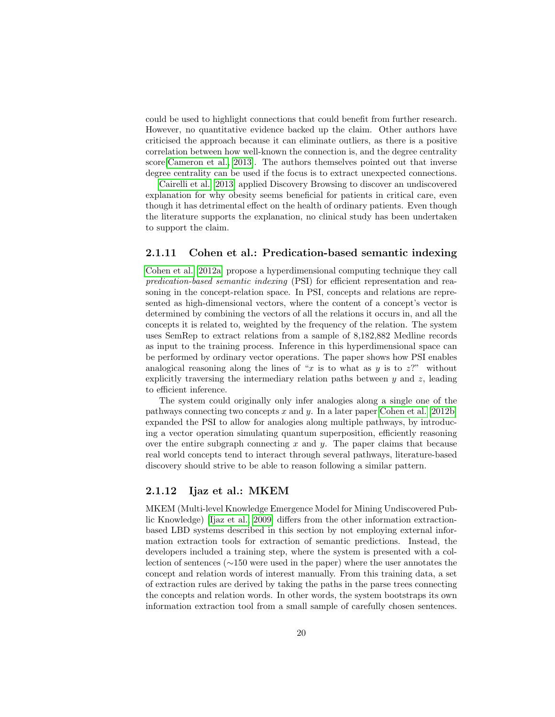could be used to highlight connections that could benefit from further research. However, no quantitative evidence backed up the claim. Other authors have criticised the approach because it can eliminate outliers, as there is a positive correlation between how well-known the connection is, and the degree centrality score[\[Cameron et al., 2013\]](#page-91-1). The authors themselves pointed out that inverse degree centrality can be used if the focus is to extract unexpected connections.

[Cairelli et al.](#page-91-2) [\[2013\]](#page-91-2) applied Discovery Browsing to discover an undiscovered explanation for why obesity seems beneficial for patients in critical care, even though it has detrimental effect on the health of ordinary patients. Even though the literature supports the explanation, no clinical study has been undertaken to support the claim.

#### <span id="page-22-0"></span>2.1.11 Cohen et al.: Predication-based semantic indexing

[Cohen et al.](#page-92-6) [\[2012a\]](#page-92-6) propose a hyperdimensional computing technique they call predication-based semantic indexing (PSI) for efficient representation and reasoning in the concept-relation space. In PSI, concepts and relations are represented as high-dimensional vectors, where the content of a concept's vector is determined by combining the vectors of all the relations it occurs in, and all the concepts it is related to, weighted by the frequency of the relation. The system uses SemRep to extract relations from a sample of 8,182,882 Medline records as input to the training process. Inference in this hyperdimensional space can be performed by ordinary vector operations. The paper shows how PSI enables analogical reasoning along the lines of "x is to what as y is to  $z$ ?" without explicitly traversing the intermediary relation paths between  $y$  and  $z$ , leading to efficient inference.

The system could originally only infer analogies along a single one of the pathways connecting two concepts  $x$  and  $y$ . In a later paper [Cohen et al.](#page-92-7) [\[2012b\]](#page-92-7) expanded the PSI to allow for analogies along multiple pathways, by introducing a vector operation simulating quantum superposition, efficiently reasoning over the entire subgraph connecting  $x$  and  $y$ . The paper claims that because real world concepts tend to interact through several pathways, literature-based discovery should strive to be able to reason following a similar pattern.

#### <span id="page-22-1"></span>2.1.12 Ijaz et al.: MKEM

MKEM (Multi-level Knowledge Emergence Model for Mining Undiscovered Public Knowledge) [\[Ijaz et al., 2009\]](#page-93-7) differs from the other information extractionbased LBD systems described in this section by not employing external information extraction tools for extraction of semantic predictions. Instead, the developers included a training step, where the system is presented with a collection of sentences (∼150 were used in the paper) where the user annotates the concept and relation words of interest manually. From this training data, a set of extraction rules are derived by taking the paths in the parse trees connecting the concepts and relation words. In other words, the system bootstraps its own information extraction tool from a small sample of carefully chosen sentences.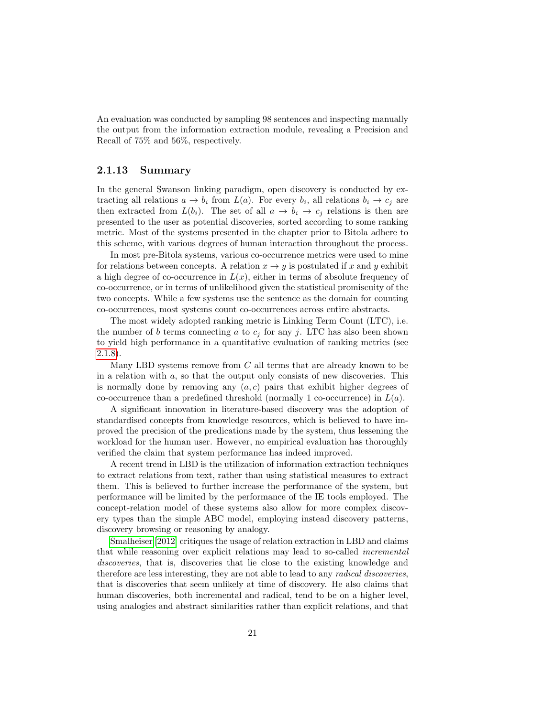An evaluation was conducted by sampling 98 sentences and inspecting manually the output from the information extraction module, revealing a Precision and Recall of 75% and 56%, respectively.

#### <span id="page-23-0"></span>2.1.13 Summary

In the general Swanson linking paradigm, open discovery is conducted by extracting all relations  $a \to b_i$  from  $L(a)$ . For every  $b_i$ , all relations  $b_i \to c_j$  are then extracted from  $L(b_i)$ . The set of all  $a \to b_i \to c_j$  relations is then are presented to the user as potential discoveries, sorted according to some ranking metric. Most of the systems presented in the chapter prior to Bitola adhere to this scheme, with various degrees of human interaction throughout the process.

In most pre-Bitola systems, various co-occurrence metrics were used to mine for relations between concepts. A relation  $x \to y$  is postulated if x and y exhibit a high degree of co-occurrence in  $L(x)$ , either in terms of absolute frequency of co-occurrence, or in terms of unlikelihood given the statistical promiscuity of the two concepts. While a few systems use the sentence as the domain for counting co-occurrences, most systems count co-occurrences across entire abstracts.

The most widely adopted ranking metric is Linking Term Count (LTC), i.e. the number of b terms connecting a to  $c_j$  for any j. LTC has also been shown to yield high performance in a quantitative evaluation of ranking metrics (see [2.1.8\)](#page-18-0).

Many LBD systems remove from  $C$  all terms that are already known to be in a relation with  $a$ , so that the output only consists of new discoveries. This is normally done by removing any  $(a, c)$  pairs that exhibit higher degrees of co-occurrence than a predefined threshold (normally 1 co-occurrence) in  $L(a)$ .

A significant innovation in literature-based discovery was the adoption of standardised concepts from knowledge resources, which is believed to have improved the precision of the predications made by the system, thus lessening the workload for the human user. However, no empirical evaluation has thoroughly verified the claim that system performance has indeed improved.

A recent trend in LBD is the utilization of information extraction techniques to extract relations from text, rather than using statistical measures to extract them. This is believed to further increase the performance of the system, but performance will be limited by the performance of the IE tools employed. The concept-relation model of these systems also allow for more complex discovery types than the simple ABC model, employing instead discovery patterns, discovery browsing or reasoning by analogy.

[Smalheiser](#page-94-5) [\[2012\]](#page-94-5) critiques the usage of relation extraction in LBD and claims that while reasoning over explicit relations may lead to so-called incremental discoveries, that is, discoveries that lie close to the existing knowledge and therefore are less interesting, they are not able to lead to any radical discoveries, that is discoveries that seem unlikely at time of discovery. He also claims that human discoveries, both incremental and radical, tend to be on a higher level, using analogies and abstract similarities rather than explicit relations, and that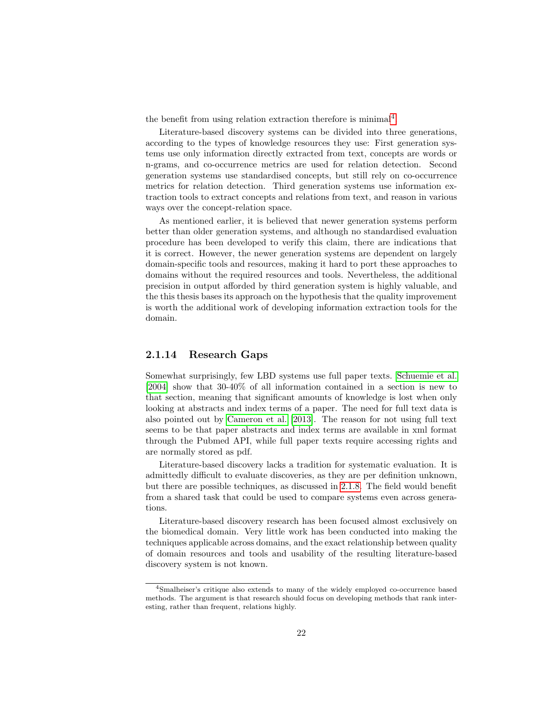the benefit from using relation extraction therefore is minimal<sup>[4](#page-24-1)</sup>.

Literature-based discovery systems can be divided into three generations, according to the types of knowledge resources they use: First generation systems use only information directly extracted from text, concepts are words or n-grams, and co-occurrence metrics are used for relation detection. Second generation systems use standardised concepts, but still rely on co-occurrence metrics for relation detection. Third generation systems use information extraction tools to extract concepts and relations from text, and reason in various ways over the concept-relation space.

As mentioned earlier, it is believed that newer generation systems perform better than older generation systems, and although no standardised evaluation procedure has been developed to verify this claim, there are indications that it is correct. However, the newer generation systems are dependent on largely domain-specific tools and resources, making it hard to port these approaches to domains without the required resources and tools. Nevertheless, the additional precision in output afforded by third generation system is highly valuable, and the this thesis bases its approach on the hypothesis that the quality improvement is worth the additional work of developing information extraction tools for the domain.

#### <span id="page-24-0"></span>2.1.14 Research Gaps

Somewhat surprisingly, few LBD systems use full paper texts. [Schuemie et al.](#page-94-6) [\[2004\]](#page-94-6) show that 30-40% of all information contained in a section is new to that section, meaning that significant amounts of knowledge is lost when only looking at abstracts and index terms of a paper. The need for full text data is also pointed out by [Cameron et al.](#page-91-1) [\[2013\]](#page-91-1). The reason for not using full text seems to be that paper abstracts and index terms are available in xml format through the Pubmed API, while full paper texts require accessing rights and are normally stored as pdf.

Literature-based discovery lacks a tradition for systematic evaluation. It is admittedly difficult to evaluate discoveries, as they are per definition unknown, but there are possible techniques, as discussed in [2.1.8.](#page-18-0) The field would benefit from a shared task that could be used to compare systems even across generations.

Literature-based discovery research has been focused almost exclusively on the biomedical domain. Very little work has been conducted into making the techniques applicable across domains, and the exact relationship between quality of domain resources and tools and usability of the resulting literature-based discovery system is not known.

<span id="page-24-1"></span><sup>4</sup>Smalheiser's critique also extends to many of the widely employed co-occurrence based methods. The argument is that research should focus on developing methods that rank interesting, rather than frequent, relations highly.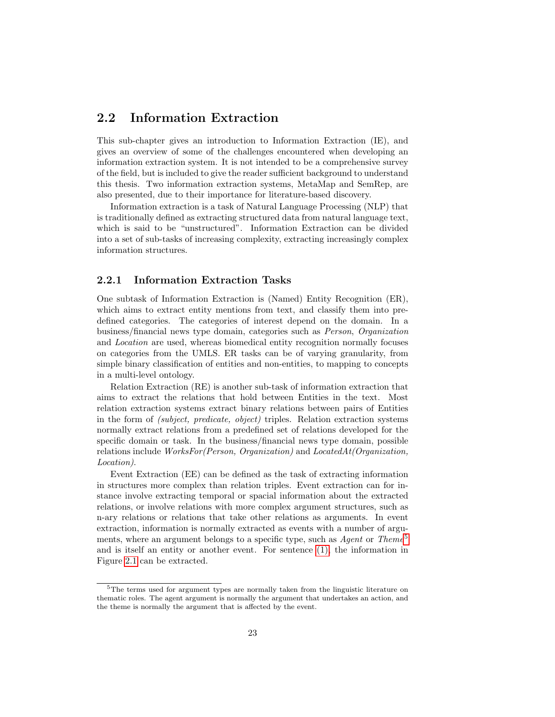#### <span id="page-25-0"></span>2.2 Information Extraction

This sub-chapter gives an introduction to Information Extraction (IE), and gives an overview of some of the challenges encountered when developing an information extraction system. It is not intended to be a comprehensive survey of the field, but is included to give the reader sufficient background to understand this thesis. Two information extraction systems, MetaMap and SemRep, are also presented, due to their importance for literature-based discovery.

Information extraction is a task of Natural Language Processing (NLP) that is traditionally defined as extracting structured data from natural language text, which is said to be "unstructured". Information Extraction can be divided into a set of sub-tasks of increasing complexity, extracting increasingly complex information structures.

#### <span id="page-25-1"></span>2.2.1 Information Extraction Tasks

One subtask of Information Extraction is (Named) Entity Recognition (ER), which aims to extract entity mentions from text, and classify them into predefined categories. The categories of interest depend on the domain. In a business/financial news type domain, categories such as Person, Organization and Location are used, whereas biomedical entity recognition normally focuses on categories from the UMLS. ER tasks can be of varying granularity, from simple binary classification of entities and non-entities, to mapping to concepts in a multi-level ontology.

Relation Extraction (RE) is another sub-task of information extraction that aims to extract the relations that hold between Entities in the text. Most relation extraction systems extract binary relations between pairs of Entities in the form of (subject, predicate, object) triples. Relation extraction systems normally extract relations from a predefined set of relations developed for the specific domain or task. In the business/financial news type domain, possible relations include  $WorksFor(Person, Organization)$  and  $LocatedAt(Organization)$ Location).

Event Extraction (EE) can be defined as the task of extracting information in structures more complex than relation triples. Event extraction can for instance involve extracting temporal or spacial information about the extracted relations, or involve relations with more complex argument structures, such as n-ary relations or relations that take other relations as arguments. In event extraction, information is normally extracted as events with a number of arguments, where an argument belongs to a specific type, such as  $Agent$  or Theme<sup>[5](#page-25-2)</sup> and is itself an entity or another event. For sentence [\(1\),](#page-9-1) the information in Figure [2.1](#page-26-1) can be extracted.

<span id="page-25-2"></span><sup>5</sup>The terms used for argument types are normally taken from the linguistic literature on thematic roles. The agent argument is normally the argument that undertakes an action, and the theme is normally the argument that is affected by the event.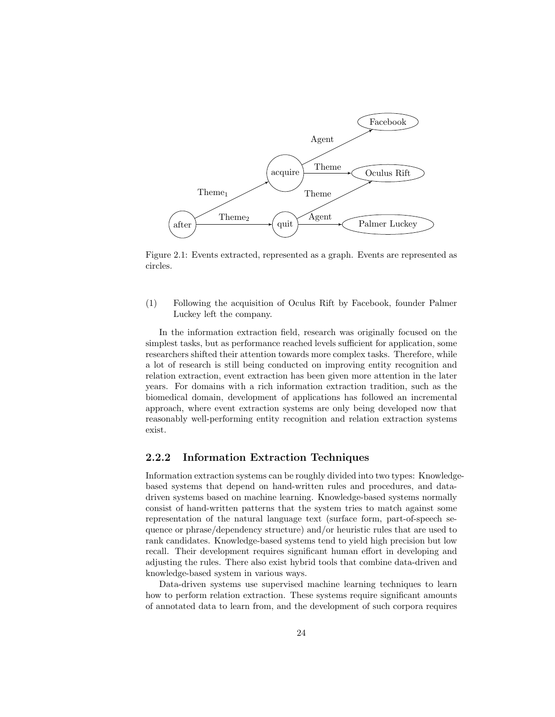

<span id="page-26-1"></span>Figure 2.1: Events extracted, represented as a graph. Events are represented as circles.

(1) Following the acquisition of Oculus Rift by Facebook, founder Palmer Luckey left the company.

In the information extraction field, research was originally focused on the simplest tasks, but as performance reached levels sufficient for application, some researchers shifted their attention towards more complex tasks. Therefore, while a lot of research is still being conducted on improving entity recognition and relation extraction, event extraction has been given more attention in the later years. For domains with a rich information extraction tradition, such as the biomedical domain, development of applications has followed an incremental approach, where event extraction systems are only being developed now that reasonably well-performing entity recognition and relation extraction systems exist.

#### <span id="page-26-0"></span>2.2.2 Information Extraction Techniques

Information extraction systems can be roughly divided into two types: Knowledgebased systems that depend on hand-written rules and procedures, and datadriven systems based on machine learning. Knowledge-based systems normally consist of hand-written patterns that the system tries to match against some representation of the natural language text (surface form, part-of-speech sequence or phrase/dependency structure) and/or heuristic rules that are used to rank candidates. Knowledge-based systems tend to yield high precision but low recall. Their development requires significant human effort in developing and adjusting the rules. There also exist hybrid tools that combine data-driven and knowledge-based system in various ways.

Data-driven systems use supervised machine learning techniques to learn how to perform relation extraction. These systems require significant amounts of annotated data to learn from, and the development of such corpora requires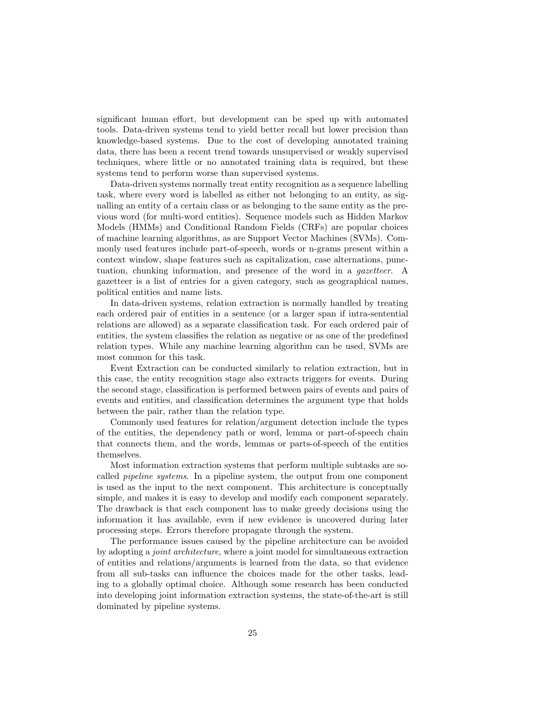significant human effort, but development can be sped up with automated tools. Data-driven systems tend to yield better recall but lower precision than knowledge-based systems. Due to the cost of developing annotated training data, there has been a recent trend towards unsupervised or weakly supervised techniques, where little or no annotated training data is required, but these systems tend to perform worse than supervised systems.

Data-driven systems normally treat entity recognition as a sequence labelling task, where every word is labelled as either not belonging to an entity, as signalling an entity of a certain class or as belonging to the same entity as the previous word (for multi-word entities). Sequence models such as Hidden Markov Models (HMMs) and Conditional Random Fields (CRFs) are popular choices of machine learning algorithms, as are Support Vector Machines (SVMs). Commonly used features include part-of-speech, words or n-grams present within a context window, shape features such as capitalization, case alternations, punctuation, chunking information, and presence of the word in a gazetteer. A gazetteer is a list of entries for a given category, such as geographical names, political entities and name lists.

In data-driven systems, relation extraction is normally handled by treating each ordered pair of entities in a sentence (or a larger span if intra-sentential relations are allowed) as a separate classification task. For each ordered pair of entities, the system classifies the relation as negative or as one of the predefined relation types. While any machine learning algorithm can be used, SVMs are most common for this task.

Event Extraction can be conducted similarly to relation extraction, but in this case, the entity recognition stage also extracts triggers for events. During the second stage, classification is performed between pairs of events and pairs of events and entities, and classification determines the argument type that holds between the pair, rather than the relation type.

Commonly used features for relation/argument detection include the types of the entities, the dependency path or word, lemma or part-of-speech chain that connects them, and the words, lemmas or parts-of-speech of the entities themselves.

Most information extraction systems that perform multiple subtasks are socalled pipeline systems. In a pipeline system, the output from one component is used as the input to the next component. This architecture is conceptually simple, and makes it is easy to develop and modify each component separately. The drawback is that each component has to make greedy decisions using the information it has available, even if new evidence is uncovered during later processing steps. Errors therefore propagate through the system.

The performance issues caused by the pipeline architecture can be avoided by adopting a joint architecture, where a joint model for simultaneous extraction of entities and relations/arguments is learned from the data, so that evidence from all sub-tasks can influence the choices made for the other tasks, leading to a globally optimal choice. Although some research has been conducted into developing joint information extraction systems, the state-of-the-art is still dominated by pipeline systems.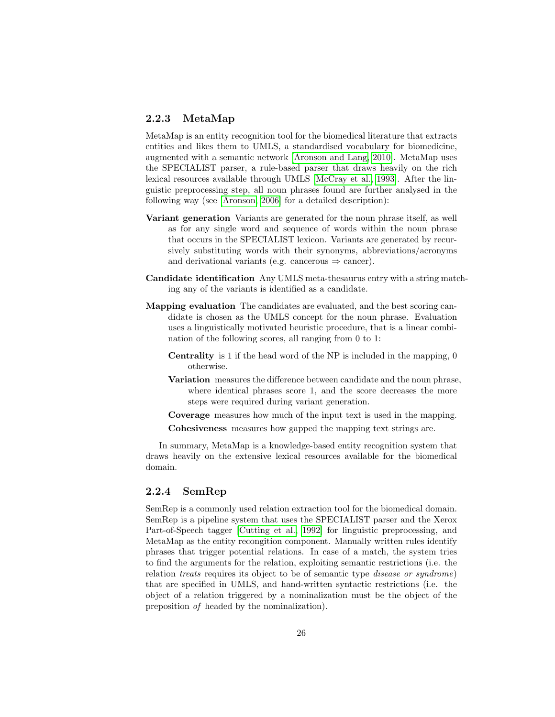#### <span id="page-28-0"></span>2.2.3 MetaMap

MetaMap is an entity recognition tool for the biomedical literature that extracts entities and likes them to UMLS, a standardised vocabulary for biomedicine, augmented with a semantic network [\[Aronson and Lang, 2010\]](#page-91-3). MetaMap uses the SPECIALIST parser, a rule-based parser that draws heavily on the rich lexical resources available through UMLS [\[McCray et al., 1993\]](#page-94-7). After the linguistic preprocessing step, all noun phrases found are further analysed in the following way (see [\[Aronson, 2006\]](#page-91-4) for a detailed description):

- Variant generation Variants are generated for the noun phrase itself, as well as for any single word and sequence of words within the noun phrase that occurs in the SPECIALIST lexicon. Variants are generated by recursively substituting words with their synonyms, abbreviations/acronyms and derivational variants (e.g. cancerous  $\Rightarrow$  cancer).
- Candidate identification Any UMLS meta-thesaurus entry with a string matching any of the variants is identified as a candidate.
- Mapping evaluation The candidates are evaluated, and the best scoring candidate is chosen as the UMLS concept for the noun phrase. Evaluation uses a linguistically motivated heuristic procedure, that is a linear combination of the following scores, all ranging from 0 to 1:
	- Centrality is 1 if the head word of the NP is included in the mapping, 0 otherwise.
	- Variation measures the difference between candidate and the noun phrase, where identical phrases score 1, and the score decreases the more steps were required during variant generation.
	- Coverage measures how much of the input text is used in the mapping.
	- Cohesiveness measures how gapped the mapping text strings are.

In summary, MetaMap is a knowledge-based entity recognition system that draws heavily on the extensive lexical resources available for the biomedical domain.

#### <span id="page-28-1"></span>2.2.4 SemRep

SemRep is a commonly used relation extraction tool for the biomedical domain. SemRep is a pipeline system that uses the SPECIALIST parser and the Xerox Part-of-Speech tagger [\[Cutting et al., 1992\]](#page-92-8) for linguistic preprocessing, and MetaMap as the entity recongition component. Manually written rules identify phrases that trigger potential relations. In case of a match, the system tries to find the arguments for the relation, exploiting semantic restrictions (i.e. the relation treats requires its object to be of semantic type disease or syndrome) that are specified in UMLS, and hand-written syntactic restrictions (i.e. the object of a relation triggered by a nominalization must be the object of the preposition of headed by the nominalization).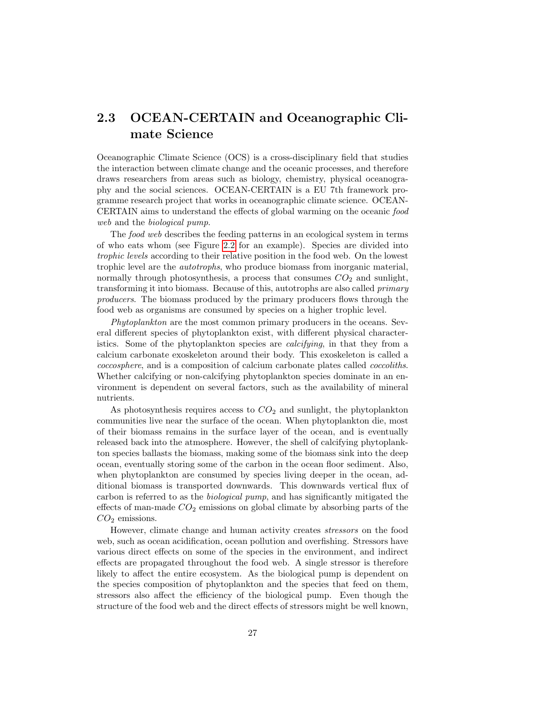## <span id="page-29-0"></span>2.3 OCEAN-CERTAIN and Oceanographic Climate Science

Oceanographic Climate Science (OCS) is a cross-disciplinary field that studies the interaction between climate change and the oceanic processes, and therefore draws researchers from areas such as biology, chemistry, physical oceanography and the social sciences. OCEAN-CERTAIN is a EU 7th framework programme research project that works in oceanographic climate science. OCEAN-CERTAIN aims to understand the effects of global warming on the oceanic food web and the biological pump.

The food web describes the feeding patterns in an ecological system in terms of who eats whom (see Figure [2.2](#page-30-0) for an example). Species are divided into trophic levels according to their relative position in the food web. On the lowest trophic level are the autotrophs, who produce biomass from inorganic material, normally through photosynthesis, a process that consumes  $CO<sub>2</sub>$  and sunlight, transforming it into biomass. Because of this, autotrophs are also called primary producers. The biomass produced by the primary producers flows through the food web as organisms are consumed by species on a higher trophic level.

Phytoplankton are the most common primary producers in the oceans. Several different species of phytoplankton exist, with different physical characteristics. Some of the phytoplankton species are *calcifying*, in that they from a calcium carbonate exoskeleton around their body. This exoskeleton is called a coccosphere, and is a composition of calcium carbonate plates called coccoliths. Whether calcifying or non-calcifying phytoplankton species dominate in an environment is dependent on several factors, such as the availability of mineral nutrients.

As photosynthesis requires access to  $CO<sub>2</sub>$  and sunlight, the phytoplankton communities live near the surface of the ocean. When phytoplankton die, most of their biomass remains in the surface layer of the ocean, and is eventually released back into the atmosphere. However, the shell of calcifying phytoplankton species ballasts the biomass, making some of the biomass sink into the deep ocean, eventually storing some of the carbon in the ocean floor sediment. Also, when phytoplankton are consumed by species living deeper in the ocean, additional biomass is transported downwards. This downwards vertical flux of carbon is referred to as the biological pump, and has significantly mitigated the effects of man-made  $CO<sub>2</sub>$  emissions on global climate by absorbing parts of the  $CO<sub>2</sub>$  emissions.

However, climate change and human activity creates stressors on the food web, such as ocean acidification, ocean pollution and overfishing. Stressors have various direct effects on some of the species in the environment, and indirect effects are propagated throughout the food web. A single stressor is therefore likely to affect the entire ecosystem. As the biological pump is dependent on the species composition of phytoplankton and the species that feed on them, stressors also affect the efficiency of the biological pump. Even though the structure of the food web and the direct effects of stressors might be well known,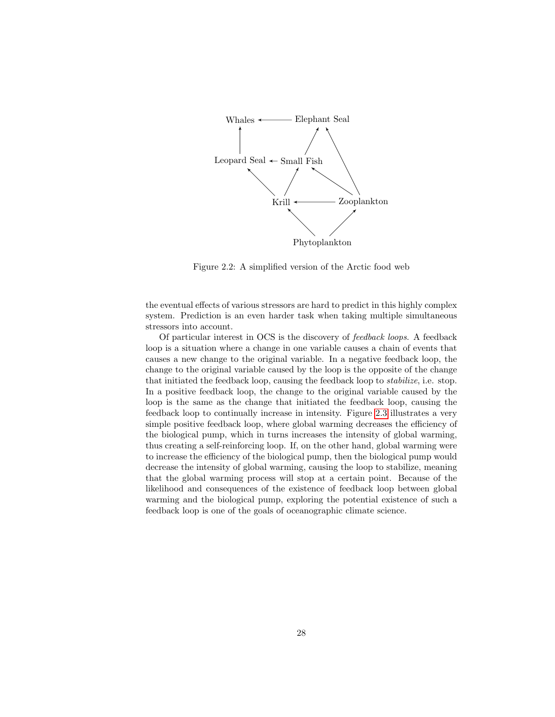

<span id="page-30-0"></span>Figure 2.2: A simplified version of the Arctic food web

the eventual effects of various stressors are hard to predict in this highly complex system. Prediction is an even harder task when taking multiple simultaneous stressors into account.

Of particular interest in OCS is the discovery of feedback loops. A feedback loop is a situation where a change in one variable causes a chain of events that causes a new change to the original variable. In a negative feedback loop, the change to the original variable caused by the loop is the opposite of the change that initiated the feedback loop, causing the feedback loop to stabilize, i.e. stop. In a positive feedback loop, the change to the original variable caused by the loop is the same as the change that initiated the feedback loop, causing the feedback loop to continually increase in intensity. Figure [2.3](#page-31-0) illustrates a very simple positive feedback loop, where global warming decreases the efficiency of the biological pump, which in turns increases the intensity of global warming, thus creating a self-reinforcing loop. If, on the other hand, global warming were to increase the efficiency of the biological pump, then the biological pump would decrease the intensity of global warming, causing the loop to stabilize, meaning that the global warming process will stop at a certain point. Because of the likelihood and consequences of the existence of feedback loop between global warming and the biological pump, exploring the potential existence of such a feedback loop is one of the goals of oceanographic climate science.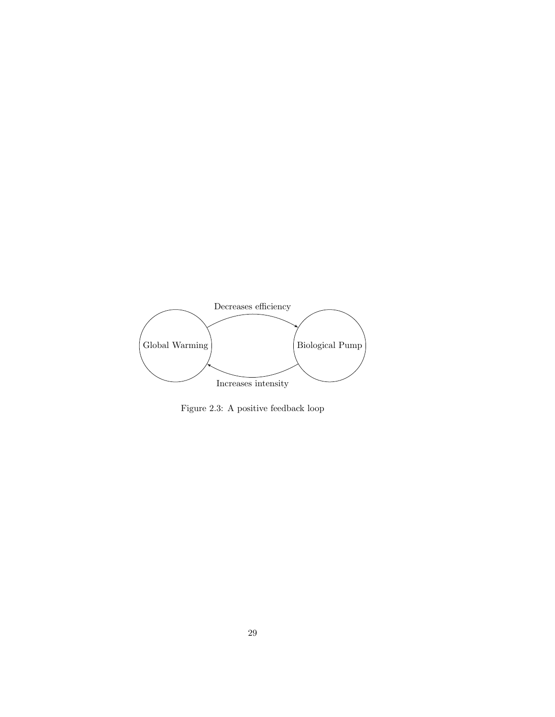

<span id="page-31-0"></span>Figure 2.3: A positive feedback loop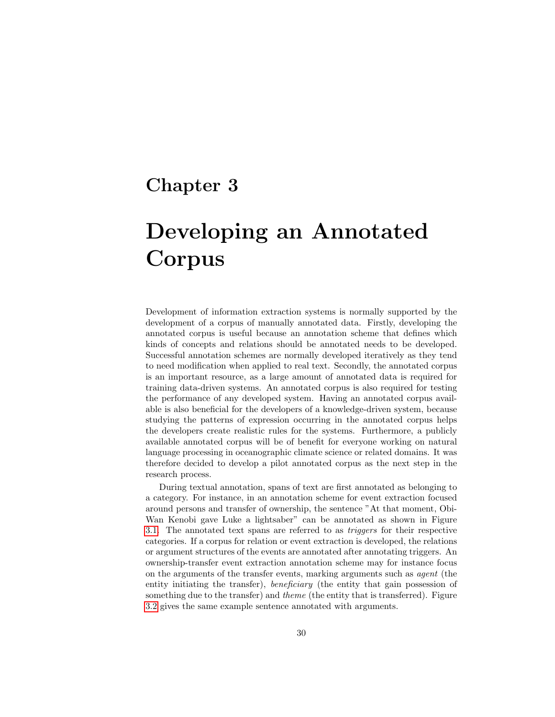## <span id="page-32-0"></span>Chapter 3

# Developing an Annotated Corpus

Development of information extraction systems is normally supported by the development of a corpus of manually annotated data. Firstly, developing the annotated corpus is useful because an annotation scheme that defines which kinds of concepts and relations should be annotated needs to be developed. Successful annotation schemes are normally developed iteratively as they tend to need modification when applied to real text. Secondly, the annotated corpus is an important resource, as a large amount of annotated data is required for training data-driven systems. An annotated corpus is also required for testing the performance of any developed system. Having an annotated corpus available is also beneficial for the developers of a knowledge-driven system, because studying the patterns of expression occurring in the annotated corpus helps the developers create realistic rules for the systems. Furthermore, a publicly available annotated corpus will be of benefit for everyone working on natural language processing in oceanographic climate science or related domains. It was therefore decided to develop a pilot annotated corpus as the next step in the research process.

During textual annotation, spans of text are first annotated as belonging to a category. For instance, in an annotation scheme for event extraction focused around persons and transfer of ownership, the sentence "At that moment, Obi-Wan Kenobi gave Luke a lightsaber" can be annotated as shown in Figure [3.1.](#page-33-1) The annotated text spans are referred to as triggers for their respective categories. If a corpus for relation or event extraction is developed, the relations or argument structures of the events are annotated after annotating triggers. An ownership-transfer event extraction annotation scheme may for instance focus on the arguments of the transfer events, marking arguments such as agent (the entity initiating the transfer), *beneficiary* (the entity that gain possession of something due to the transfer) and *theme* (the entity that is transferred). Figure [3.2](#page-33-2) gives the same example sentence annotated with arguments.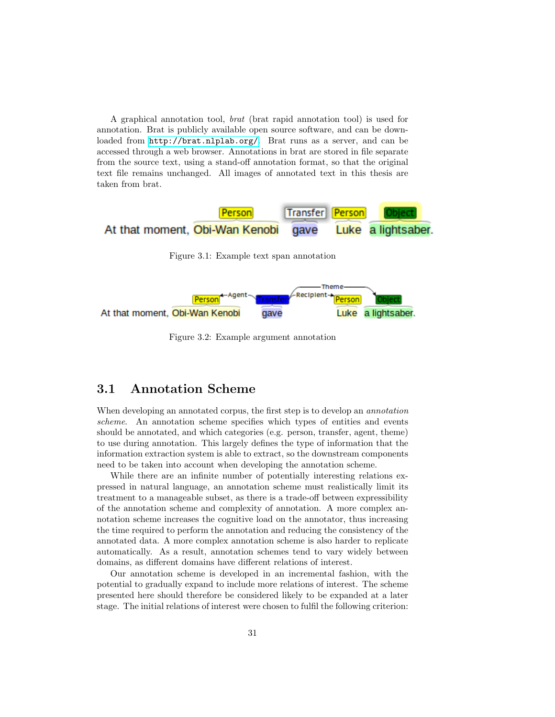A graphical annotation tool, brat (brat rapid annotation tool) is used for annotation. Brat is publicly available open source software, and can be downloaded from <http://brat.nlplab.org/>. Brat runs as a server, and can be accessed through a web browser. Annotations in brat are stored in file separate from the source text, using a stand-off annotation format, so that the original text file remains unchanged. All images of annotated text in this thesis are taken from brat.



<span id="page-33-1"></span>Figure 3.1: Example text span annotation



<span id="page-33-2"></span>Figure 3.2: Example argument annotation

### <span id="page-33-0"></span>3.1 Annotation Scheme

When developing an annotated corpus, the first step is to develop an *annotation* scheme. An annotation scheme specifies which types of entities and events should be annotated, and which categories (e.g. person, transfer, agent, theme) to use during annotation. This largely defines the type of information that the information extraction system is able to extract, so the downstream components need to be taken into account when developing the annotation scheme.

While there are an infinite number of potentially interesting relations expressed in natural language, an annotation scheme must realistically limit its treatment to a manageable subset, as there is a trade-off between expressibility of the annotation scheme and complexity of annotation. A more complex annotation scheme increases the cognitive load on the annotator, thus increasing the time required to perform the annotation and reducing the consistency of the annotated data. A more complex annotation scheme is also harder to replicate automatically. As a result, annotation schemes tend to vary widely between domains, as different domains have different relations of interest.

Our annotation scheme is developed in an incremental fashion, with the potential to gradually expand to include more relations of interest. The scheme presented here should therefore be considered likely to be expanded at a later stage. The initial relations of interest were chosen to fulfil the following criterion: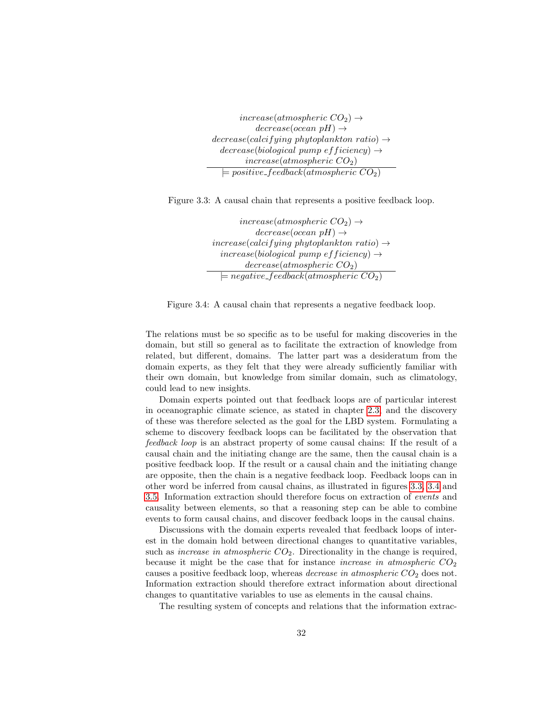$increase(atmospheric CO<sub>2</sub>) \rightarrow$  $decrease(ocean\ pH) \rightarrow$  $decrease (calcifying\ phytoplankton\ ratio) \rightarrow$  $decrease(biological~pump~efficiency) \rightarrow$  $increase(atmospheric CO<sub>2</sub>)$  $\models positive\_feedback(atmospheric CO<sub>2</sub>)$ 

Figure 3.3: A causal chain that represents a positive feedback loop.

<span id="page-34-0"></span> $increase(atmospheric CO<sub>2</sub>) \rightarrow$  $decrease(ocean\ pH) \rightarrow$  $increase (calcifying\ phytoplankton\ ratio) \rightarrow$  $increase(biological~pump~efficiency) \rightarrow$  $decrease(atmospheric CO<sub>2</sub>)$  $\models negative\_feedback(atmospheric CO<sub>2</sub>)$ 

<span id="page-34-1"></span>Figure 3.4: A causal chain that represents a negative feedback loop.

The relations must be so specific as to be useful for making discoveries in the domain, but still so general as to facilitate the extraction of knowledge from related, but different, domains. The latter part was a desideratum from the domain experts, as they felt that they were already sufficiently familiar with their own domain, but knowledge from similar domain, such as climatology, could lead to new insights.

Domain experts pointed out that feedback loops are of particular interest in oceanographic climate science, as stated in chapter [2.3,](#page-29-0) and the discovery of these was therefore selected as the goal for the LBD system. Formulating a scheme to discovery feedback loops can be facilitated by the observation that feedback loop is an abstract property of some causal chains: If the result of a causal chain and the initiating change are the same, then the causal chain is a positive feedback loop. If the result or a causal chain and the initiating change are opposite, then the chain is a negative feedback loop. Feedback loops can in other word be inferred from causal chains, as illustrated in figures [3.3,](#page-34-0) [3.4](#page-34-1) and [3.5.](#page-35-0) Information extraction should therefore focus on extraction of events and causality between elements, so that a reasoning step can be able to combine events to form causal chains, and discover feedback loops in the causal chains.

Discussions with the domain experts revealed that feedback loops of interest in the domain hold between directional changes to quantitative variables, such as *increase in atmospheric*  $CO<sub>2</sub>$ . Directionality in the change is required, because it might be the case that for instance *increase in atmospheric*  $CO<sub>2</sub>$ causes a positive feedback loop, whereas *decrease in atmospheric*  $CO<sub>2</sub>$  does not. Information extraction should therefore extract information about directional changes to quantitative variables to use as elements in the causal chains.

The resulting system of concepts and relations that the information extrac-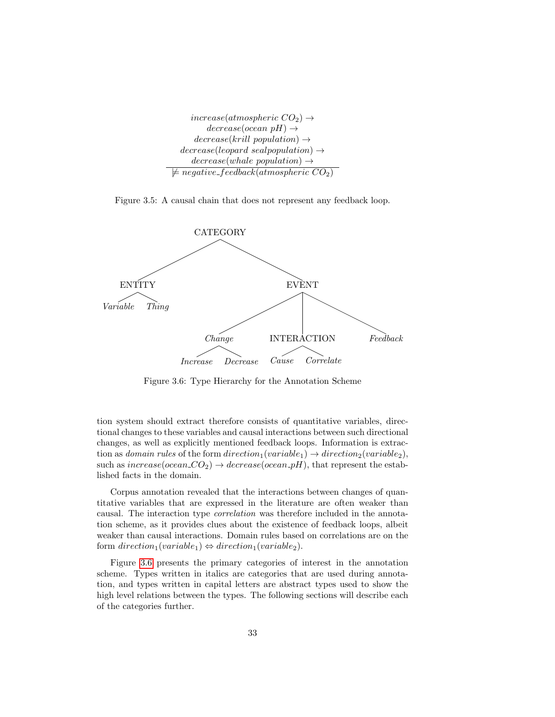```
increase(atmospheric CO<sub>2</sub>) \rightarrowdecrease(ocean\ pH) \rightarrowdecrease(krill population) \rightarrowdecrease(leopard\_seal population) \rightarrowdecrease(whale population) \rightarrow\not\models \textit{negative}\_\textit{feedback}(\textit{atmospheric CO}_2)
```
<span id="page-35-0"></span>Figure 3.5: A causal chain that does not represent any feedback loop.



<span id="page-35-1"></span>Figure 3.6: Type Hierarchy for the Annotation Scheme

tion system should extract therefore consists of quantitative variables, directional changes to these variables and causal interactions between such directional changes, as well as explicitly mentioned feedback loops. Information is extraction as domain rules of the form direction<sub>1</sub>(variable<sub>1</sub>)  $\rightarrow$  direction<sub>2</sub>(variable<sub>2</sub>), such as  $increase(ocean\_CO_2) \rightarrow decrease(ocean\_pH)$ , that represent the established facts in the domain.

Corpus annotation revealed that the interactions between changes of quantitative variables that are expressed in the literature are often weaker than causal. The interaction type correlation was therefore included in the annotation scheme, as it provides clues about the existence of feedback loops, albeit weaker than causal interactions. Domain rules based on correlations are on the form  $direction_1(variable_1) \Leftrightarrow direction_1(variable_2)$ .

Figure [3.6](#page-35-1) presents the primary categories of interest in the annotation scheme. Types written in italics are categories that are used during annotation, and types written in capital letters are abstract types used to show the high level relations between the types. The following sections will describe each of the categories further.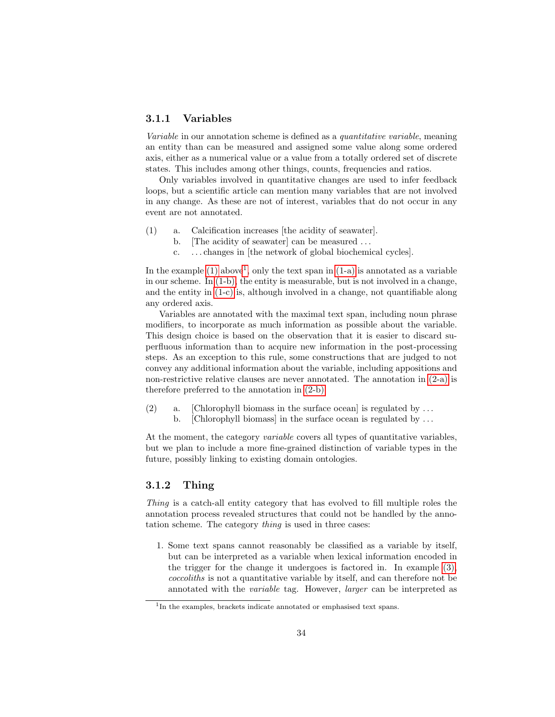## 3.1.1 Variables

Variable in our annotation scheme is defined as a quantitative variable, meaning an entity than can be measured and assigned some value along some ordered axis, either as a numerical value or a value from a totally ordered set of discrete states. This includes among other things, counts, frequencies and ratios.

Only variables involved in quantitative changes are used to infer feedback loops, but a scientific article can mention many variables that are not involved in any change. As these are not of interest, variables that do not occur in any event are not annotated.

- <span id="page-36-3"></span><span id="page-36-2"></span><span id="page-36-1"></span>(1) a. Calcification increases [the acidity of seawater].
	- b. The acidity of seawater can be measured ...
	- c. . . . changes in [the network of global biochemical cycles].

In the example  $(1)$  $(1)$  $(1)$  above<sup>1</sup>, only the text span in  $(1-a)$  is annotated as a variable in our scheme. In [\(1-b\),](#page-36-2) the entity is measurable, but is not involved in a change, and the entity in [\(1-c\)](#page-36-3) is, although involved in a change, not quantifiable along any ordered axis.

Variables are annotated with the maximal text span, including noun phrase modifiers, to incorporate as much information as possible about the variable. This design choice is based on the observation that it is easier to discard superfluous information than to acquire new information in the post-processing steps. As an exception to this rule, some constructions that are judged to not convey any additional information about the variable, including appositions and non-restrictive relative clauses are never annotated. The annotation in [\(2-a\)](#page-36-4) is therefore preferred to the annotation in [\(2-b\).](#page-36-5)

- <span id="page-36-5"></span><span id="page-36-4"></span>(2) a. [Chlorophyll biomass in the surface ocean] is regulated by  $\dots$ 
	- b. [Chlorophyll biomass] in the surface ocean is regulated by  $\dots$

At the moment, the category *variable* covers all types of quantitative variables, but we plan to include a more fine-grained distinction of variable types in the future, possibly linking to existing domain ontologies.

## <span id="page-36-6"></span>3.1.2 Thing

Thing is a catch-all entity category that has evolved to fill multiple roles the annotation process revealed structures that could not be handled by the annotation scheme. The category thing is used in three cases:

1. Some text spans cannot reasonably be classified as a variable by itself, but can be interpreted as a variable when lexical information encoded in the trigger for the change it undergoes is factored in. In example [\(3\),](#page-37-0) coccoliths is not a quantitative variable by itself, and can therefore not be annotated with the variable tag. However, larger can be interpreted as

<span id="page-36-0"></span><sup>&</sup>lt;sup>1</sup>In the examples, brackets indicate annotated or emphasised text spans.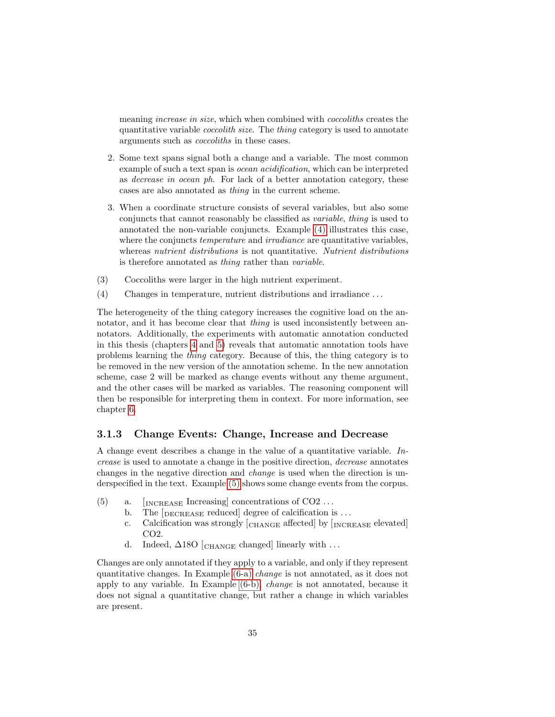meaning *increase in size*, which when combined with *coccoliths* creates the quantitative variable coccolith size. The thing category is used to annotate arguments such as coccoliths in these cases.

- 2. Some text spans signal both a change and a variable. The most common example of such a text span is ocean acidification, which can be interpreted as decrease in ocean ph. For lack of a better annotation category, these cases are also annotated as thing in the current scheme.
- 3. When a coordinate structure consists of several variables, but also some conjuncts that cannot reasonably be classified as variable, thing is used to annotated the non-variable conjuncts. Example [\(4\)](#page-37-1) illustrates this case, where the conjuncts *temperature* and *irradiance* are quantitative variables, whereas nutrient distributions is not quantitative. Nutrient distributions is therefore annotated as thing rather than variable.
- <span id="page-37-1"></span><span id="page-37-0"></span>(3) Coccoliths were larger in the high nutrient experiment.
- (4) Changes in temperature, nutrient distributions and irradiance . . .

The heterogeneity of the thing category increases the cognitive load on the annotator, and it has become clear that *thing* is used inconsistently between annotators. Additionally, the experiments with automatic annotation conducted in this thesis (chapters [4](#page-43-0) and [5\)](#page-61-0) reveals that automatic annotation tools have problems learning the thing category. Because of this, the thing category is to be removed in the new version of the annotation scheme. In the new annotation scheme, case 2 will be marked as change events without any theme argument, and the other cases will be marked as variables. The reasoning component will then be responsible for interpreting them in context. For more information, see chapter [6.](#page-77-0)

#### 3.1.3 Change Events: Change, Increase and Decrease

A change event describes a change in the value of a quantitative variable. Increase is used to annotate a change in the positive direction, decrease annotates changes in the negative direction and change is used when the direction is underspecified in the text. Example [\(5\)](#page-37-2) shows some change events from the corpus.

- <span id="page-37-2"></span>(5) a.  $\left[\text{INCREASE}\right]$  concentrations of CO2 ...
	- b. The [DECREASE reduced] degree of calcification is ...
	- c. Calcification was strongly  $\epsilon_{\text{CHANGE}}$  affected by  $\epsilon_{\text{INCREASE}}$  elevated CO2.
	- d. Indeed,  $\Delta$ 180 [CHANGE changed] linearly with ...

<span id="page-37-3"></span>Changes are only annotated if they apply to a variable, and only if they represent quantitative changes. In Example [\(6-a\)](#page-38-0) change is not annotated, as it does not apply to any variable. In Example [\(6-b\),](#page-38-1) change is not annotated, because it does not signal a quantitative change, but rather a change in which variables are present.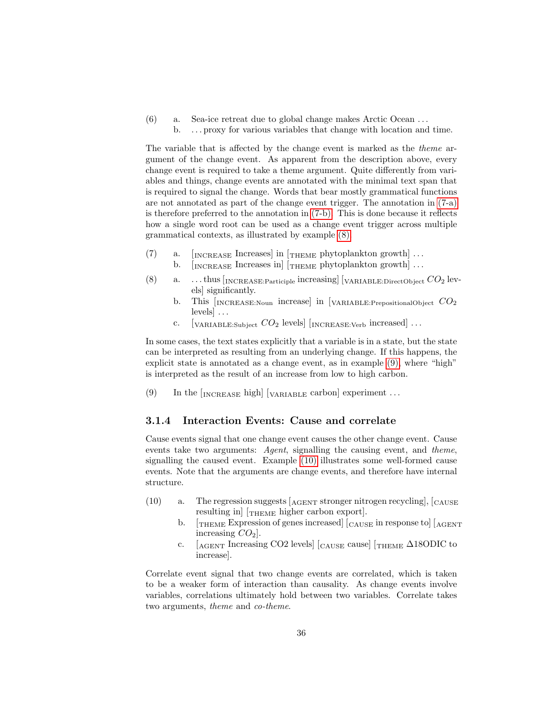<span id="page-38-1"></span><span id="page-38-0"></span>(6) a. Sea-ice retreat due to global change makes Arctic Ocean . . . b. . . . proxy for various variables that change with location and time.

The variable that is affected by the change event is marked as the theme argument of the change event. As apparent from the description above, every change event is required to take a theme argument. Quite differently from variables and things, change events are annotated with the minimal text span that is required to signal the change. Words that bear mostly grammatical functions are not annotated as part of the change event trigger. The annotation in [\(7-a\)](#page-38-2) is therefore preferred to the annotation in [\(7-b\).](#page-38-3) This is done because it reflects how a single word root can be used as a change event trigger across multiple grammatical contexts, as illustrated by example [\(8\).](#page-38-4)

- <span id="page-38-3"></span><span id="page-38-2"></span>(7) a.  $[$   $[$   $[$   $[$   $[$   $[$   $[$   $[$   $[$   $[$   $[$   $[$   $[$   $[$   $[$   $[$   $[$   $[$   $[$   $[$   $[$   $[$   $[$   $[$   $[$   $[$   $[$   $[$   $[$   $[$   $[$   $[$   $[$   $[$   $[$   $[$ 
	- b.  $\left[\text{INCREASE}\right]$  Increases in  $\left[\text{THEME}\right]$  phytoplankton growth  $\cdots$
- <span id="page-38-4"></span>(8) a. ...thus  $\text{INCREASE:}$  Participle increasing  $\text{[VARIABLE:}$  DirectObject  $CO_2$  levels] significantly.
	- b. This  $[NCREASE:Noun$  increase in [VARIABLE: Prepositional Object  $CO<sub>2</sub>$  $levels$   $\ldots$
	- c. [VARIABLE:Subject  $CO_2$  levels] [INCREASE:Verb increased] ...

In some cases, the text states explicitly that a variable is in a state, but the state can be interpreted as resulting from an underlying change. If this happens, the explicit state is annotated as a change event, as in example [\(9\),](#page-38-5) where "high" is interpreted as the result of an increase from low to high carbon.

<span id="page-38-5"></span>(9) In the  $\lceil_{\text{INCREASE}}$  high $\lceil_{\text{VARIABLE}}$  carbon experiment ...

## <span id="page-38-7"></span>3.1.4 Interaction Events: Cause and correlate

Cause events signal that one change event causes the other change event. Cause events take two arguments: Agent, signalling the causing event, and theme, signalling the caused event. Example [\(10\)](#page-38-6) illustrates some well-formed cause events. Note that the arguments are change events, and therefore have internal structure.

- <span id="page-38-6"></span>(10) a. The regression suggests  $[A<sub>GENT</sub> stronger nitrogen recycling], [CAUSE]$ resulting in [THEME higher carbon export].
	- b.  $[\text{THEM}]$  Expression of genes increased  $[\text{CAUSE}$  in response to  $[\text{AGENT}]$ increasing  $CO<sub>2</sub>$ .
	- c.  $\left[_{\text{AGENT}}\right]$  Increasing CO2 levels  $\left[_{\text{CAUSE}}\right]$  cause  $\left[_{\text{THEME}}\right]$   $\Delta$ 180DIC to increase].

Correlate event signal that two change events are correlated, which is taken to be a weaker form of interaction than causality. As change events involve variables, correlations ultimately hold between two variables. Correlate takes two arguments, theme and co-theme.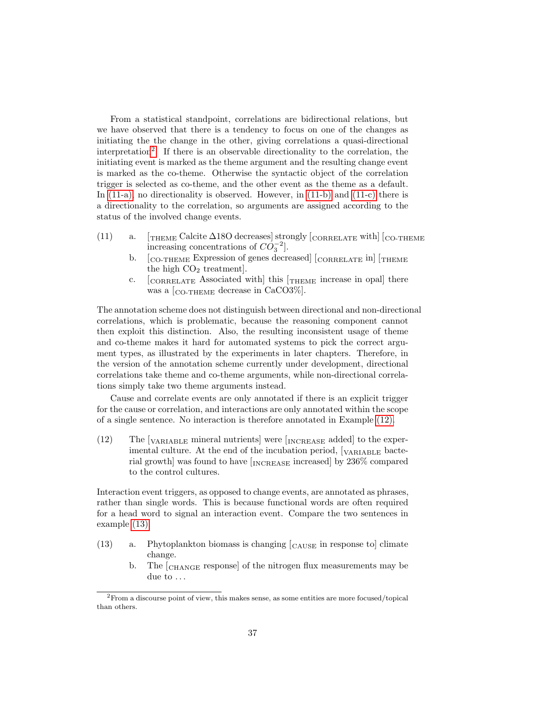From a statistical standpoint, correlations are bidirectional relations, but we have observed that there is a tendency to focus on one of the changes as initiating the the change in the other, giving correlations a quasi-directional interpretation[2](#page-39-0) . If there is an observable directionality to the correlation, the initiating event is marked as the theme argument and the resulting change event is marked as the co-theme. Otherwise the syntactic object of the correlation trigger is selected as co-theme, and the other event as the theme as a default. In [\(11-a\),](#page-39-1) no directionality is observed. However, in [\(11-b\)](#page-39-2) and [\(11-c\)](#page-39-3) there is a directionality to the correlation, so arguments are assigned according to the status of the involved change events.

- <span id="page-39-2"></span><span id="page-39-1"></span>(11) a.  $\int_{\text{THEME}}$  Calcite  $\Delta$ 180 decreases strongly [CORRELATE with [CO-THEME increasing concentrations of  $CO_3^{-2}$ .
	- b. [CO-THEME Expression of genes decreased] [CORRELATE in] [THEME the high  $CO<sub>2</sub>$  treatment].
	- c. [CORRELATE Associated with] this [THEME increase in opal] there was a [CO-THEME decrease in CaCO3%].

<span id="page-39-3"></span>The annotation scheme does not distinguish between directional and non-directional correlations, which is problematic, because the reasoning component cannot then exploit this distinction. Also, the resulting inconsistent usage of theme and co-theme makes it hard for automated systems to pick the correct argument types, as illustrated by the experiments in later chapters. Therefore, in the version of the annotation scheme currently under development, directional correlations take theme and co-theme arguments, while non-directional correlations simply take two theme arguments instead.

Cause and correlate events are only annotated if there is an explicit trigger for the cause or correlation, and interactions are only annotated within the scope of a single sentence. No interaction is therefore annotated in Example [\(12\).](#page-39-4)

<span id="page-39-4"></span>(12) The  $\lbrack_{\text{VARIABLE}}$  mineral nutrients] were  $\lbrack_{\text{INCREASE}}$  added] to the experimental culture. At the end of the incubation period, [VARIABLE bacterial growth] was found to have [INCREASE increased] by 236% compared to the control cultures.

Interaction event triggers, as opposed to change events, are annotated as phrases, rather than single words. This is because functional words are often required for a head word to signal an interaction event. Compare the two sentences in example [\(13\).](#page-39-5)

- <span id="page-39-5"></span> $(13)$  a. Phytoplankton biomass is changing  $\begin{bmatrix} \text{CAUSE} \\ \text{CAUSE} \end{bmatrix}$  in response to climate change.
	- b. The  $\epsilon_{\text{CHANGE}}$  response of the nitrogen flux measurements may be due to ...

<span id="page-39-0"></span> $2^2$ From a discourse point of view, this makes sense, as some entities are more focused/topical than others.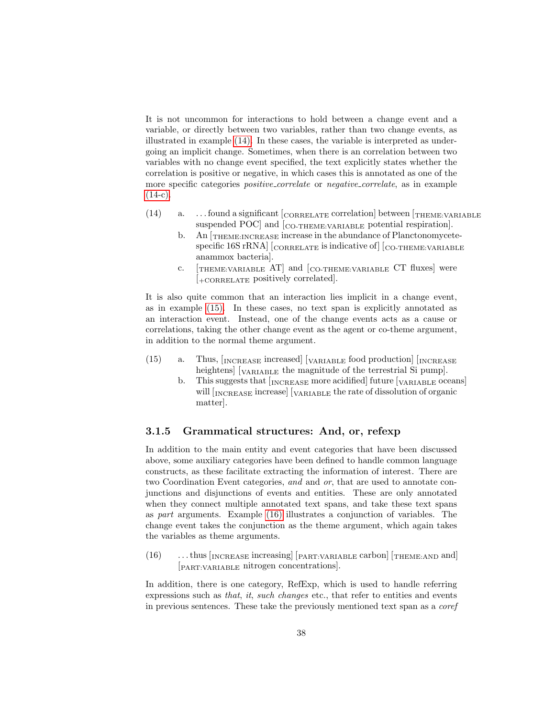It is not uncommon for interactions to hold between a change event and a variable, or directly between two variables, rather than two change events, as illustrated in example [\(14\).](#page-40-0) In these cases, the variable is interpreted as undergoing an implicit change. Sometimes, when there is an correlation between two variables with no change event specified, the text explicitly states whether the correlation is positive or negative, in which cases this is annotated as one of the more specific categories *positive\_correlate* or *negative\_correlate*, as in example  $(14-c).$ 

- <span id="page-40-0"></span>(14) a.  $\dots$  found a significant  $\left[_{CORRELATE}$  correlation between  $\left[_{THEME:VARIABLE}$ suspended POC] and [CO-THEME: VARIABLE potential respiration].
	- b. An [THEME:INCREASE increase in the abundance of Planctonomycetespecific 16S rRNA] [CORRELATE is indicative of] [CO-THEME:VARIABLE anammox bacteria].
	- c. [THEME:VARIABLE AT] and [CO-THEME:VARIABLE CT fluxes] were [+CORRELATE positively correlated].

<span id="page-40-1"></span>It is also quite common that an interaction lies implicit in a change event, as in example [\(15\).](#page-40-2) In these cases, no text span is explicitly annotated as an interaction event. Instead, one of the change events acts as a cause or correlations, taking the other change event as the agent or co-theme argument, in addition to the normal theme argument.

- <span id="page-40-2"></span> $(15)$  a. Thus,  $\left[_{\text{INCREASE}}\right]$  increased  $\left[_{\text{VARIABLE}}\right]$  food production  $\left[_{\text{INCREASE}}\right]$ heightens] [VARIABLE the magnitude of the terrestrial Si pump].
	- b. This suggests that  $[<sub>INCREASE</sub> more acidified] future [<sub>VARIABLE</sub> oceans]$ will  $\left[_{\text{INCREASE}}\right]$  increase  $\left[_{\text{VARIABLE}}\right]$  the rate of dissolution of organic matter].

## 3.1.5 Grammatical structures: And, or, refexp

In addition to the main entity and event categories that have been discussed above, some auxiliary categories have been defined to handle common language constructs, as these facilitate extracting the information of interest. There are two Coordination Event categories, and and or, that are used to annotate conjunctions and disjunctions of events and entities. These are only annotated when they connect multiple annotated text spans, and take these text spans as part arguments. Example [\(16\)](#page-40-3) illustrates a conjunction of variables. The change event takes the conjunction as the theme argument, which again takes the variables as theme arguments.

<span id="page-40-3"></span> $(16)$  ... thus [INCREASE increasing] [PART:VARIABLE carbon] [THEME:AND and] [PART:VARIABLE nitrogen concentrations].

In addition, there is one category, RefExp, which is used to handle referring expressions such as that, it, such changes etc., that refer to entities and events in previous sentences. These take the previously mentioned text span as a coref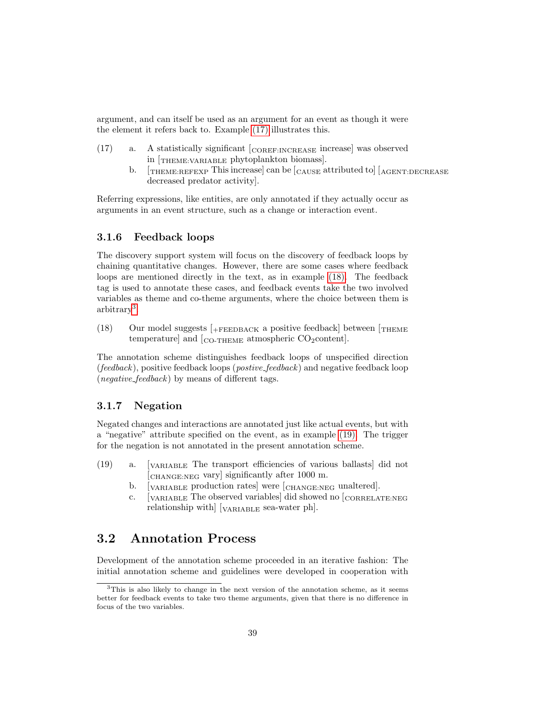argument, and can itself be used as an argument for an event as though it were the element it refers back to. Example [\(17\)](#page-41-0) illustrates this.

- <span id="page-41-0"></span>(17) a. A statistically significant [COREF:INCREASE increase] was observed in [THEME:VARIABLE phytoplankton biomass].
	- b.  $[THEME:REFEXP$  This increase can be  $[cAUSE$  attributed to  $[KGER:DECREASE]$ decreased predator activity].

Referring expressions, like entities, are only annotated if they actually occur as arguments in an event structure, such as a change or interaction event.

## 3.1.6 Feedback loops

The discovery support system will focus on the discovery of feedback loops by chaining quantitative changes. However, there are some cases where feedback loops are mentioned directly in the text, as in example [\(18\).](#page-41-1) The feedback tag is used to annotate these cases, and feedback events take the two involved variables as theme and co-theme arguments, where the choice between them is arbitrary[3](#page-41-2) .

<span id="page-41-1"></span>(18) Our model suggests  $[$ +FEEDBACK a positive feedback] between  $[$ THEME temperature] and  $[_{CO-THEME}$  atmospheric  $CO_2$ content].

The annotation scheme distinguishes feedback loops of unspecified direction ( $feedback$ ), positive feedback loops ( $postive\_feedback$ ) and negative feedback loop (*negative\_feedback*) by means of different tags.

## 3.1.7 Negation

Negated changes and interactions are annotated just like actual events, but with a "negative" attribute specified on the event, as in example [\(19\).](#page-41-3) The trigger for the negation is not annotated in the present annotation scheme.

- <span id="page-41-3"></span>(19) a. [VARIABLE The transport efficiencies of various ballasts] did not [CHANGE:NEG vary] significantly after 1000 m.
	- b.  $\left[\text{VARIABLE}\right]$  production rates were  $\left[\text{CHANGE:NEG}\right]$  unaltered.
	- c. [VARIABLE The observed variables] did showed no [CORRELATE:NEG relationship with] [VARIABLE sea-water ph].

## 3.2 Annotation Process

Development of the annotation scheme proceeded in an iterative fashion: The initial annotation scheme and guidelines were developed in cooperation with

<span id="page-41-2"></span> $3$ This is also likely to change in the next version of the annotation scheme, as it seems better for feedback events to take two theme arguments, given that there is no difference in focus of the two variables.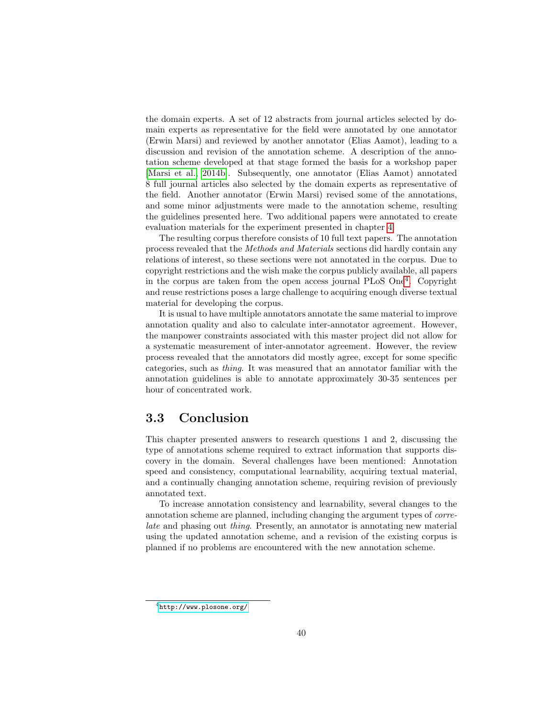the domain experts. A set of 12 abstracts from journal articles selected by domain experts as representative for the field were annotated by one annotator (Erwin Marsi) and reviewed by another annotator (Elias Aamot), leading to a discussion and revision of the annotation scheme. A description of the annotation scheme developed at that stage formed the basis for a workshop paper [\[Marsi et al., 2014b\]](#page-94-0). Subsequently, one annotator (Elias Aamot) annotated 8 full journal articles also selected by the domain experts as representative of the field. Another annotator (Erwin Marsi) revised some of the annotations, and some minor adjustments were made to the annotation scheme, resulting the guidelines presented here. Two additional papers were annotated to create evaluation materials for the experiment presented in chapter [4.](#page-43-0)

The resulting corpus therefore consists of 10 full text papers. The annotation process revealed that the Methods and Materials sections did hardly contain any relations of interest, so these sections were not annotated in the corpus. Due to copyright restrictions and the wish make the corpus publicly available, all papers in the corpus are taken from the open access journal PLoS One[4](#page-42-0) . Copyright and reuse restrictions poses a large challenge to acquiring enough diverse textual material for developing the corpus.

It is usual to have multiple annotators annotate the same material to improve annotation quality and also to calculate inter-annotator agreement. However, the manpower constraints associated with this master project did not allow for a systematic measurement of inter-annotator agreement. However, the review process revealed that the annotators did mostly agree, except for some specific categories, such as thing. It was measured that an annotator familiar with the annotation guidelines is able to annotate approximately 30-35 sentences per hour of concentrated work.

## 3.3 Conclusion

This chapter presented answers to research questions 1 and 2, discussing the type of annotations scheme required to extract information that supports discovery in the domain. Several challenges have been mentioned: Annotation speed and consistency, computational learnability, acquiring textual material, and a continually changing annotation scheme, requiring revision of previously annotated text.

To increase annotation consistency and learnability, several changes to the annotation scheme are planned, including changing the argument types of correlate and phasing out thing. Presently, an annotator is annotating new material using the updated annotation scheme, and a revision of the existing corpus is planned if no problems are encountered with the new annotation scheme.

<span id="page-42-0"></span><sup>4</sup><http://www.plosone.org/>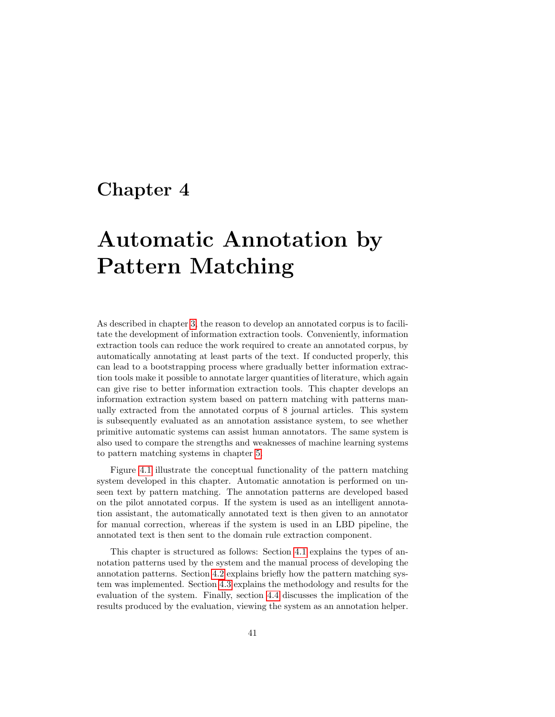## <span id="page-43-0"></span>Chapter 4

# Automatic Annotation by Pattern Matching

As described in chapter [3,](#page-32-0) the reason to develop an annotated corpus is to facilitate the development of information extraction tools. Conveniently, information extraction tools can reduce the work required to create an annotated corpus, by automatically annotating at least parts of the text. If conducted properly, this can lead to a bootstrapping process where gradually better information extraction tools make it possible to annotate larger quantities of literature, which again can give rise to better information extraction tools. This chapter develops an information extraction system based on pattern matching with patterns manually extracted from the annotated corpus of 8 journal articles. This system is subsequently evaluated as an annotation assistance system, to see whether primitive automatic systems can assist human annotators. The same system is also used to compare the strengths and weaknesses of machine learning systems to pattern matching systems in chapter [5.](#page-61-0)

Figure [4.1](#page-44-0) illustrate the conceptual functionality of the pattern matching system developed in this chapter. Automatic annotation is performed on unseen text by pattern matching. The annotation patterns are developed based on the pilot annotated corpus. If the system is used as an intelligent annotation assistant, the automatically annotated text is then given to an annotator for manual correction, whereas if the system is used in an LBD pipeline, the annotated text is then sent to the domain rule extraction component.

This chapter is structured as follows: Section [4.1](#page-44-1) explains the types of annotation patterns used by the system and the manual process of developing the annotation patterns. Section [4.2](#page-50-0) explains briefly how the pattern matching system was implemented. Section [4.3](#page-51-0) explains the methodology and results for the evaluation of the system. Finally, section [4.4](#page-56-0) discusses the implication of the results produced by the evaluation, viewing the system as an annotation helper.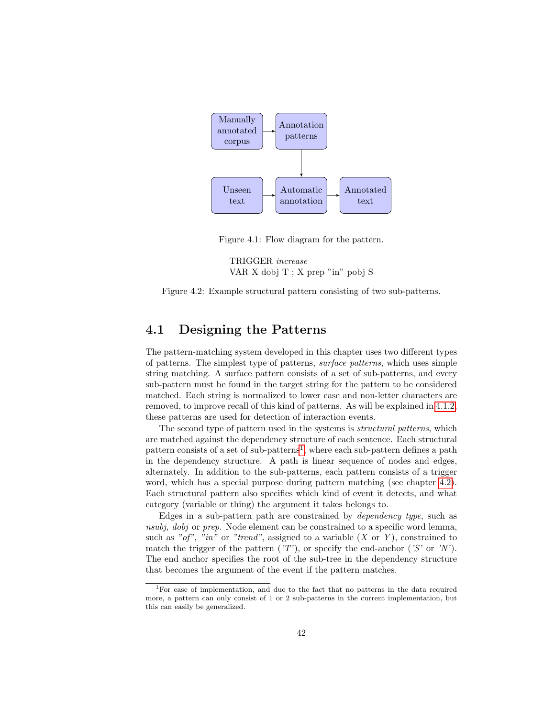

Figure 4.1: Flow diagram for the pattern.

<span id="page-44-3"></span><span id="page-44-0"></span>TRIGGER increase VAR X dobj T ; X prep "in" pobj S



## <span id="page-44-1"></span>4.1 Designing the Patterns

The pattern-matching system developed in this chapter uses two different types of patterns. The simplest type of patterns, surface patterns, which uses simple string matching. A surface pattern consists of a set of sub-patterns, and every sub-pattern must be found in the target string for the pattern to be considered matched. Each string is normalized to lower case and non-letter characters are removed, to improve recall of this kind of patterns. As will be explained in [4.1.2,](#page-47-0) these patterns are used for detection of interaction events.

The second type of pattern used in the systems is *structural patterns*, which are matched against the dependency structure of each sentence. Each structural pattern consists of a set of sub-patterns<sup>[1](#page-44-2)</sup>, where each sub-pattern defines a path in the dependency structure. A path is linear sequence of nodes and edges, alternately. In addition to the sub-patterns, each pattern consists of a trigger word, which has a special purpose during pattern matching (see chapter [4.2\)](#page-50-0). Each structural pattern also specifies which kind of event it detects, and what category (variable or thing) the argument it takes belongs to.

Edges in a sub-pattern path are constrained by dependency type, such as nsubj, dobj or prep. Node element can be constrained to a specific word lemma, such as "of", "in" or "trend", assigned to a variable  $(X \text{ or } Y)$ , constrained to match the trigger of the pattern ( $'T'$ ), or specify the end-anchor ( $'S'$  or  $'N'$ ). The end anchor specifies the root of the sub-tree in the dependency structure that becomes the argument of the event if the pattern matches.

<span id="page-44-2"></span><sup>1</sup>For ease of implementation, and due to the fact that no patterns in the data required more, a pattern can only consist of 1 or 2 sub-patterns in the current implementation, but this can easily be generalized.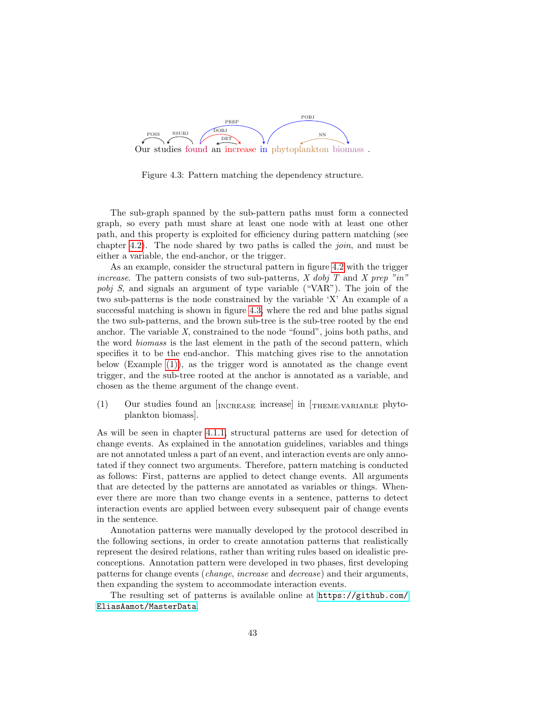

<span id="page-45-0"></span>Figure 4.3: Pattern matching the dependency structure.

The sub-graph spanned by the sub-pattern paths must form a connected graph, so every path must share at least one node with at least one other path, and this property is exploited for efficiency during pattern matching (see chapter [4.2\)](#page-50-0). The node shared by two paths is called the *join*, and must be either a variable, the end-anchor, or the trigger.

As an example, consider the structural pattern in figure [4.2](#page-44-3) with the trigger increase. The pattern consists of two sub-patterns,  $X$  dobj  $T$  and  $X$  prep "in" pobj S, and signals an argument of type variable ("VAR"). The join of the two sub-patterns is the node constrained by the variable 'X' An example of a successful matching is shown in figure [4.3,](#page-45-0) where the red and blue paths signal the two sub-patterns, and the brown sub-tree is the sub-tree rooted by the end anchor. The variable X, constrained to the node "found", joins both paths, and the word biomass is the last element in the path of the second pattern, which specifies it to be the end-anchor. This matching gives rise to the annotation below (Example  $(1)$ ), as the trigger word is annotated as the change event trigger, and the sub-tree rooted at the anchor is annotated as a variable, and chosen as the theme argument of the change event.

 $(1)$  Our studies found an  $\lceil_{\text{INCREASE}}\rceil$  increase in  $\lceil_{\text{THEIME:VARIABLE}}\rceil$  phytoplankton biomass].

As will be seen in chapter [4.1.1,](#page-46-0) structural patterns are used for detection of change events. As explained in the annotation guidelines, variables and things are not annotated unless a part of an event, and interaction events are only annotated if they connect two arguments. Therefore, pattern matching is conducted as follows: First, patterns are applied to detect change events. All arguments that are detected by the patterns are annotated as variables or things. Whenever there are more than two change events in a sentence, patterns to detect interaction events are applied between every subsequent pair of change events in the sentence.

Annotation patterns were manually developed by the protocol described in the following sections, in order to create annotation patterns that realistically represent the desired relations, rather than writing rules based on idealistic preconceptions. Annotation pattern were developed in two phases, first developing patterns for change events (change, increase and decrease) and their arguments, then expanding the system to accommodate interaction events.

The resulting set of patterns is available online at [https://github.com/](https://github.com/EliasAamot/MasterData) [EliasAamot/MasterData](https://github.com/EliasAamot/MasterData).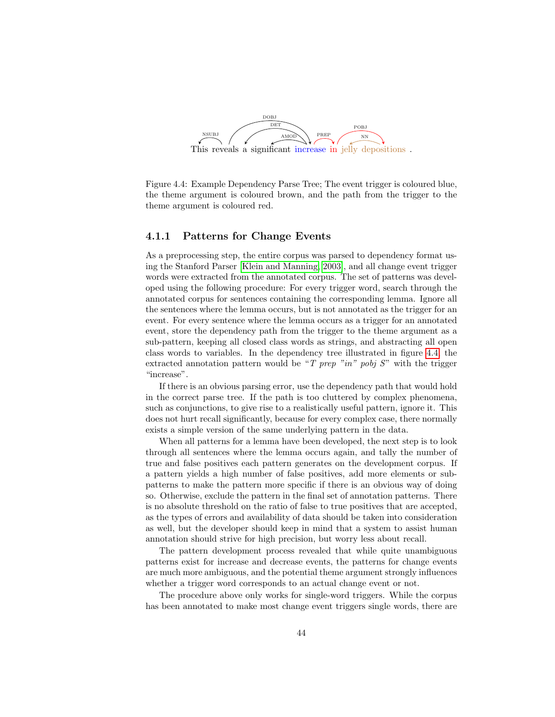

<span id="page-46-1"></span>Figure 4.4: Example Dependency Parse Tree; The event trigger is coloured blue, the theme argument is coloured brown, and the path from the trigger to the theme argument is coloured red.

#### <span id="page-46-0"></span>4.1.1 Patterns for Change Events

As a preprocessing step, the entire corpus was parsed to dependency format using the Stanford Parser [\[Klein and Manning, 2003\]](#page-93-0), and all change event trigger words were extracted from the annotated corpus. The set of patterns was developed using the following procedure: For every trigger word, search through the annotated corpus for sentences containing the corresponding lemma. Ignore all the sentences where the lemma occurs, but is not annotated as the trigger for an event. For every sentence where the lemma occurs as a trigger for an annotated event, store the dependency path from the trigger to the theme argument as a sub-pattern, keeping all closed class words as strings, and abstracting all open class words to variables. In the dependency tree illustrated in figure [4.4,](#page-46-1) the extracted annotation pattern would be "T prep "in" pobj  $S$ " with the trigger "increase".

If there is an obvious parsing error, use the dependency path that would hold in the correct parse tree. If the path is too cluttered by complex phenomena, such as conjunctions, to give rise to a realistically useful pattern, ignore it. This does not hurt recall significantly, because for every complex case, there normally exists a simple version of the same underlying pattern in the data.

When all patterns for a lemma have been developed, the next step is to look through all sentences where the lemma occurs again, and tally the number of true and false positives each pattern generates on the development corpus. If a pattern yields a high number of false positives, add more elements or subpatterns to make the pattern more specific if there is an obvious way of doing so. Otherwise, exclude the pattern in the final set of annotation patterns. There is no absolute threshold on the ratio of false to true positives that are accepted, as the types of errors and availability of data should be taken into consideration as well, but the developer should keep in mind that a system to assist human annotation should strive for high precision, but worry less about recall.

The pattern development process revealed that while quite unambiguous patterns exist for increase and decrease events, the patterns for change events are much more ambiguous, and the potential theme argument strongly influences whether a trigger word corresponds to an actual change event or not.

The procedure above only works for single-word triggers. While the corpus has been annotated to make most change event triggers single words, there are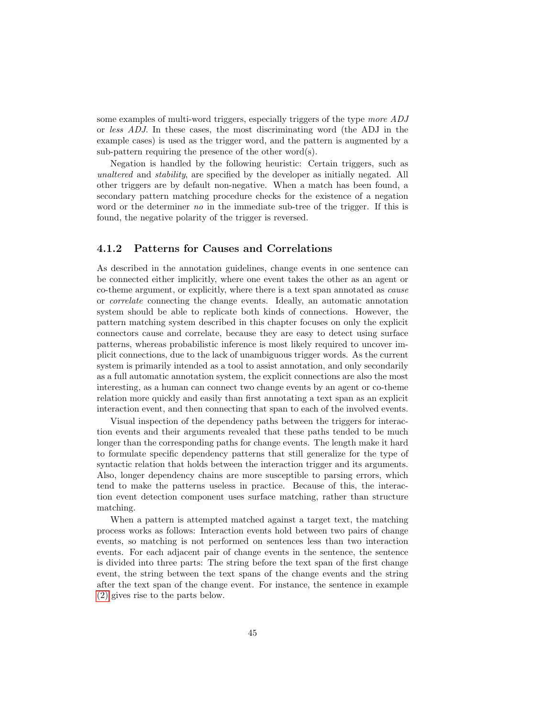some examples of multi-word triggers, especially triggers of the type more ADJ or less ADJ. In these cases, the most discriminating word (the ADJ in the example cases) is used as the trigger word, and the pattern is augmented by a sub-pattern requiring the presence of the other word(s).

Negation is handled by the following heuristic: Certain triggers, such as unaltered and stability, are specified by the developer as initially negated. All other triggers are by default non-negative. When a match has been found, a secondary pattern matching procedure checks for the existence of a negation word or the determiner no in the immediate sub-tree of the trigger. If this is found, the negative polarity of the trigger is reversed.

## <span id="page-47-0"></span>4.1.2 Patterns for Causes and Correlations

As described in the annotation guidelines, change events in one sentence can be connected either implicitly, where one event takes the other as an agent or co-theme argument, or explicitly, where there is a text span annotated as cause or correlate connecting the change events. Ideally, an automatic annotation system should be able to replicate both kinds of connections. However, the pattern matching system described in this chapter focuses on only the explicit connectors cause and correlate, because they are easy to detect using surface patterns, whereas probabilistic inference is most likely required to uncover implicit connections, due to the lack of unambiguous trigger words. As the current system is primarily intended as a tool to assist annotation, and only secondarily as a full automatic annotation system, the explicit connections are also the most interesting, as a human can connect two change events by an agent or co-theme relation more quickly and easily than first annotating a text span as an explicit interaction event, and then connecting that span to each of the involved events.

Visual inspection of the dependency paths between the triggers for interaction events and their arguments revealed that these paths tended to be much longer than the corresponding paths for change events. The length make it hard to formulate specific dependency patterns that still generalize for the type of syntactic relation that holds between the interaction trigger and its arguments. Also, longer dependency chains are more susceptible to parsing errors, which tend to make the patterns useless in practice. Because of this, the interaction event detection component uses surface matching, rather than structure matching.

When a pattern is attempted matched against a target text, the matching process works as follows: Interaction events hold between two pairs of change events, so matching is not performed on sentences less than two interaction events. For each adjacent pair of change events in the sentence, the sentence is divided into three parts: The string before the text span of the first change event, the string between the text spans of the change events and the string after the text span of the change event. For instance, the sentence in example [\(2\)](#page-9-1) gives rise to the parts below.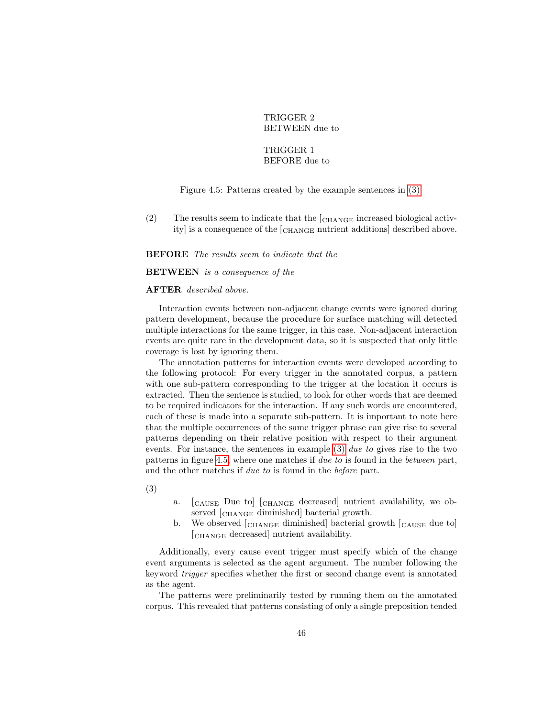## TRIGGER 2 BETWEEN due to

### TRIGGER 1 BEFORE due to

#### <span id="page-48-0"></span>Figure 4.5: Patterns created by the example sentences in [\(3\).](#page-37-0)

(2) The results seem to indicate that the  $\epsilon$ <sub>CHANGE</sub> increased biological activity is a consequence of the  $\epsilon_{\text{CHANGE}}$  nutrient additions described above.

BEFORE The results seem to indicate that the

#### BETWEEN is a consequence of the

#### AFTER described above.

Interaction events between non-adjacent change events were ignored during pattern development, because the procedure for surface matching will detected multiple interactions for the same trigger, in this case. Non-adjacent interaction events are quite rare in the development data, so it is suspected that only little coverage is lost by ignoring them.

The annotation patterns for interaction events were developed according to the following protocol: For every trigger in the annotated corpus, a pattern with one sub-pattern corresponding to the trigger at the location it occurs is extracted. Then the sentence is studied, to look for other words that are deemed to be required indicators for the interaction. If any such words are encountered, each of these is made into a separate sub-pattern. It is important to note here that the multiple occurrences of the same trigger phrase can give rise to several patterns depending on their relative position with respect to their argument events. For instance, the sentences in example  $(3)$  due to gives rise to the two patterns in figure [4.5,](#page-48-0) where one matches if due to is found in the between part, and the other matches if due to is found in the before part.

(3)

- a. [CAUSE Due to] [CHANGE decreased] nutrient availability, we observed [CHANGE diminished] bacterial growth.
- b. We observed  $\epsilon$  [CHANGE diminished] bacterial growth  $\epsilon$ <sub>CAUSE</sub> due to [CHANGE decreased] nutrient availability.

Additionally, every cause event trigger must specify which of the change event arguments is selected as the agent argument. The number following the keyword trigger specifies whether the first or second change event is annotated as the agent.

The patterns were preliminarily tested by running them on the annotated corpus. This revealed that patterns consisting of only a single preposition tended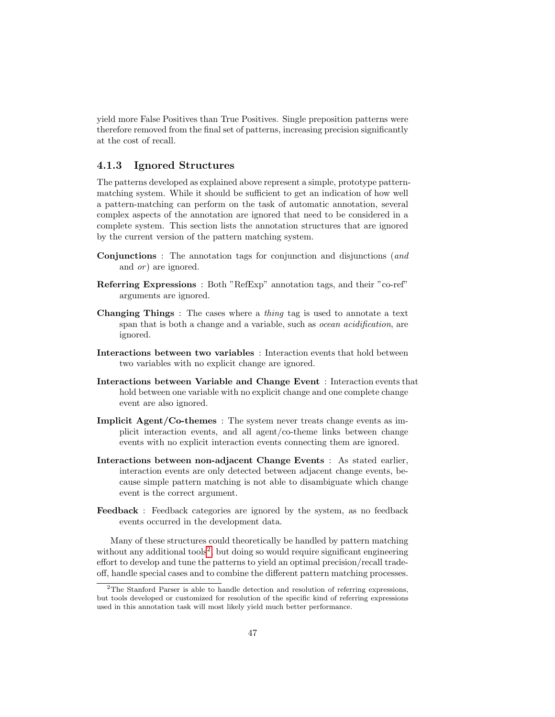yield more False Positives than True Positives. Single preposition patterns were therefore removed from the final set of patterns, increasing precision significantly at the cost of recall.

## <span id="page-49-1"></span>4.1.3 Ignored Structures

The patterns developed as explained above represent a simple, prototype patternmatching system. While it should be sufficient to get an indication of how well a pattern-matching can perform on the task of automatic annotation, several complex aspects of the annotation are ignored that need to be considered in a complete system. This section lists the annotation structures that are ignored by the current version of the pattern matching system.

- Conjunctions : The annotation tags for conjunction and disjunctions (and and *or*) are ignored.
- Referring Expressions : Both "RefExp" annotation tags, and their "co-ref" arguments are ignored.
- Changing Things: The cases where a *thing* tag is used to annotate a text span that is both a change and a variable, such as *ocean acidification*, are ignored.
- Interactions between two variables : Interaction events that hold between two variables with no explicit change are ignored.
- Interactions between Variable and Change Event : Interaction events that hold between one variable with no explicit change and one complete change event are also ignored.
- Implicit Agent/Co-themes : The system never treats change events as implicit interaction events, and all agent/co-theme links between change events with no explicit interaction events connecting them are ignored.
- Interactions between non-adjacent Change Events : As stated earlier, interaction events are only detected between adjacent change events, because simple pattern matching is not able to disambiguate which change event is the correct argument.
- Feedback : Feedback categories are ignored by the system, as no feedback events occurred in the development data.

Many of these structures could theoretically be handled by pattern matching without any additional tools<sup>[2](#page-49-0)</sup>, but doing so would require significant engineering effort to develop and tune the patterns to yield an optimal precision/recall tradeoff, handle special cases and to combine the different pattern matching processes.

<span id="page-49-0"></span> $2$ The Stanford Parser is able to handle detection and resolution of referring expressions, but tools developed or customized for resolution of the specific kind of referring expressions used in this annotation task will most likely yield much better performance.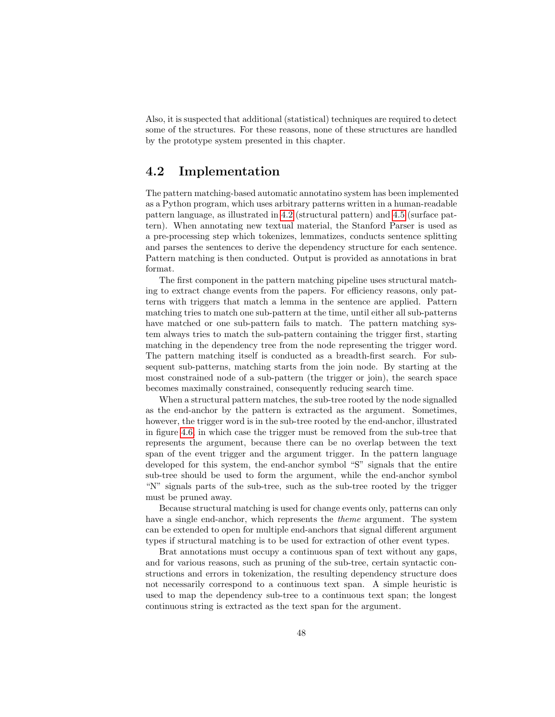Also, it is suspected that additional (statistical) techniques are required to detect some of the structures. For these reasons, none of these structures are handled by the prototype system presented in this chapter.

## <span id="page-50-0"></span>4.2 Implementation

The pattern matching-based automatic annotatino system has been implemented as a Python program, which uses arbitrary patterns written in a human-readable pattern language, as illustrated in [4.2](#page-44-3) (structural pattern) and [4.5](#page-48-0) (surface pattern). When annotating new textual material, the Stanford Parser is used as a pre-processing step which tokenizes, lemmatizes, conducts sentence splitting and parses the sentences to derive the dependency structure for each sentence. Pattern matching is then conducted. Output is provided as annotations in brat format.

The first component in the pattern matching pipeline uses structural matching to extract change events from the papers. For efficiency reasons, only patterns with triggers that match a lemma in the sentence are applied. Pattern matching tries to match one sub-pattern at the time, until either all sub-patterns have matched or one sub-pattern fails to match. The pattern matching system always tries to match the sub-pattern containing the trigger first, starting matching in the dependency tree from the node representing the trigger word. The pattern matching itself is conducted as a breadth-first search. For subsequent sub-patterns, matching starts from the join node. By starting at the most constrained node of a sub-pattern (the trigger or join), the search space becomes maximally constrained, consequently reducing search time.

When a structural pattern matches, the sub-tree rooted by the node signalled as the end-anchor by the pattern is extracted as the argument. Sometimes, however, the trigger word is in the sub-tree rooted by the end-anchor, illustrated in figure [4.6,](#page-51-1) in which case the trigger must be removed from the sub-tree that represents the argument, because there can be no overlap between the text span of the event trigger and the argument trigger. In the pattern language developed for this system, the end-anchor symbol "S" signals that the entire sub-tree should be used to form the argument, while the end-anchor symbol "N" signals parts of the sub-tree, such as the sub-tree rooted by the trigger must be pruned away.

Because structural matching is used for change events only, patterns can only have a single end-anchor, which represents the theme argument. The system can be extended to open for multiple end-anchors that signal different argument types if structural matching is to be used for extraction of other event types.

Brat annotations must occupy a continuous span of text without any gaps, and for various reasons, such as pruning of the sub-tree, certain syntactic constructions and errors in tokenization, the resulting dependency structure does not necessarily correspond to a continuous text span. A simple heuristic is used to map the dependency sub-tree to a continuous text span; the longest continuous string is extracted as the text span for the argument.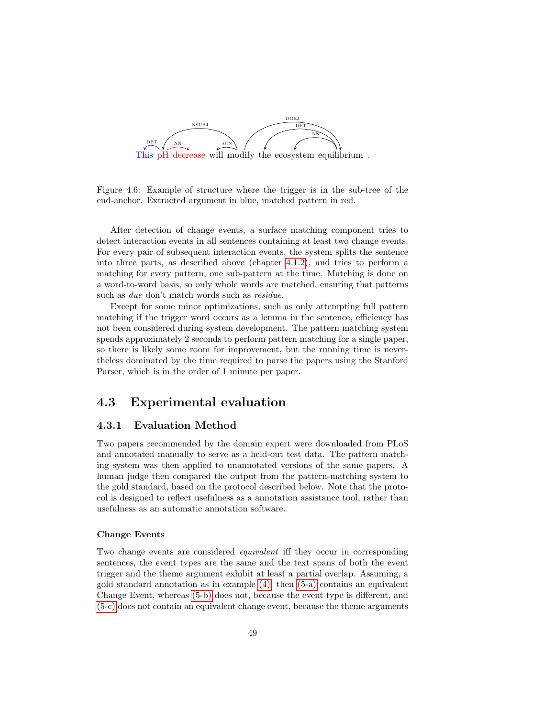

<span id="page-51-1"></span>Figure 4.6: Example of structure where the trigger is in the sub-tree of the end-anchor. Extracted argument in blue, matched pattern in red.

After detection of change events, a surface matching component tries to detect interaction events in all sentences containing at least two change events. For every pair of subsequent interaction events, the system splits the sentence into three parts, as described above (chapter [4.1.2\)](#page-47-0), and tries to perform a matching for every pattern, one sub-pattern at the time. Matching is done on a word-to-word basis, so only whole words are matched, ensuring that patterns such as due don't match words such as residue.

Except for some minor optimizations, such as only attempting full pattern matching if the trigger word occurs as a lemma in the sentence, efficiency has not been considered during system development. The pattern matching system spends approximately 2 seconds to perform pattern matching for a single paper, so there is likely some room for improvement, but the running time is nevertheless dominated by the time required to parse the papers using the Stanford Parser, which is in the order of 1 minute per paper.

## <span id="page-51-0"></span>4.3 Experimental evaluation

## 4.3.1 Evaluation Method

Two papers recommended by the domain expert were downloaded from PLoS and annotated manually to serve as a held-out test data. The pattern matching system was then applied to unannotated versions of the same papers. A human judge then compared the output from the pattern-matching system to the gold standard, based on the protocol described below. Note that the protocol is designed to reflect usefulness as a annotation assistance tool, rather than usefulness as an automatic annotation software.

#### Change Events

Two change events are considered *equivalent* iff they occur in corresponding sentences, the event types are the same and the text spans of both the event trigger and the theme argument exhibit at least a partial overlap. Assuming, a gold standard annotation as in example  $(4)$ , then  $(5-a)$  contains an equivalent Change Event, whereas [\(5-b\)](#page-52-1) does not, because the event type is different, and [\(5-c\)](#page-52-2) does not contain an equivalent change event, because the theme arguments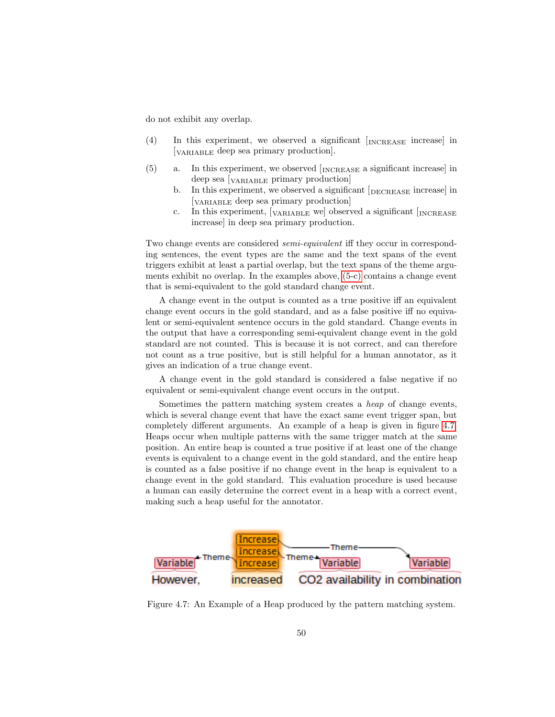do not exhibit any overlap.

- (4) In this experiment, we observed a significant [ INCREASE increase] in [VARIABLE deep sea primary production].
- <span id="page-52-1"></span><span id="page-52-0"></span>(5) a. In this experiment, we observed [INCREASE a significant increase] in deep sea [VARIABLE primary production]
	- b. In this experiment, we observed a significant [DECREASE increase] in [VARIABLE deep sea primary production]
	- c. In this experiment,  $\lceil_{\text{VARIABLE}}\rceil$  we observed a significant  $\lceil_{\text{INCREASE}}\rceil$ increase] in deep sea primary production.

<span id="page-52-2"></span>Two change events are considered semi-equivalent iff they occur in corresponding sentences, the event types are the same and the text spans of the event triggers exhibit at least a partial overlap, but the text spans of the theme arguments exhibit no overlap. In the examples above, [\(5-c\)](#page-52-2) contains a change event that is semi-equivalent to the gold standard change event.

A change event in the output is counted as a true positive iff an equivalent change event occurs in the gold standard, and as a false positive iff no equivalent or semi-equivalent sentence occurs in the gold standard. Change events in the output that have a corresponding semi-equivalent change event in the gold standard are not counted. This is because it is not correct, and can therefore not count as a true positive, but is still helpful for a human annotator, as it gives an indication of a true change event.

A change event in the gold standard is considered a false negative if no equivalent or semi-equivalent change event occurs in the output.

Sometimes the pattern matching system creates a heap of change events, which is several change event that have the exact same event trigger span, but completely different arguments. An example of a heap is given in figure [4.7.](#page-52-3) Heaps occur when multiple patterns with the same trigger match at the same position. An entire heap is counted a true positive if at least one of the change events is equivalent to a change event in the gold standard, and the entire heap is counted as a false positive if no change event in the heap is equivalent to a change event in the gold standard. This evaluation procedure is used because a human can easily determine the correct event in a heap with a correct event, making such a heap useful for the annotator.



<span id="page-52-3"></span>Figure 4.7: An Example of a Heap produced by the pattern matching system.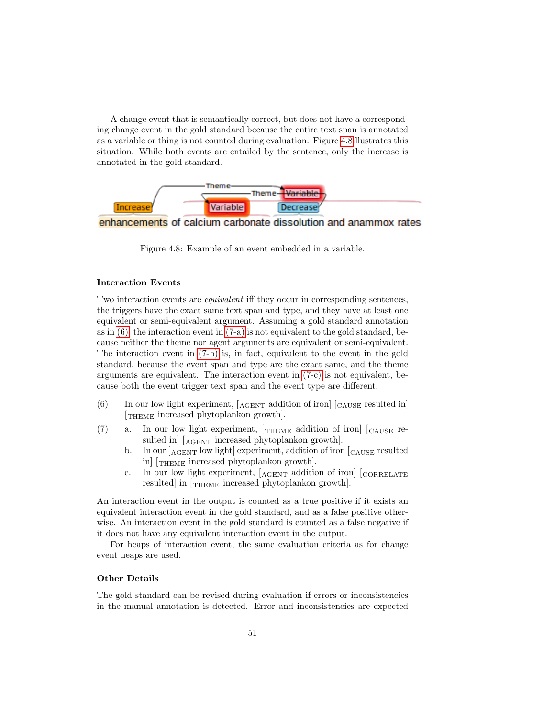A change event that is semantically correct, but does not have a corresponding change event in the gold standard because the entire text span is annotated as a variable or thing is not counted during evaluation. Figure [4.8i](#page-53-0)llustrates this situation. While both events are entailed by the sentence, only the increase is annotated in the gold standard.





<span id="page-53-0"></span>Figure 4.8: Example of an event embedded in a variable.

#### Interaction Events

Two interaction events are equivalent iff they occur in corresponding sentences, the triggers have the exact same text span and type, and they have at least one equivalent or semi-equivalent argument. Assuming a gold standard annotation as in  $(6)$ , the interaction event in  $(7-a)$  is not equivalent to the gold standard, because neither the theme nor agent arguments are equivalent or semi-equivalent. The interaction event in [\(7-b\)](#page-53-2) is, in fact, equivalent to the event in the gold standard, because the event span and type are the exact same, and the theme arguments are equivalent. The interaction event in [\(7-c\)](#page-53-3) is not equivalent, because both the event trigger text span and the event type are different.

- (6) In our low light experiment,  $[AGENT]$  addition of iron  $[C_{\text{AUSE}}]$  resulted in [THEME increased phytoplankon growth].
- <span id="page-53-2"></span><span id="page-53-1"></span>(7) a. In our low light experiment,  $T_{\text{THEME}}$  addition of iron  $\vert_{\text{CAUSE}}$  resulted in [ $_{AGENT}$  increased phytoplankon growth].
	- b. In our  $\left[\right]_{\text{AGENT}}$  low light experiment, addition of iron  $\left[\right]_{\text{CAUSE}}$  resulted in] [THEME increased phytoplankon growth].
	- c. In our low light experiment,  $[A<sub>GENT</sub>$  addition of iron]  $[C<sub>ORRELATE</sub>]$ resulted in  $[\text{THEME}$  increased phytoplankon growth.

<span id="page-53-3"></span>An interaction event in the output is counted as a true positive if it exists an equivalent interaction event in the gold standard, and as a false positive otherwise. An interaction event in the gold standard is counted as a false negative if it does not have any equivalent interaction event in the output.

For heaps of interaction event, the same evaluation criteria as for change event heaps are used.

#### Other Details

The gold standard can be revised during evaluation if errors or inconsistencies in the manual annotation is detected. Error and inconsistencies are expected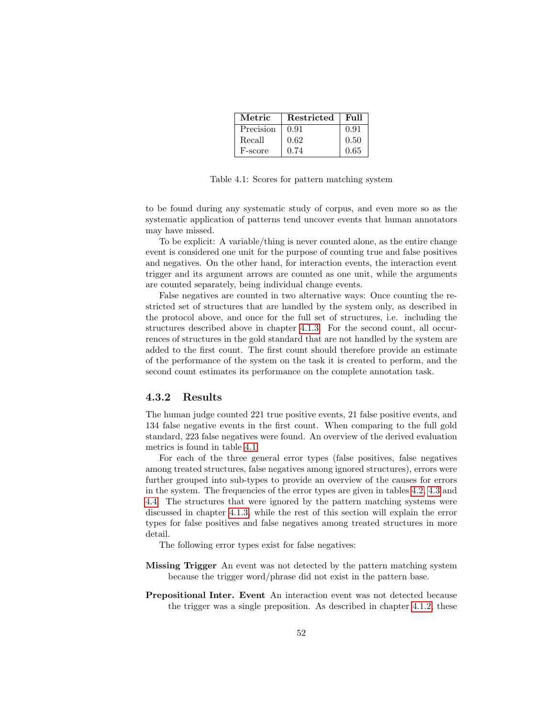| Metric    | Restricted | Full |
|-----------|------------|------|
| Precision | 0.91       | 0.91 |
| Recall    | 0.62       | 0.50 |
| F-score   | 0.74       | 0.65 |

<span id="page-54-0"></span>Table 4.1: Scores for pattern matching system

to be found during any systematic study of corpus, and even more so as the systematic application of patterns tend uncover events that human annotators may have missed.

To be explicit: A variable/thing is never counted alone, as the entire change event is considered one unit for the purpose of counting true and false positives and negatives. On the other hand, for interaction events, the interaction event trigger and its argument arrows are counted as one unit, while the arguments are counted separately, being individual change events.

False negatives are counted in two alternative ways: Once counting the restricted set of structures that are handled by the system only, as described in the protocol above, and once for the full set of structures, i.e. including the structures described above in chapter [4.1.3.](#page-49-1) For the second count, all occurrences of structures in the gold standard that are not handled by the system are added to the first count. The first count should therefore provide an estimate of the performance of the system on the task it is created to perform, and the second count estimates its performance on the complete annotation task.

#### 4.3.2 Results

The human judge counted 221 true positive events, 21 false positive events, and 134 false negative events in the first count. When comparing to the full gold standard, 223 false negatives were found. An overview of the derived evaluation metrics is found in table [4.1.](#page-54-0)

For each of the three general error types (false positives, false negatives among treated structures, false negatives among ignored structures), errors were further grouped into sub-types to provide an overview of the causes for errors in the system. The frequencies of the error types are given in tables [4.2,](#page-55-0) [4.3](#page-55-1) and [4.4.](#page-55-2) The structures that were ignored by the pattern matching systems were discussed in chapter [4.1.3,](#page-49-1) while the rest of this section will explain the error types for false positives and false negatives among treated structures in more detail.

The following error types exist for false negatives:

- Missing Trigger An event was not detected by the pattern matching system because the trigger word/phrase did not exist in the pattern base.
- Prepositional Inter. Event An interaction event was not detected because the trigger was a single preposition. As described in chapter [4.1.2,](#page-47-0) these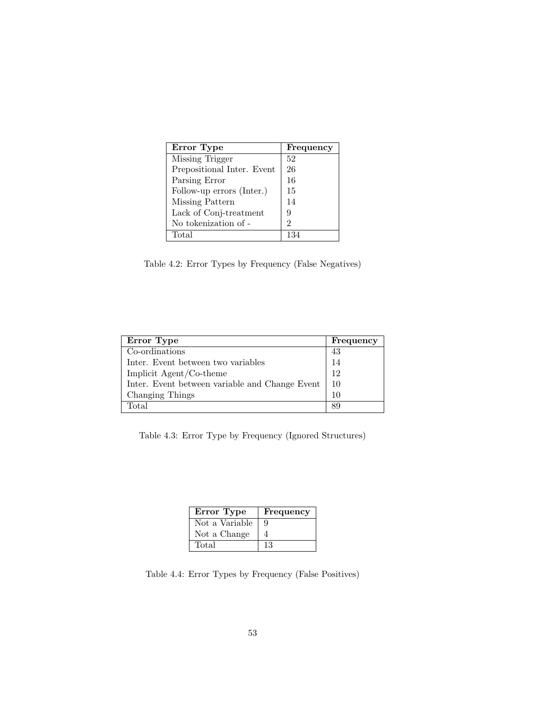| Error Type                 | Frequency      |
|----------------------------|----------------|
| Missing Trigger            | 52             |
| Prepositional Inter. Event | 26             |
| Parsing Error              | 16             |
| Follow-up errors (Inter.)  | 15             |
| Missing Pattern            | 14             |
| Lack of Conj-treatment     | 9              |
| No tokenization of -       | $\mathfrak{D}$ |
| Total                      | 134            |

<span id="page-55-0"></span>Table 4.2: Error Types by Frequency (False Negatives)

| Error Type                                     | Frequency |
|------------------------------------------------|-----------|
| Co-ordinations                                 | 43        |
| Inter. Event between two variables             | 14        |
| Implicit Agent/Co-theme                        | 12        |
| Inter. Event between variable and Change Event | -10       |
| Changing Things                                | 10        |
| Total                                          | 89        |

<span id="page-55-1"></span>Table 4.3: Error Type by Frequency (Ignored Structures)

| Error Type     | Frequency |
|----------------|-----------|
| Not a Variable | 9         |
| Not a Change   |           |
| Total          | 13        |

<span id="page-55-2"></span>Table 4.4: Error Types by Frequency (False Positives)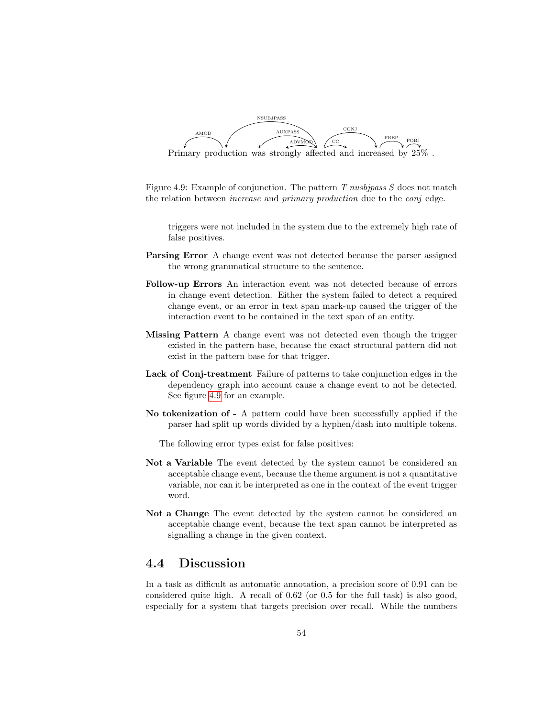

<span id="page-56-1"></span>Figure 4.9: Example of conjunction. The pattern  $T$  nusbjpass  $S$  does not match the relation between *increase* and *primary production* due to the *conj* edge.

triggers were not included in the system due to the extremely high rate of false positives.

- Parsing Error A change event was not detected because the parser assigned the wrong grammatical structure to the sentence.
- Follow-up Errors An interaction event was not detected because of errors in change event detection. Either the system failed to detect a required change event, or an error in text span mark-up caused the trigger of the interaction event to be contained in the text span of an entity.
- Missing Pattern A change event was not detected even though the trigger existed in the pattern base, because the exact structural pattern did not exist in the pattern base for that trigger.
- Lack of Conj-treatment Failure of patterns to take conjunction edges in the dependency graph into account cause a change event to not be detected. See figure [4.9](#page-56-1) for an example.
- No tokenization of A pattern could have been successfully applied if the parser had split up words divided by a hyphen/dash into multiple tokens.

The following error types exist for false positives:

- Not a Variable The event detected by the system cannot be considered an acceptable change event, because the theme argument is not a quantitative variable, nor can it be interpreted as one in the context of the event trigger word.
- Not a Change The event detected by the system cannot be considered an acceptable change event, because the text span cannot be interpreted as signalling a change in the given context.

## <span id="page-56-0"></span>4.4 Discussion

In a task as difficult as automatic annotation, a precision score of 0.91 can be considered quite high. A recall of 0.62 (or 0.5 for the full task) is also good, especially for a system that targets precision over recall. While the numbers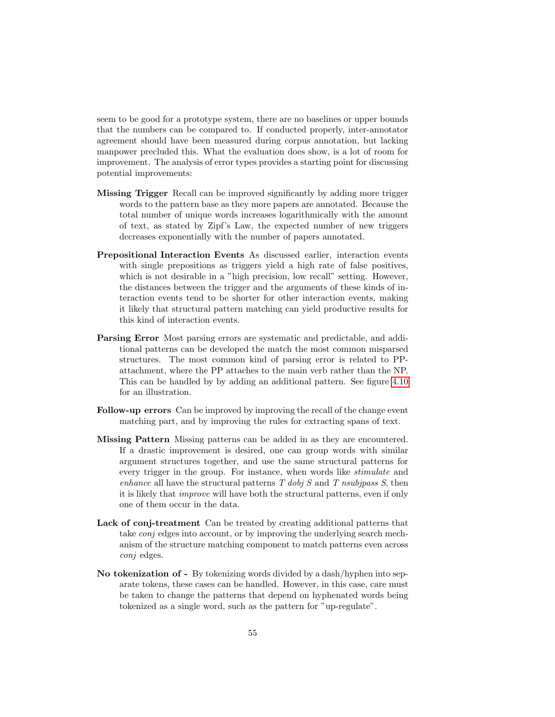seem to be good for a prototype system, there are no baselines or upper bounds that the numbers can be compared to. If conducted properly, inter-annotator agreement should have been measured during corpus annotation, but lacking manpower precluded this. What the evaluation does show, is a lot of room for improvement. The analysis of error types provides a starting point for discussing potential improvements:

- Missing Trigger Recall can be improved significantly by adding more trigger words to the pattern base as they more papers are annotated. Because the total number of unique words increases logarithmically with the amount of text, as stated by Zipf's Law, the expected number of new triggers decreases exponentially with the number of papers annotated.
- Prepositional Interaction Events As discussed earlier, interaction events with single prepositions as triggers yield a high rate of false positives, which is not desirable in a "high precision, low recall" setting. However, the distances between the trigger and the arguments of these kinds of interaction events tend to be shorter for other interaction events, making it likely that structural pattern matching can yield productive results for this kind of interaction events.
- Parsing Error Most parsing errors are systematic and predictable, and additional patterns can be developed the match the most common misparsed structures. The most common kind of parsing error is related to PPattachment, where the PP attaches to the main verb rather than the NP. This can be handled by by adding an additional pattern. See figure [4.10](#page-58-0) for an illustration.
- Follow-up errors Can be improved by improving the recall of the change event matching part, and by improving the rules for extracting spans of text.
- Missing Pattern Missing patterns can be added in as they are encountered. If a drastic improvement is desired, one can group words with similar argument structures together, and use the same structural patterns for every trigger in the group. For instance, when words like stimulate and enhance all have the structural patterns  $T$  dobj  $S$  and  $T$  nsubjpass  $S$ , then it is likely that improve will have both the structural patterns, even if only one of them occur in the data.
- Lack of conj-treatment Can be treated by creating additional patterns that take conj edges into account, or by improving the underlying search mechanism of the structure matching component to match patterns even across conj edges.
- No tokenization of By tokenizing words divided by a dash/hyphen into separate tokens, these cases can be handled. However, in this case, care must be taken to change the patterns that depend on hyphenated words being tokenized as a single word, such as the pattern for "up-regulate".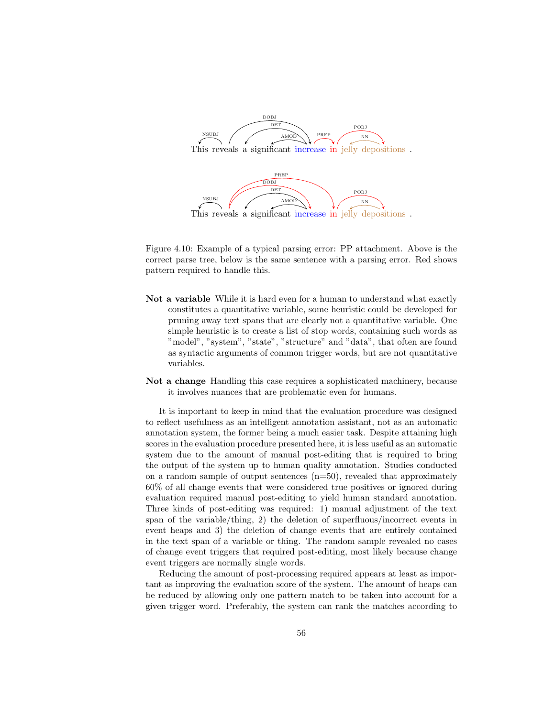

<span id="page-58-0"></span>Figure 4.10: Example of a typical parsing error: PP attachment. Above is the correct parse tree, below is the same sentence with a parsing error. Red shows pattern required to handle this.

- Not a variable While it is hard even for a human to understand what exactly constitutes a quantitative variable, some heuristic could be developed for pruning away text spans that are clearly not a quantitative variable. One simple heuristic is to create a list of stop words, containing such words as "model", "system", "state", "structure" and "data", that often are found as syntactic arguments of common trigger words, but are not quantitative variables.
- Not a change Handling this case requires a sophisticated machinery, because it involves nuances that are problematic even for humans.

It is important to keep in mind that the evaluation procedure was designed to reflect usefulness as an intelligent annotation assistant, not as an automatic annotation system, the former being a much easier task. Despite attaining high scores in the evaluation procedure presented here, it is less useful as an automatic system due to the amount of manual post-editing that is required to bring the output of the system up to human quality annotation. Studies conducted on a random sample of output sentences  $(n=50)$ , revealed that approximately 60% of all change events that were considered true positives or ignored during evaluation required manual post-editing to yield human standard annotation. Three kinds of post-editing was required: 1) manual adjustment of the text span of the variable/thing, 2) the deletion of superfluous/incorrect events in event heaps and 3) the deletion of change events that are entirely contained in the text span of a variable or thing. The random sample revealed no cases of change event triggers that required post-editing, most likely because change event triggers are normally single words.

Reducing the amount of post-processing required appears at least as important as improving the evaluation score of the system. The amount of heaps can be reduced by allowing only one pattern match to be taken into account for a given trigger word. Preferably, the system can rank the matches according to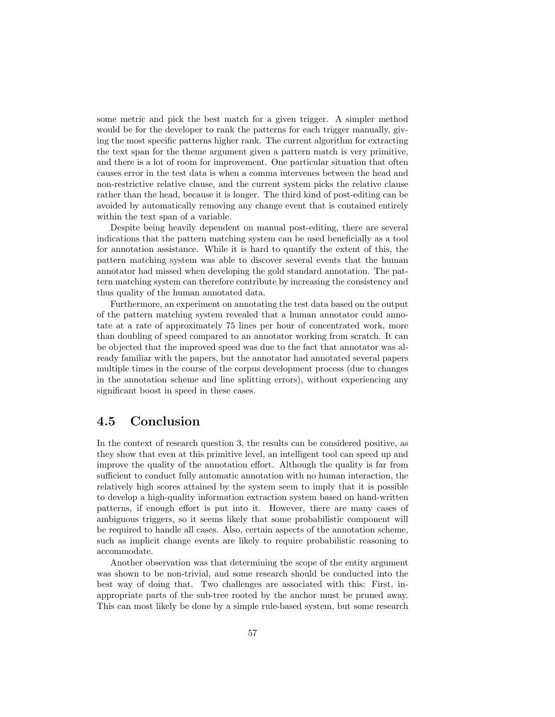some metric and pick the best match for a given trigger. A simpler method would be for the developer to rank the patterns for each trigger manually, giving the most specific patterns higher rank. The current algorithm for extracting the text span for the theme argument given a pattern match is very primitive, and there is a lot of room for improvement. One particular situation that often causes error in the test data is when a comma intervenes between the head and non-restrictive relative clause, and the current system picks the relative clause rather than the head, because it is longer. The third kind of post-editing can be avoided by automatically removing any change event that is contained entirely within the text span of a variable.

Despite being heavily dependent on manual post-editing, there are several indications that the pattern matching system can be used beneficially as a tool for annotation assistance. While it is hard to quantify the extent of this, the pattern matching system was able to discover several events that the human annotator had missed when developing the gold standard annotation. The pattern matching system can therefore contribute by increasing the consistency and thus quality of the human annotated data.

Furthermore, an experiment on annotating the test data based on the output of the pattern matching system revealed that a human annotator could annotate at a rate of approximately 75 lines per hour of concentrated work, more than doubling of speed compared to an annotator working from scratch. It can be objected that the improved speed was due to the fact that annotator was already familiar with the papers, but the annotator had annotated several papers multiple times in the course of the corpus development process (due to changes in the annotation scheme and line splitting errors), without experiencing any significant boost in speed in these cases.

## 4.5 Conclusion

In the context of research question 3, the results can be considered positive, as they show that even at this primitive level, an intelligent tool can speed up and improve the quality of the annotation effort. Although the quality is far from sufficient to conduct fully automatic annotation with no human interaction, the relatively high scores attained by the system seem to imply that it is possible to develop a high-quality information extraction system based on hand-written patterns, if enough effort is put into it. However, there are many cases of ambiguous triggers, so it seems likely that some probabilistic component will be required to handle all cases. Also, certain aspects of the annotation scheme, such as implicit change events are likely to require probabilistic reasoning to accommodate.

Another observation was that determining the scope of the entity argument was shown to be non-trivial, and some research should be conducted into the best way of doing that. Two challenges are associated with this: First, inappropriate parts of the sub-tree rooted by the anchor must be pruned away. This can most likely be done by a simple rule-based system, but some research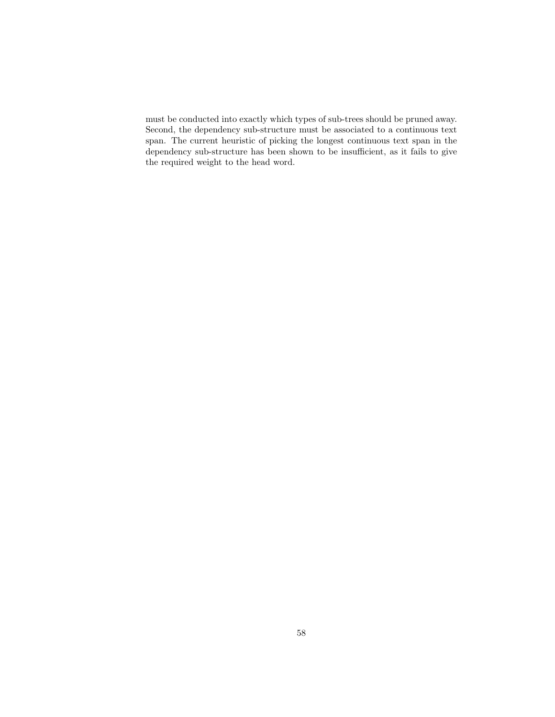must be conducted into exactly which types of sub-trees should be pruned away. Second, the dependency sub-structure must be associated to a continuous text span. The current heuristic of picking the longest continuous text span in the dependency sub-structure has been shown to be insufficient, as it fails to give the required weight to the head word.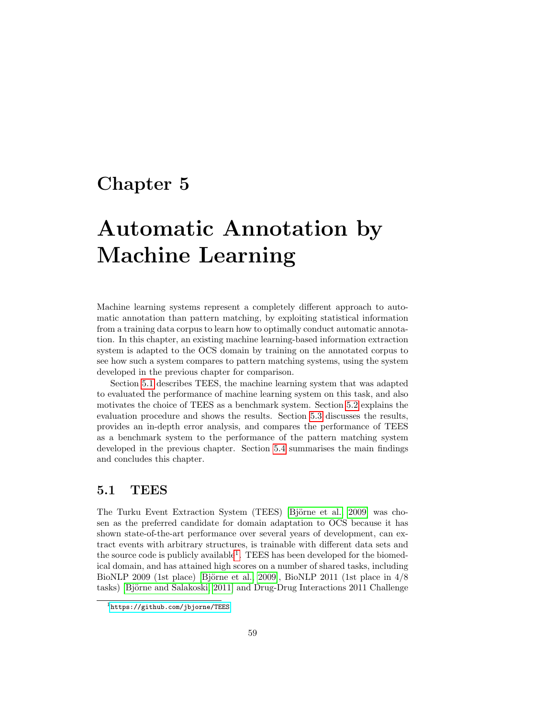## <span id="page-61-0"></span>Chapter 5

# Automatic Annotation by Machine Learning

Machine learning systems represent a completely different approach to automatic annotation than pattern matching, by exploiting statistical information from a training data corpus to learn how to optimally conduct automatic annotation. In this chapter, an existing machine learning-based information extraction system is adapted to the OCS domain by training on the annotated corpus to see how such a system compares to pattern matching systems, using the system developed in the previous chapter for comparison.

Section [5.1](#page-61-1) describes TEES, the machine learning system that was adapted to evaluated the performance of machine learning system on this task, and also motivates the choice of TEES as a benchmark system. Section [5.2](#page-63-0) explains the evaluation procedure and shows the results. Section [5.3](#page-64-0) discusses the results, provides an in-depth error analysis, and compares the performance of TEES as a benchmark system to the performance of the pattern matching system developed in the previous chapter. Section [5.4](#page-75-0) summarises the main findings and concludes this chapter.

## <span id="page-61-1"></span>5.1 TEES

The Turku Event Extraction System (TEES) [Björne et al., 2009] was chosen as the preferred candidate for domain adaptation to OCS because it has shown state-of-the-art performance over several years of development, can extract events with arbitrary structures, is trainable with different data sets and the source code is publicly available<sup>[1](#page-61-2)</sup>. TEES has been developed for the biomedical domain, and has attained high scores on a number of shared tasks, including BioNLP 2009 (1st place) [Björne et al., 2009], BioNLP 2011 (1st place in  $4/8$ tasks) [Björne and Salakoski, 2011] and Drug-Drug Interactions 2011 Challenge

<span id="page-61-2"></span><sup>1</sup><https://github.com/jbjorne/TEES>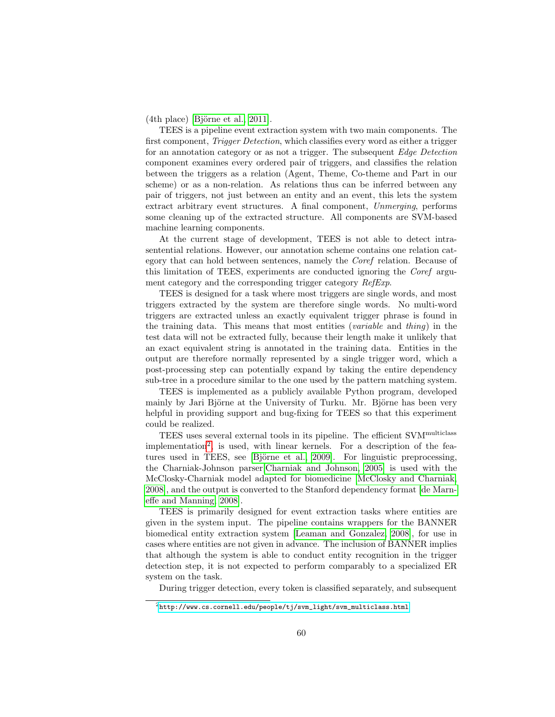$(4th$  place) [Björne et al., 2011].

TEES is a pipeline event extraction system with two main components. The first component, *Trigger Detection*, which classifies every word as either a trigger for an annotation category or as not a trigger. The subsequent Edge Detection component examines every ordered pair of triggers, and classifies the relation between the triggers as a relation (Agent, Theme, Co-theme and Part in our scheme) or as a non-relation. As relations thus can be inferred between any pair of triggers, not just between an entity and an event, this lets the system extract arbitrary event structures. A final component, Unmerging, performs some cleaning up of the extracted structure. All components are SVM-based machine learning components.

At the current stage of development, TEES is not able to detect intrasentential relations. However, our annotation scheme contains one relation category that can hold between sentences, namely the Coref relation. Because of this limitation of TEES, experiments are conducted ignoring the Coref argument category and the corresponding trigger category RefExp.

TEES is designed for a task where most triggers are single words, and most triggers extracted by the system are therefore single words. No multi-word triggers are extracted unless an exactly equivalent trigger phrase is found in the training data. This means that most entities (variable and thing) in the test data will not be extracted fully, because their length make it unlikely that an exact equivalent string is annotated in the training data. Entities in the output are therefore normally represented by a single trigger word, which a post-processing step can potentially expand by taking the entire dependency sub-tree in a procedure similar to the one used by the pattern matching system.

TEES is implemented as a publicly available Python program, developed mainly by Jari Björne at the University of Turku. Mr. Björne has been very helpful in providing support and bug-fixing for TEES so that this experiment could be realized.

TEES uses several external tools in its pipeline. The efficient SVMmulticlass implementation<sup>[2](#page-62-0)</sup>, is used, with linear kernels. For a description of the features used in TEES, see [Björne et al., 2009]. For linguistic preprocessing, the Charniak-Johnson parser[\[Charniak and Johnson, 2005\]](#page-92-0) is used with the McClosky-Charniak model adapted for biomedicine [\[McClosky and Charniak,](#page-94-1) [2008\]](#page-94-1), and the output is converted to the Stanford dependency format [\[de Marn](#page-92-1)[effe and Manning, 2008\]](#page-92-1).

TEES is primarily designed for event extraction tasks where entities are given in the system input. The pipeline contains wrappers for the BANNER biomedical entity extraction system [\[Leaman and Gonzalez, 2008\]](#page-93-1), for use in cases where entities are not given in advance. The inclusion of BANNER implies that although the system is able to conduct entity recognition in the trigger detection step, it is not expected to perform comparably to a specialized ER system on the task.

During trigger detection, every token is classified separately, and subsequent

<span id="page-62-0"></span> $^{2}$ [http://www.cs.cornell.edu/people/tj/svm\\_light/svm\\_multiclass.html](http://www.cs.cornell.edu/people/tj/svm_light/svm_multiclass.html)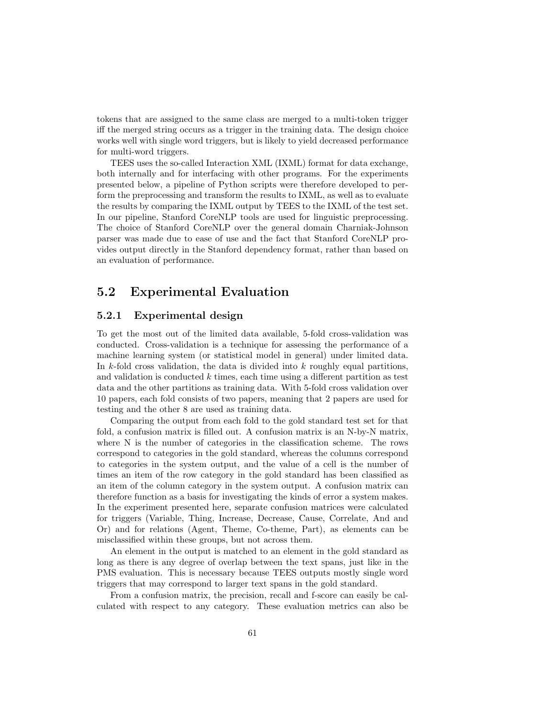tokens that are assigned to the same class are merged to a multi-token trigger iff the merged string occurs as a trigger in the training data. The design choice works well with single word triggers, but is likely to yield decreased performance for multi-word triggers.

TEES uses the so-called Interaction XML (IXML) format for data exchange, both internally and for interfacing with other programs. For the experiments presented below, a pipeline of Python scripts were therefore developed to perform the preprocessing and transform the results to IXML, as well as to evaluate the results by comparing the IXML output by TEES to the IXML of the test set. In our pipeline, Stanford CoreNLP tools are used for linguistic preprocessing. The choice of Stanford CoreNLP over the general domain Charniak-Johnson parser was made due to ease of use and the fact that Stanford CoreNLP provides output directly in the Stanford dependency format, rather than based on an evaluation of performance.

## <span id="page-63-0"></span>5.2 Experimental Evaluation

## 5.2.1 Experimental design

To get the most out of the limited data available, 5-fold cross-validation was conducted. Cross-validation is a technique for assessing the performance of a machine learning system (or statistical model in general) under limited data. In  $k$ -fold cross validation, the data is divided into  $k$  roughly equal partitions, and validation is conducted  $k$  times, each time using a different partition as test data and the other partitions as training data. With 5-fold cross validation over 10 papers, each fold consists of two papers, meaning that 2 papers are used for testing and the other 8 are used as training data.

Comparing the output from each fold to the gold standard test set for that fold, a confusion matrix is filled out. A confusion matrix is an N-by-N matrix, where N is the number of categories in the classification scheme. The rows correspond to categories in the gold standard, whereas the columns correspond to categories in the system output, and the value of a cell is the number of times an item of the row category in the gold standard has been classified as an item of the column category in the system output. A confusion matrix can therefore function as a basis for investigating the kinds of error a system makes. In the experiment presented here, separate confusion matrices were calculated for triggers (Variable, Thing, Increase, Decrease, Cause, Correlate, And and Or) and for relations (Agent, Theme, Co-theme, Part), as elements can be misclassified within these groups, but not across them.

An element in the output is matched to an element in the gold standard as long as there is any degree of overlap between the text spans, just like in the PMS evaluation. This is necessary because TEES outputs mostly single word triggers that may correspond to larger text spans in the gold standard.

From a confusion matrix, the precision, recall and f-score can easily be calculated with respect to any category. These evaluation metrics can also be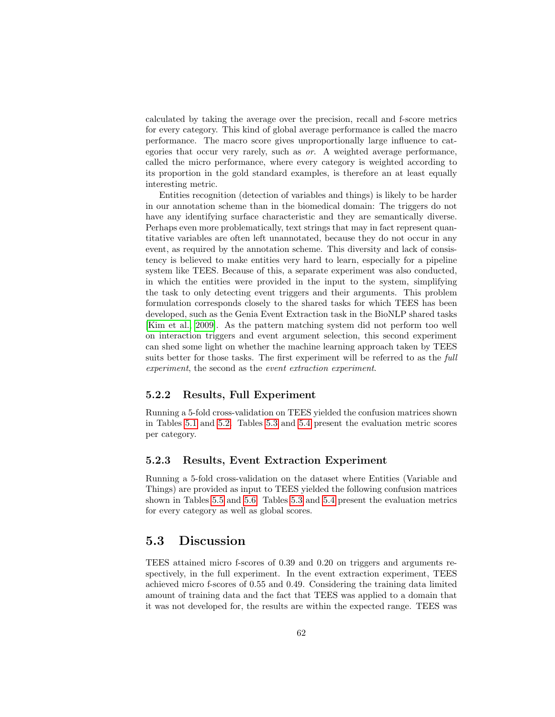calculated by taking the average over the precision, recall and f-score metrics for every category. This kind of global average performance is called the macro performance. The macro score gives unproportionally large influence to categories that occur very rarely, such as or. A weighted average performance, called the micro performance, where every category is weighted according to its proportion in the gold standard examples, is therefore an at least equally interesting metric.

Entities recognition (detection of variables and things) is likely to be harder in our annotation scheme than in the biomedical domain: The triggers do not have any identifying surface characteristic and they are semantically diverse. Perhaps even more problematically, text strings that may in fact represent quantitative variables are often left unannotated, because they do not occur in any event, as required by the annotation scheme. This diversity and lack of consistency is believed to make entities very hard to learn, especially for a pipeline system like TEES. Because of this, a separate experiment was also conducted, in which the entities were provided in the input to the system, simplifying the task to only detecting event triggers and their arguments. This problem formulation corresponds closely to the shared tasks for which TEES has been developed, such as the Genia Event Extraction task in the BioNLP shared tasks [\[Kim et al., 2009\]](#page-93-2). As the pattern matching system did not perform too well on interaction triggers and event argument selection, this second experiment can shed some light on whether the machine learning approach taken by TEES suits better for those tasks. The first experiment will be referred to as the *full* experiment, the second as the event extraction experiment.

## 5.2.2 Results, Full Experiment

Running a 5-fold cross-validation on TEES yielded the confusion matrices shown in Tables [5.1](#page-65-0) and [5.2.](#page-66-0) Tables [5.3](#page-66-1) and [5.4](#page-66-2) present the evaluation metric scores per category.

#### 5.2.3 Results, Event Extraction Experiment

Running a 5-fold cross-validation on the dataset where Entities (Variable and Things) are provided as input to TEES yielded the following confusion matrices shown in Tables [5.5](#page-67-0) and [5.6.](#page-67-1) Tables [5.3](#page-66-1) and [5.4](#page-66-2) present the evaluation metrics for every category as well as global scores.

## <span id="page-64-0"></span>5.3 Discussion

TEES attained micro f-scores of 0.39 and 0.20 on triggers and arguments respectively, in the full experiment. In the event extraction experiment, TEES achieved micro f-scores of 0.55 and 0.49. Considering the training data limited amount of training data and the fact that TEES was applied to a domain that it was not developed for, the results are within the expected range. TEES was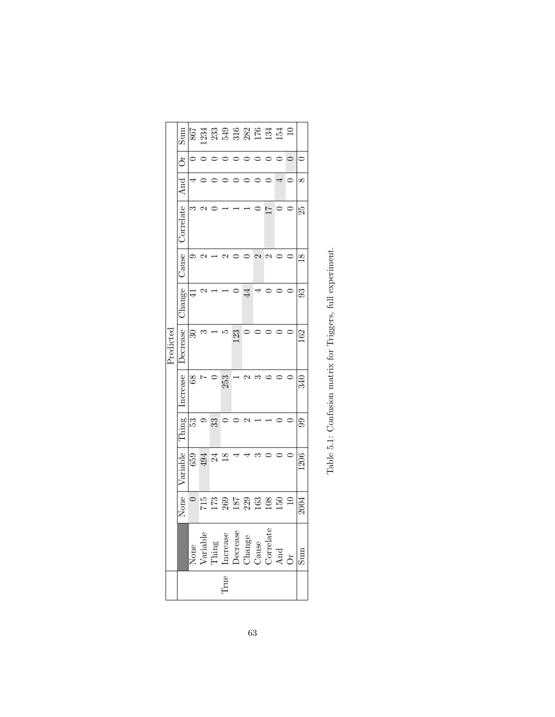<span id="page-65-0"></span>

|          | SumS<br>ðr<br>And<br>Correlate<br>Cause<br>Change | S<br>⊝<br>4     | c<br>C |                                                                                                                                |                |     | $\overline{4}$           | $\mathbf{\sim}$ | $\overline{11}$<br>c |     | $\Xi$<br>$\circ$ | $^\infty$<br>25<br>$\overline{8}$<br>೫ |
|----------|---------------------------------------------------|-----------------|--------|--------------------------------------------------------------------------------------------------------------------------------|----------------|-----|--------------------------|-----------------|----------------------|-----|------------------|----------------------------------------|
| Predicte | Jecrease                                          | $\mathcal{S}^0$ | 6      |                                                                                                                                |                | 123 |                          |                 |                      |     |                  | 62                                     |
|          | ncrease                                           | 68              |        |                                                                                                                                | 253            |     |                          |                 |                      |     |                  | 340                                    |
|          | Thing                                             | 33              |        | 33                                                                                                                             |                |     |                          |                 |                      |     |                  | 99                                     |
|          | Variable                                          | 659             | 494    | 24                                                                                                                             | $\frac{8}{18}$ |     |                          |                 |                      |     |                  | 1206                                   |
|          | None                                              |                 | 715    |                                                                                                                                |                |     | 173<br>262<br>163<br>163 |                 | 108                  | 150 | $\overline{10}$  | 2004                                   |
|          |                                                   |                 |        | None $\frac{1}{\text{Yaniable}}$<br>Thing<br>Thing<br>Increase<br>Decrease<br>Change<br>Correlate<br>Correlate<br>And $\alpha$ |                |     |                          |                 |                      |     |                  | sum                                    |
|          | Irue                                              |                 |        |                                                                                                                                |                |     |                          |                 |                      |     |                  |                                        |

| l<br>ı<br>Į                                             |
|---------------------------------------------------------|
| i<br>İ                                                  |
| <b>Concerned to the Secret Concerned</b><br>)<br>j<br>l |
| Š<br>)<br>1                                             |
| $\sim$                                                  |
| くちょう                                                    |
| י<br>י<br>i<br>.<br>E                                   |
|                                                         |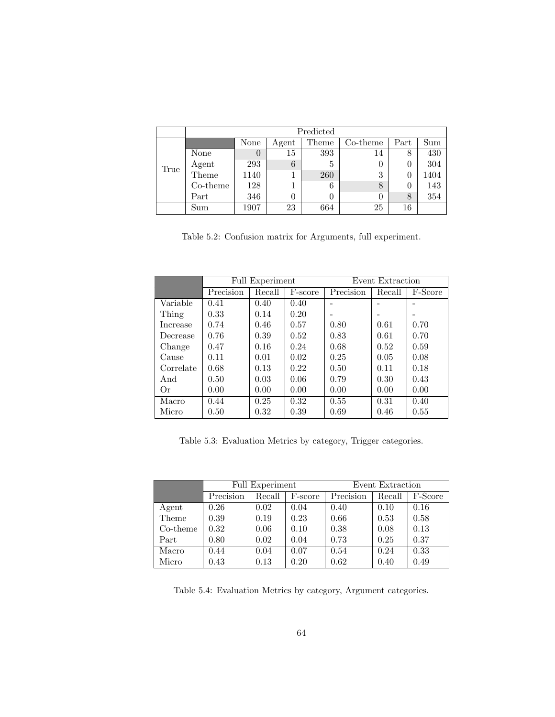|      |          |          |       | Predicted |          |      |      |
|------|----------|----------|-------|-----------|----------|------|------|
|      |          | None     | Agent | Theme     | Co-theme | Part | Sum  |
|      | None     | $\theta$ | 15    | 393       | 14       | ð    | 430  |
| True | Agent    | 293      | 6     | 5         |          |      | 304  |
|      | Theme    | 1140     |       | 260       | 3        |      | 1404 |
|      | Co-theme | 128      |       | 6         | 8        |      | 143  |
|      | Part     | 346      |       |           | 0        | 8    | 354  |
|      | Sum      | 1907     | 23    | 664       | 25       | 16   |      |

<span id="page-66-0"></span>Table 5.2: Confusion matrix for Arguments, full experiment.

|           |           | <b>Full Experiment</b> |         | Event Extraction |        |         |  |
|-----------|-----------|------------------------|---------|------------------|--------|---------|--|
|           | Precision | Recall                 | F-score | Precision        | Recall | F-Score |  |
| Variable  | 0.41      | 0.40                   | 0.40    |                  |        |         |  |
| Thing     | 0.33      | 0.14                   | 0.20    |                  |        |         |  |
| Increase  | 0.74      | 0.46                   | 0.57    | 0.80             | 0.61   | 0.70    |  |
| Decrease  | 0.76      | 0.39                   | 0.52    | 0.83             | 0.61   | 0.70    |  |
| Change    | 0.47      | 0.16                   | 0.24    | 0.68             | 0.52   | 0.59    |  |
| Cause     | 0.11      | 0.01                   | 0.02    | 0.25             | 0.05   | 0.08    |  |
| Correlate | 0.68      | 0.13                   | 0.22    | 0.50             | 0.11   | 0.18    |  |
| And       | 0.50      | 0.03                   | 0.06    | 0.79             | 0.30   | 0.43    |  |
| Or        | 0.00      | 0.00                   | 0.00    | 0.00             | 0.00   | 0.00    |  |
| Macro     | 0.44      | 0.25                   | 0.32    | 0.55             | 0.31   | 0.40    |  |
| Micro     | 0.50      | 0.32                   | 0.39    | 0.69             | 0.46   | 0.55    |  |

<span id="page-66-1"></span>Table 5.3: Evaluation Metrics by category, Trigger categories.

|          |           | Full Experiment |         | Event Extraction |        |         |  |
|----------|-----------|-----------------|---------|------------------|--------|---------|--|
|          | Precision | Recall          | F-score | Precision        | Recall | F-Score |  |
| Agent    | 0.26      | 0.02            | 0.04    | 0.40             | 0.10   | 0.16    |  |
| Theme    | 0.39      | 0.19            | 0.23    | 0.66             | 0.53   | 0.58    |  |
| Co-theme | 0.32      | 0.06            | 0.10    | 0.38             | 0.08   | 0.13    |  |
| Part     | 0.80      | 0.02            | 0.04    | 0.73             | 0.25   | 0.37    |  |
| Macro    | 0.44      | 0.04            | 0.07    | 0.54             | 0.24   | 0.33    |  |
| Micro    | 0.43      | 0.13            | 0.20    | 0.62             | 0.40   | 0.49    |  |

<span id="page-66-2"></span>Table 5.4: Evaluation Metrics by category, Argument categories.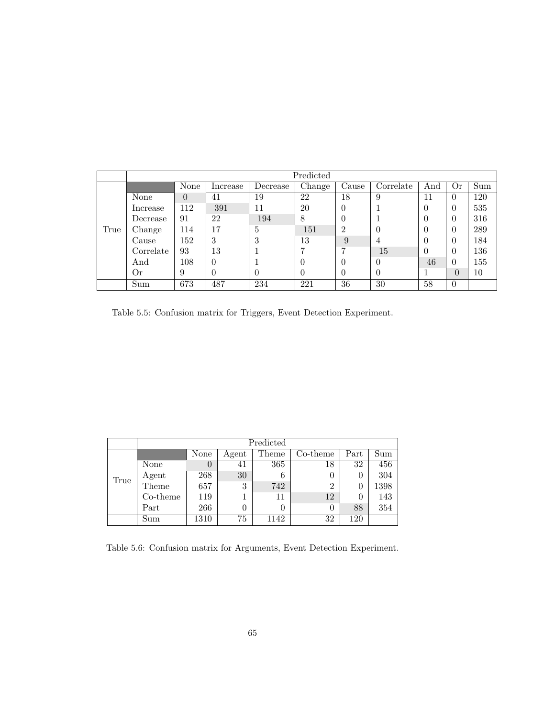|      |           |          |          |          | Predicted |                |           |          |          |     |
|------|-----------|----------|----------|----------|-----------|----------------|-----------|----------|----------|-----|
|      |           | None     | Increase | Decrease | Change    | Cause          | Correlate | And      | Or       | Sum |
|      | None      | $\theta$ | 41       | 19       | 22        | 18             | 9         | 11       | $\Omega$ | 120 |
|      | Increase  | 112      | 391      | 11       | 20        | $\theta$       |           | $\theta$ | $\Omega$ | 535 |
|      | Decrease  | 91       | 22       | 194      | 8         | $\theta$       |           | 0        | $\theta$ | 316 |
| True | Change    | 114      | 17       | 5        | 151       | $\overline{2}$ | $\theta$  | 0        | $\Omega$ | 289 |
|      | Cause     | 152      | 3        | 3        | 13        | 9              | 4         | 0        | $\theta$ | 184 |
|      | Correlate | 93       | 13       |          | 7         | 7              | 15        | $\theta$ | $\theta$ | 136 |
|      | And       | 108      | $\Omega$ |          | $\theta$  | $\theta$       | $\theta$  | 46       | $\Omega$ | 155 |
|      | 0r        | 9        | $\theta$ | $\Omega$ | $\theta$  | $\Omega$       | $\theta$  |          | $\Omega$ | 10  |
|      | Sum       | 673      | 487      | 234      | 221       | 36             | 30        | 58       | $\theta$ |     |

<span id="page-67-0"></span>Table 5.5: Confusion matrix for Triggers, Event Detection Experiment.

|      |             |                |       | Predicted |                |      |      |
|------|-------------|----------------|-------|-----------|----------------|------|------|
|      |             | None           | Agent | Theme     | $Co$ -theme    | Part | Sum  |
|      | None        | $\overline{0}$ | 41    | 365       | 18             | 32   | 456  |
|      | Agent       | 268            | 30    | 6         | 0              |      | 304  |
| True | Theme       | 657            | 3     | 742       | $\overline{2}$ |      | 1398 |
|      | $Co$ -theme | 119            |       | 11        | 12             |      | 143  |
|      | Part        | 266            |       |           | 0              | 88   | 354  |
|      | Sum         | 1310           | 75    | 1142      | 32             | 120  |      |

<span id="page-67-1"></span>Table 5.6: Confusion matrix for Arguments, Event Detection Experiment.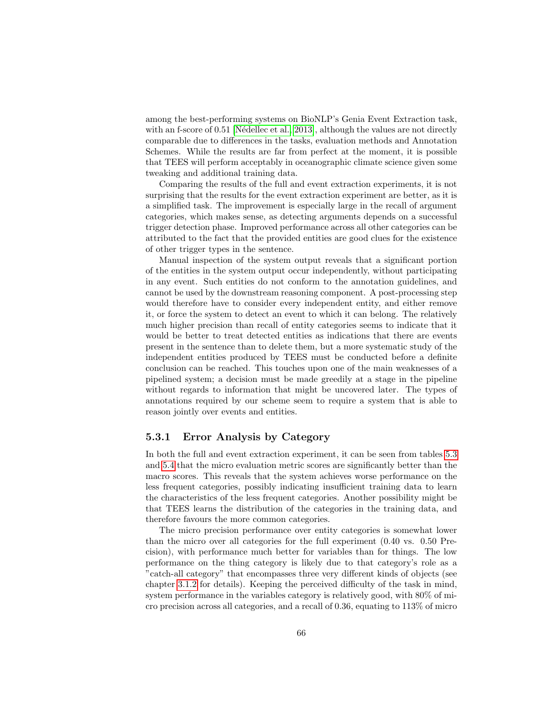among the best-performing systems on BioNLP's Genia Event Extraction task, with an f-score of  $0.51$  [Nédellec et al., 2013], although the values are not directly comparable due to differences in the tasks, evaluation methods and Annotation Schemes. While the results are far from perfect at the moment, it is possible that TEES will perform acceptably in oceanographic climate science given some tweaking and additional training data.

Comparing the results of the full and event extraction experiments, it is not surprising that the results for the event extraction experiment are better, as it is a simplified task. The improvement is especially large in the recall of argument categories, which makes sense, as detecting arguments depends on a successful trigger detection phase. Improved performance across all other categories can be attributed to the fact that the provided entities are good clues for the existence of other trigger types in the sentence.

Manual inspection of the system output reveals that a significant portion of the entities in the system output occur independently, without participating in any event. Such entities do not conform to the annotation guidelines, and cannot be used by the downstream reasoning component. A post-processing step would therefore have to consider every independent entity, and either remove it, or force the system to detect an event to which it can belong. The relatively much higher precision than recall of entity categories seems to indicate that it would be better to treat detected entities as indications that there are events present in the sentence than to delete them, but a more systematic study of the independent entities produced by TEES must be conducted before a definite conclusion can be reached. This touches upon one of the main weaknesses of a pipelined system; a decision must be made greedily at a stage in the pipeline without regards to information that might be uncovered later. The types of annotations required by our scheme seem to require a system that is able to reason jointly over events and entities.

## 5.3.1 Error Analysis by Category

In both the full and event extraction experiment, it can be seen from tables [5.3](#page-66-1) and [5.4](#page-66-2) that the micro evaluation metric scores are significantly better than the macro scores. This reveals that the system achieves worse performance on the less frequent categories, possibly indicating insufficient training data to learn the characteristics of the less frequent categories. Another possibility might be that TEES learns the distribution of the categories in the training data, and therefore favours the more common categories.

The micro precision performance over entity categories is somewhat lower than the micro over all categories for the full experiment (0.40 vs. 0.50 Precision), with performance much better for variables than for things. The low performance on the thing category is likely due to that category's role as a "catch-all category" that encompasses three very different kinds of objects (see chapter [3.1.2](#page-36-6) for details). Keeping the perceived difficulty of the task in mind, system performance in the variables category is relatively good, with 80% of micro precision across all categories, and a recall of 0.36, equating to 113% of micro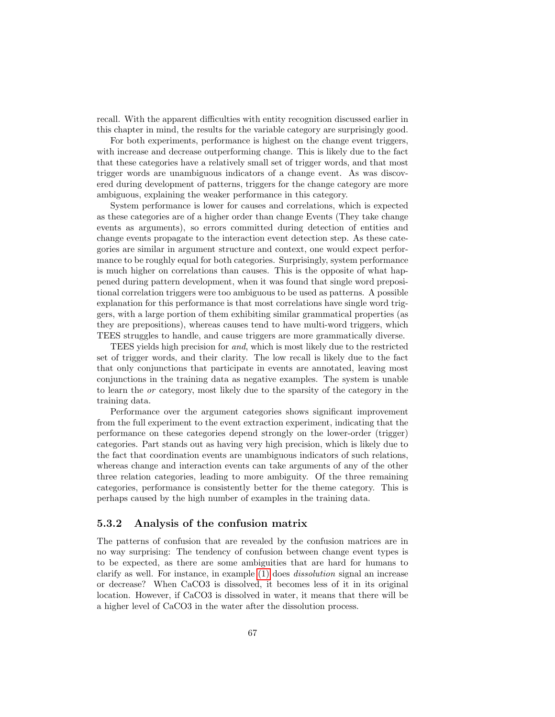recall. With the apparent difficulties with entity recognition discussed earlier in this chapter in mind, the results for the variable category are surprisingly good.

For both experiments, performance is highest on the change event triggers, with increase and decrease outperforming change. This is likely due to the fact that these categories have a relatively small set of trigger words, and that most trigger words are unambiguous indicators of a change event. As was discovered during development of patterns, triggers for the change category are more ambiguous, explaining the weaker performance in this category.

System performance is lower for causes and correlations, which is expected as these categories are of a higher order than change Events (They take change events as arguments), so errors committed during detection of entities and change events propagate to the interaction event detection step. As these categories are similar in argument structure and context, one would expect performance to be roughly equal for both categories. Surprisingly, system performance is much higher on correlations than causes. This is the opposite of what happened during pattern development, when it was found that single word prepositional correlation triggers were too ambiguous to be used as patterns. A possible explanation for this performance is that most correlations have single word triggers, with a large portion of them exhibiting similar grammatical properties (as they are prepositions), whereas causes tend to have multi-word triggers, which TEES struggles to handle, and cause triggers are more grammatically diverse.

TEES yields high precision for and, which is most likely due to the restricted set of trigger words, and their clarity. The low recall is likely due to the fact that only conjunctions that participate in events are annotated, leaving most conjunctions in the training data as negative examples. The system is unable to learn the or category, most likely due to the sparsity of the category in the training data.

Performance over the argument categories shows significant improvement from the full experiment to the event extraction experiment, indicating that the performance on these categories depend strongly on the lower-order (trigger) categories. Part stands out as having very high precision, which is likely due to the fact that coordination events are unambiguous indicators of such relations, whereas change and interaction events can take arguments of any of the other three relation categories, leading to more ambiguity. Of the three remaining categories, performance is consistently better for the theme category. This is perhaps caused by the high number of examples in the training data.

## 5.3.2 Analysis of the confusion matrix

The patterns of confusion that are revealed by the confusion matrices are in no way surprising: The tendency of confusion between change event types is to be expected, as there are some ambiguities that are hard for humans to clarify as well. For instance, in example [\(1\)](#page-9-0) does dissolution signal an increase or decrease? When CaCO3 is dissolved, it becomes less of it in its original location. However, if CaCO3 is dissolved in water, it means that there will be a higher level of CaCO3 in the water after the dissolution process.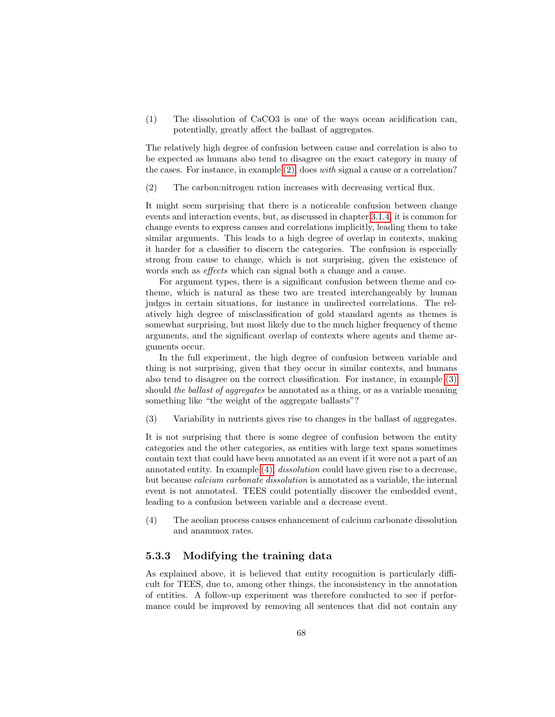(1) The dissolution of CaCO3 is one of the ways ocean acidification can, potentially, greatly affect the ballast of aggregates.

The relatively high degree of confusion between cause and correlation is also to be expected as humans also tend to disagree on the exact category in many of the cases. For instance, in example [\(2\),](#page-9-1) does with signal a cause or a correlation?

(2) The carbon:nitrogen ration increases with decreasing vertical flux.

It might seem surprising that there is a noticeable confusion between change events and interaction events, but, as discussed in chapter [3.1.4,](#page-38-7) it is common for change events to express causes and correlations implicitly, leading them to take similar arguments. This leads to a high degree of overlap in contexts, making it harder for a classifier to discern the categories. The confusion is especially strong from cause to change, which is not surprising, given the existence of words such as effects which can signal both a change and a cause.

For argument types, there is a significant confusion between theme and cotheme, which is natural as these two are treated interchangeably by human judges in certain situations, for instance in undirected correlations. The relatively high degree of misclassification of gold standard agents as themes is somewhat surprising, but most likely due to the much higher frequency of theme arguments, and the significant overlap of contexts where agents and theme arguments occur.

In the full experiment, the high degree of confusion between variable and thing is not surprising, given that they occur in similar contexts, and humans also tend to disagree on the correct classification. For instance, in example [\(3\)](#page-37-0) should the ballast of aggregates be annotated as a thing, or as a variable meaning something like "the weight of the aggregate ballasts"?

(3) Variability in nutrients gives rise to changes in the ballast of aggregates.

It is not surprising that there is some degree of confusion between the entity categories and the other categories, as entities with large text spans sometimes contain text that could have been annotated as an event if it were not a part of an annotated entity. In example [\(4\),](#page-37-1) dissolution could have given rise to a decrease, but because calcium carbonate dissolution is annotated as a variable, the internal event is not annotated. TEES could potentially discover the embedded event, leading to a confusion between variable and a decrease event.

(4) The aeolian process causes enhancement of calcium carbonate dissolution and anammox rates.

## 5.3.3 Modifying the training data

As explained above, it is believed that entity recognition is particularly difficult for TEES, due to, among other things, the inconsistency in the annotation of entities. A follow-up experiment was therefore conducted to see if performance could be improved by removing all sentences that did not contain any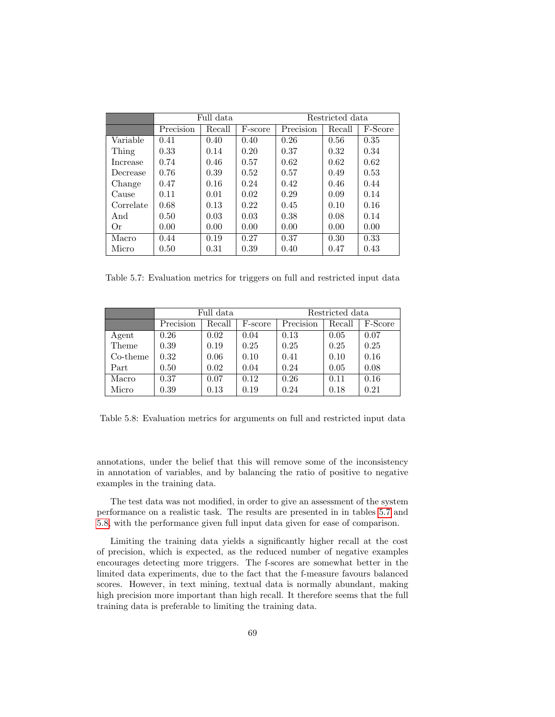|           |           | Full data |         | Restricted data               |        |         |  |
|-----------|-----------|-----------|---------|-------------------------------|--------|---------|--|
|           | Precision | Recall    | F-score | $\overline{\text{Precision}}$ | Recall | F-Score |  |
| Variable  | 0.41      | 0.40      | 0.40    | 0.26                          | 0.56   | 0.35    |  |
| Thing     | 0.33      | 0.14      | 0.20    | 0.37                          | 0.32   | 0.34    |  |
| Increase  | 0.74      | 0.46      | 0.57    | 0.62                          | 0.62   | 0.62    |  |
| Decrease  | 0.76      | 0.39      | 0.52    | 0.57                          | 0.49   | 0.53    |  |
| Change    | 0.47      | 0.16      | 0.24    | 0.42                          | 0.46   | 0.44    |  |
| Cause     | 0.11      | 0.01      | 0.02    | 0.29                          | 0.09   | 0.14    |  |
| Correlate | 0.68      | 0.13      | 0.22    | 0.45                          | 0.10   | 0.16    |  |
| And       | 0.50      | 0.03      | 0.03    | 0.38                          | 0.08   | 0.14    |  |
| Оr        | 0.00      | 0.00      | 0.00    | 0.00                          | 0.00   | 0.00    |  |
| Macro     | 0.44      | 0.19      | 0.27    | 0.37                          | 0.30   | 0.33    |  |
| Micro     | 0.50      | 0.31      | 0.39    | 0.40                          | 0.47   | 0.43    |  |

<span id="page-71-0"></span>Table 5.7: Evaluation metrics for triggers on full and restricted input data

|          | Full data |        |         | Restricted data |        |         |
|----------|-----------|--------|---------|-----------------|--------|---------|
|          | Precision | Recall | F-score | Precision       | Recall | F-Score |
| Agent    | 0.26      | 0.02   | 0.04    | 0.13            | 0.05   | 0.07    |
| Theme    | 0.39      | 0.19   | 0.25    | 0.25            | 0.25   | 0.25    |
| Co-theme | 0.32      | 0.06   | 0.10    | 0.41            | 0.10   | 0.16    |
| Part     | 0.50      | 0.02   | 0.04    | 0.24            | 0.05   | 0.08    |
| Macro    | 0.37      | 0.07   | 0.12    | 0.26            | 0.11   | 0.16    |
| Micro    | 0.39      | 0.13   | 0.19    | 0.24            | 0.18   | 0.21    |

<span id="page-71-1"></span>Table 5.8: Evaluation metrics for arguments on full and restricted input data

annotations, under the belief that this will remove some of the inconsistency in annotation of variables, and by balancing the ratio of positive to negative examples in the training data.

The test data was not modified, in order to give an assessment of the system performance on a realistic task. The results are presented in in tables [5.7](#page-71-0) and [5.8,](#page-71-1) with the performance given full input data given for ease of comparison.

Limiting the training data yields a significantly higher recall at the cost of precision, which is expected, as the reduced number of negative examples encourages detecting more triggers. The f-scores are somewhat better in the limited data experiments, due to the fact that the f-measure favours balanced scores. However, in text mining, textual data is normally abundant, making high precision more important than high recall. It therefore seems that the full training data is preferable to limiting the training data.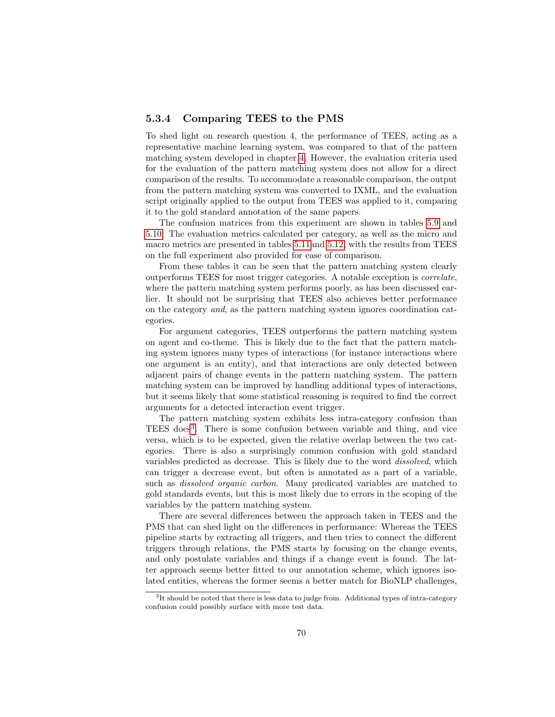### 5.3.4 Comparing TEES to the PMS

To shed light on research question 4, the performance of TEES, acting as a representative machine learning system, was compared to that of the pattern matching system developed in chapter [4.](#page-43-0) However, the evaluation criteria used for the evaluation of the pattern matching system does not allow for a direct comparison of the results. To accommodate a reasonable comparison, the output from the pattern matching system was converted to IXML, and the evaluation script originally applied to the output from TEES was applied to it, comparing it to the gold standard annotation of the same papers.

The confusion matrices from this experiment are shown in tables [5.9](#page-73-0) and [5.10.](#page-74-0) The evaluation metrics calculated per category, as well as the micro and macro metrics are presented in tables [5.11a](#page-74-1)nd [5.12,](#page-74-2) with the results from TEES on the full experiment also provided for ease of comparison.

From these tables it can be seen that the pattern matching system clearly outperforms TEES for most trigger categories. A notable exception is correlate, where the pattern matching system performs poorly, as has been discussed earlier. It should not be surprising that TEES also achieves better performance on the category and, as the pattern matching system ignores coordination categories.

For argument categories, TEES outperforms the pattern matching system on agent and co-theme. This is likely due to the fact that the pattern matching system ignores many types of interactions (for instance interactions where one argument is an entity), and that interactions are only detected between adjacent pairs of change events in the pattern matching system. The pattern matching system can be improved by handling additional types of interactions, but it seems likely that some statistical reasoning is required to find the correct arguments for a detected interaction event trigger.

The pattern matching system exhibits less intra-category confusion than TEES does<sup>[3](#page-72-0)</sup>. There is some confusion between variable and thing, and vice versa, which is to be expected, given the relative overlap between the two categories. There is also a surprisingly common confusion with gold standard variables predicted as decrease. This is likely due to the word dissolved, which can trigger a decrease event, but often is annotated as a part of a variable, such as *dissolved organic carbon*. Many predicated variables are matched to gold standards events, but this is most likely due to errors in the scoping of the variables by the pattern matching system.

There are several differences between the approach taken in TEES and the PMS that can shed light on the differences in performance: Whereas the TEES pipeline starts by extracting all triggers, and then tries to connect the different triggers through relations, the PMS starts by focusing on the change events, and only postulate variables and things if a change event is found. The latter approach seems better fitted to our annotation scheme, which ignores isolated entities, whereas the former seems a better match for BioNLP challenges,

<span id="page-72-0"></span> ${}^{3}$ It should be noted that there is less data to judge from. Additional types of intra-category confusion could possibly surface with more test data.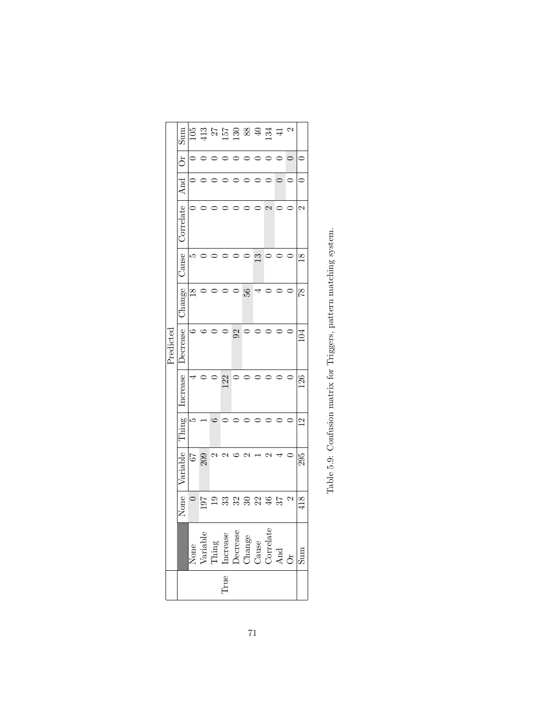<span id="page-73-0"></span>

|           |           |                |                  |                                                                                                    |      |       |           |              |               | $\mathfrak{a}$ |               |
|-----------|-----------|----------------|------------------|----------------------------------------------------------------------------------------------------|------|-------|-----------|--------------|---------------|----------------|---------------|
|           | $\sin S$  |                |                  | $\frac{16}{12}$ 32 52 63 62 42 41                                                                  |      |       |           |              |               |                |               |
|           | Ōr        |                |                  |                                                                                                    |      | ○     | $\circ$   |              |               |                |               |
|           | And       |                |                  |                                                                                                    |      |       |           |              |               |                |               |
|           | Jorrelate |                |                  |                                                                                                    |      |       |           |              | $\mathcal{C}$ |                | N             |
|           | Cause     | ഥ              |                  |                                                                                                    |      |       |           | $\mathbb{C}$ |               |                | $\frac{8}{2}$ |
|           | Change    | $\frac{8}{18}$ |                  |                                                                                                    |      |       | 56        | 4            |               |                | 82            |
| Predictec | Decrease  |                |                  |                                                                                                    |      | $\Im$ |           |              |               |                |               |
|           | ncrease   |                |                  | $\circ$                                                                                            | 122  |       | $\subset$ |              |               |                | 126           |
|           | Thing     | r.             |                  |                                                                                                    |      |       |           |              |               |                | $\mathbf{C}$  |
|           | Variable  | $\sqrt{9}$     | 209              | C                                                                                                  |      |       |           |              |               |                | 295           |
|           | None      |                | $\frac{197}{19}$ |                                                                                                    |      |       | 3332453   |              |               |                | 418           |
|           |           |                |                  | None<br>Variable<br>Variable<br>Thing<br>Increase<br>Decrease<br>Change<br>Correlate<br>And<br>And |      |       |           |              |               |                | $\lim$        |
|           |           |                |                  |                                                                                                    | True |       |           |              |               |                |               |
|           |           |                |                  |                                                                                                    |      |       |           |              |               |                |               |

Table 5.9: Confusion matrix for Triggers, pattern matching system. Table 5.9: Confusion matrix for Triggers, pattern matching system.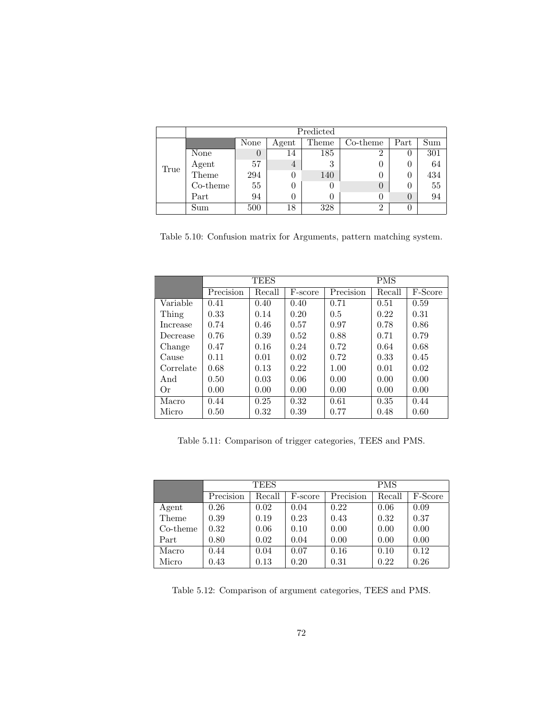|      | Predicted |          |       |       |          |      |     |  |  |  |  |
|------|-----------|----------|-------|-------|----------|------|-----|--|--|--|--|
|      |           | None     | Agent | Theme | Co-theme | Part | Sum |  |  |  |  |
|      | None      | $\theta$ | 14    | 185   | 2        |      | 301 |  |  |  |  |
| True | Agent     | 57       | 4     | 3     | 0        |      | 64  |  |  |  |  |
|      | Theme     | 294      | 0     | 140   | 0        |      | 434 |  |  |  |  |
|      | Co-theme  | 55       | 0     |       | 0        |      | 55  |  |  |  |  |
|      | Part      | 94       |       |       | 0        |      | 94  |  |  |  |  |
|      | Sum       | 500      | 18    | 328   | 2        |      |     |  |  |  |  |

<span id="page-74-0"></span>Table 5.10: Confusion matrix for Arguments, pattern matching system.

|           |           | <b>TEES</b> |         | <b>PMS</b> |        |         |  |
|-----------|-----------|-------------|---------|------------|--------|---------|--|
|           | Precision | Recall      | F-score | Precision  | Recall | F-Score |  |
| Variable  | 0.41      | 0.40        | 0.40    | 0.71       | 0.51   | 0.59    |  |
| Thing     | 0.33      | 0.14        | 0.20    | 0.5        | 0.22   | 0.31    |  |
| Increase  | 0.74      | 0.46        | 0.57    | 0.97       | 0.78   | 0.86    |  |
| Decrease  | 0.76      | 0.39        | 0.52    | 0.88       | 0.71   | 0.79    |  |
| Change    | 0.47      | 0.16        | 0.24    | 0.72       | 0.64   | 0.68    |  |
| Cause     | 0.11      | 0.01        | 0.02    | 0.72       | 0.33   | 0.45    |  |
| Correlate | 0.68      | 0.13        | 0.22    | 1.00       | 0.01   | 0.02    |  |
| And       | 0.50      | 0.03        | 0.06    | 0.00       | 0.00   | 0.00    |  |
| Or        | 0.00      | 0.00        | 0.00    | 0.00       | 0.00   | 0.00    |  |
| Macro     | 0.44      | 0.25        | 0.32    | 0.61       | 0.35   | 0.44    |  |
| Micro     | 0.50      | 0.32        | 0.39    | 0.77       | 0.48   | 0.60    |  |

<span id="page-74-1"></span>Table 5.11: Comparison of trigger categories, TEES and PMS.

|          |           | <b>TEES</b> |         | <b>PMS</b> |        |         |  |
|----------|-----------|-------------|---------|------------|--------|---------|--|
|          | Precision | Recall      | F-score | Precision  | Recall | F-Score |  |
| Agent    | 0.26      | 0.02        | 0.04    | 0.22       | 0.06   | 0.09    |  |
| Theme    | 0.39      | 0.19        | 0.23    | 0.43       | 0.32   | 0.37    |  |
| Co-theme | 0.32      | 0.06        | 0.10    | 0.00       | 0.00   | 0.00    |  |
| Part     | 0.80      | 0.02        | 0.04    | 0.00       | 0.00   | 0.00    |  |
| Macro    | 0.44      | 0.04        | 0.07    | 0.16       | 0.10   | 0.12    |  |
| Micro    | 0.43      | 0.13        | 0.20    | 0.31       | 0.22   | 0.26    |  |

<span id="page-74-2"></span>Table 5.12: Comparison of argument categories, TEES and PMS.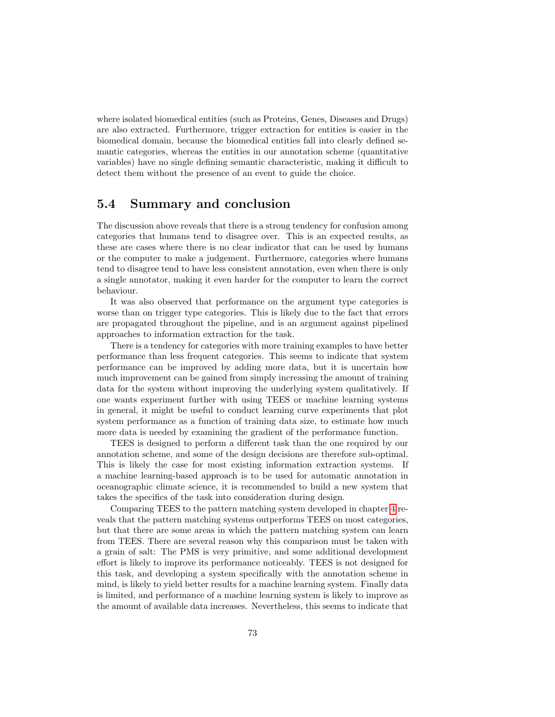where isolated biomedical entities (such as Proteins, Genes, Diseases and Drugs) are also extracted. Furthermore, trigger extraction for entities is easier in the biomedical domain, because the biomedical entities fall into clearly defined semantic categories, whereas the entities in our annotation scheme (quantitative variables) have no single defining semantic characteristic, making it difficult to detect them without the presence of an event to guide the choice.

### 5.4 Summary and conclusion

The discussion above reveals that there is a strong tendency for confusion among categories that humans tend to disagree over. This is an expected results, as these are cases where there is no clear indicator that can be used by humans or the computer to make a judgement. Furthermore, categories where humans tend to disagree tend to have less consistent annotation, even when there is only a single annotator, making it even harder for the computer to learn the correct behaviour.

It was also observed that performance on the argument type categories is worse than on trigger type categories. This is likely due to the fact that errors are propagated throughout the pipeline, and is an argument against pipelined approaches to information extraction for the task.

There is a tendency for categories with more training examples to have better performance than less frequent categories. This seems to indicate that system performance can be improved by adding more data, but it is uncertain how much improvement can be gained from simply increasing the amount of training data for the system without improving the underlying system qualitatively. If one wants experiment further with using TEES or machine learning systems in general, it might be useful to conduct learning curve experiments that plot system performance as a function of training data size, to estimate how much more data is needed by examining the gradient of the performance function.

TEES is designed to perform a different task than the one required by our annotation scheme, and some of the design decisions are therefore sub-optimal. This is likely the case for most existing information extraction systems. If a machine learning-based approach is to be used for automatic annotation in oceanographic climate science, it is recommended to build a new system that takes the specifics of the task into consideration during design.

Comparing TEES to the pattern matching system developed in chapter [4](#page-43-0) reveals that the pattern matching systems outperforms TEES on most categories, but that there are some areas in which the pattern matching system can learn from TEES. There are several reason why this comparison must be taken with a grain of salt: The PMS is very primitive, and some additional development effort is likely to improve its performance noticeably. TEES is not designed for this task, and developing a system specifically with the annotation scheme in mind, is likely to yield better results for a machine learning system. Finally data is limited, and performance of a machine learning system is likely to improve as the amount of available data increases. Nevertheless, this seems to indicate that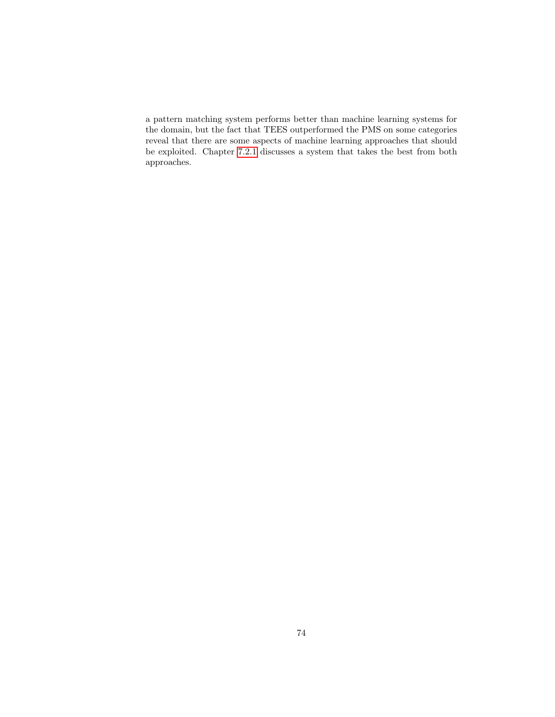a pattern matching system performs better than machine learning systems for the domain, but the fact that TEES outperformed the PMS on some categories reveal that there are some aspects of machine learning approaches that should be exploited. Chapter [7.2.1](#page-88-0) discusses a system that takes the best from both approaches.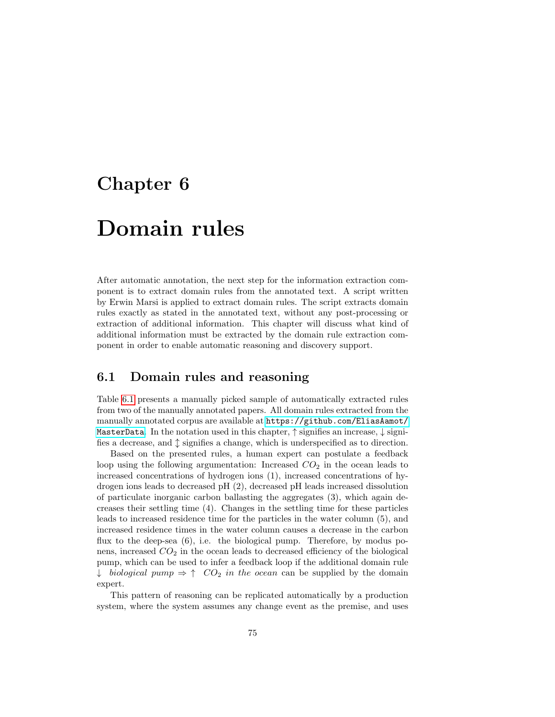### <span id="page-77-0"></span>Chapter 6

# Domain rules

After automatic annotation, the next step for the information extraction component is to extract domain rules from the annotated text. A script written by Erwin Marsi is applied to extract domain rules. The script extracts domain rules exactly as stated in the annotated text, without any post-processing or extraction of additional information. This chapter will discuss what kind of additional information must be extracted by the domain rule extraction component in order to enable automatic reasoning and discovery support.

### 6.1 Domain rules and reasoning

Table [6.1](#page-78-0) presents a manually picked sample of automatically extracted rules from two of the manually annotated papers. All domain rules extracted from the manually annotated corpus are available at [https://github.com/EliasAamot/](https://github.com/EliasAamot/MasterData) [MasterData](https://github.com/EliasAamot/MasterData). In the notation used in this chapter,  $\uparrow$  signifies an increase,  $\downarrow$  signifies a decrease, and  $\updownarrow$  signifies a change, which is underspecified as to direction.

Based on the presented rules, a human expert can postulate a feedback loop using the following argumentation: Increased  $CO<sub>2</sub>$  in the ocean leads to increased concentrations of hydrogen ions (1), increased concentrations of hydrogen ions leads to decreased pH (2), decreased pH leads increased dissolution of particulate inorganic carbon ballasting the aggregates (3), which again decreases their settling time (4). Changes in the settling time for these particles leads to increased residence time for the particles in the water column (5), and increased residence times in the water column causes a decrease in the carbon flux to the deep-sea  $(6)$ , i.e. the biological pump. Therefore, by modus ponens, increased  $CO<sub>2</sub>$  in the ocean leads to decreased efficiency of the biological pump, which can be used to infer a feedback loop if the additional domain rule ↓ biological pump  $\Rightarrow \uparrow$   $CO_2$  in the ocean can be supplied by the domain expert.

This pattern of reasoning can be replicated automatically by a production system, where the system assumes any change event as the premise, and uses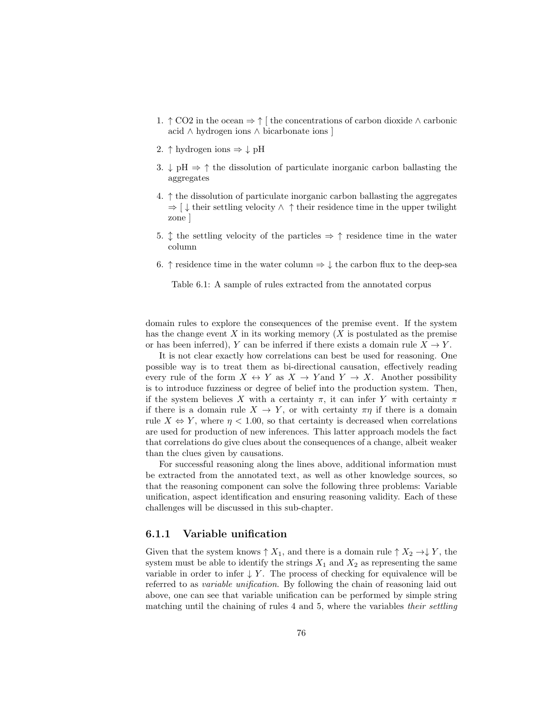- 1.  $\uparrow$  CO2 in the ocean  $\Rightarrow \uparrow$  [ the concentrations of carbon dioxide  $\wedge$  carbonic acid ∧ hydrogen ions ∧ bicarbonate ions ]
- 2.  $\uparrow$  hydrogen ions  $\Rightarrow \downarrow$  pH
- 3.  $\downarrow$  pH  $\Rightarrow \uparrow$  the dissolution of particulate inorganic carbon ballasting the aggregates
- 4.  $\uparrow$  the dissolution of particulate inorganic carbon ballasting the aggregates  $\Rightarrow$  [  $\downarrow$  their settling velocity  $\land \uparrow$  their residence time in the upper twilight zone ]
- 5.  $\uparrow$  the settling velocity of the particles  $\Rightarrow \uparrow$  residence time in the water column
- 6.  $\uparrow$  residence time in the water column  $\Rightarrow \downarrow$  the carbon flux to the deep-sea

<span id="page-78-0"></span>Table 6.1: A sample of rules extracted from the annotated corpus

domain rules to explore the consequences of the premise event. If the system has the change event X in its working memory  $(X$  is postulated as the premise or has been inferred), Y can be inferred if there exists a domain rule  $X \to Y$ .

It is not clear exactly how correlations can best be used for reasoning. One possible way is to treat them as bi-directional causation, effectively reading every rule of the form  $X \leftrightarrow Y$  as  $X \to Y$  and  $Y \to X$ . Another possibility is to introduce fuzziness or degree of belief into the production system. Then, if the system believes X with a certainty  $\pi$ , it can infer Y with certainty  $\pi$ if there is a domain rule  $X \to Y$ , or with certainty  $\pi \eta$  if there is a domain rule  $X \Leftrightarrow Y$ , where  $\eta < 1.00$ , so that certainty is decreased when correlations are used for production of new inferences. This latter approach models the fact that correlations do give clues about the consequences of a change, albeit weaker than the clues given by causations.

For successful reasoning along the lines above, additional information must be extracted from the annotated text, as well as other knowledge sources, so that the reasoning component can solve the following three problems: Variable unification, aspect identification and ensuring reasoning validity. Each of these challenges will be discussed in this sub-chapter.

### 6.1.1 Variable unification

Given that the system knows  $\uparrow X_1$ , and there is a domain rule  $\uparrow X_2 \rightarrow \downarrow Y$ , the system must be able to identify the strings  $X_1$  and  $X_2$  as representing the same variable in order to infer  $\downarrow$  Y. The process of checking for equivalence will be referred to as variable unification. By following the chain of reasoning laid out above, one can see that variable unification can be performed by simple string matching until the chaining of rules 4 and 5, where the variables their settling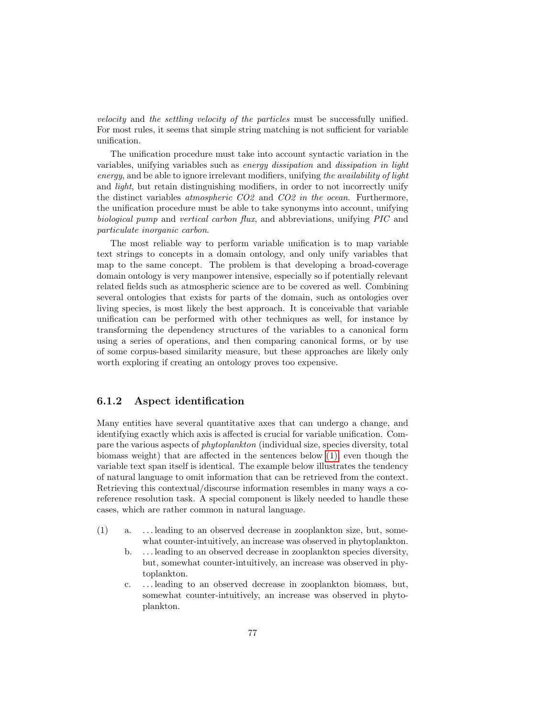velocity and the settling velocity of the particles must be successfully unified. For most rules, it seems that simple string matching is not sufficient for variable unification.

The unification procedure must take into account syntactic variation in the variables, unifying variables such as energy dissipation and dissipation in light energy, and be able to ignore irrelevant modifiers, unifying the availability of light and *light*, but retain distinguishing modifiers, in order to not incorrectly unify the distinct variables atmospheric CO2 and CO2 in the ocean. Furthermore, the unification procedure must be able to take synonyms into account, unifying biological pump and vertical carbon flux, and abbreviations, unifying PIC and particulate inorganic carbon.

The most reliable way to perform variable unification is to map variable text strings to concepts in a domain ontology, and only unify variables that map to the same concept. The problem is that developing a broad-coverage domain ontology is very manpower intensive, especially so if potentially relevant related fields such as atmospheric science are to be covered as well. Combining several ontologies that exists for parts of the domain, such as ontologies over living species, is most likely the best approach. It is conceivable that variable unification can be performed with other techniques as well, for instance by transforming the dependency structures of the variables to a canonical form using a series of operations, and then comparing canonical forms, or by use of some corpus-based similarity measure, but these approaches are likely only worth exploring if creating an ontology proves too expensive.

### 6.1.2 Aspect identification

Many entities have several quantitative axes that can undergo a change, and identifying exactly which axis is affected is crucial for variable unification. Compare the various aspects of phytoplankton (individual size, species diversity, total biomass weight) that are affected in the sentences below [\(1\),](#page-9-0) even though the variable text span itself is identical. The example below illustrates the tendency of natural language to omit information that can be retrieved from the context. Retrieving this contextual/discourse information resembles in many ways a coreference resolution task. A special component is likely needed to handle these cases, which are rather common in natural language.

- (1) a. . . . leading to an observed decrease in zooplankton size, but, somewhat counter-intuitively, an increase was observed in phytoplankton.
	- b. . . . leading to an observed decrease in zooplankton species diversity, but, somewhat counter-intuitively, an increase was observed in phytoplankton.
	- c. . . . leading to an observed decrease in zooplankton biomass, but, somewhat counter-intuitively, an increase was observed in phytoplankton.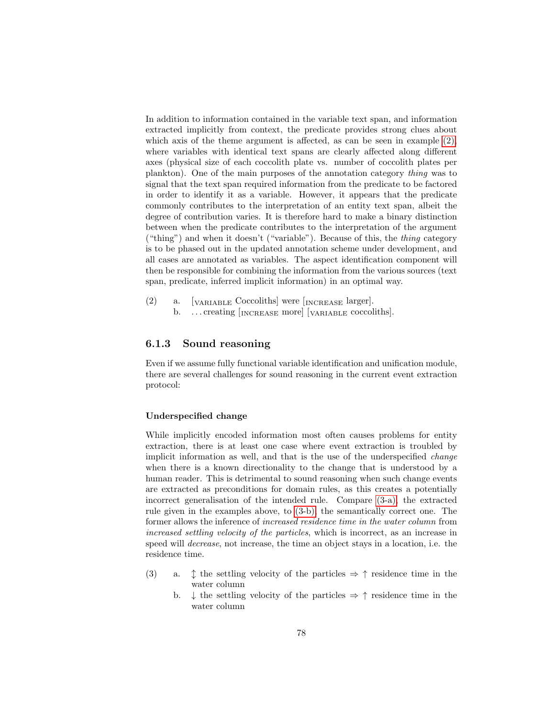In addition to information contained in the variable text span, and information extracted implicitly from context, the predicate provides strong clues about which axis of the theme argument is affected, as can be seen in example  $(2)$ , where variables with identical text spans are clearly affected along different axes (physical size of each coccolith plate vs. number of coccolith plates per plankton). One of the main purposes of the annotation category thing was to signal that the text span required information from the predicate to be factored in order to identify it as a variable. However, it appears that the predicate commonly contributes to the interpretation of an entity text span, albeit the degree of contribution varies. It is therefore hard to make a binary distinction between when the predicate contributes to the interpretation of the argument ("thing") and when it doesn't ("variable"). Because of this, the thing category is to be phased out in the updated annotation scheme under development, and all cases are annotated as variables. The aspect identification component will then be responsible for combining the information from the various sources (text span, predicate, inferred implicit information) in an optimal way.

(2) a.  $\lceil_{\text{VARIABLE}}$  Coccoliths were  $\lceil_{\text{INCREASE}}$  larger. b. ... creating [INCREASE more] [VARIABLE coccoliths].

### 6.1.3 Sound reasoning

Even if we assume fully functional variable identification and unification module, there are several challenges for sound reasoning in the current event extraction protocol:

### Underspecified change

While implicitly encoded information most often causes problems for entity extraction, there is at least one case where event extraction is troubled by implicit information as well, and that is the use of the underspecified change when there is a known directionality to the change that is understood by a human reader. This is detrimental to sound reasoning when such change events are extracted as preconditions for domain rules, as this creates a potentially incorrect generalisation of the intended rule. Compare [\(3-a\),](#page-80-0) the extracted rule given in the examples above, to [\(3-b\),](#page-80-1) the semantically correct one. The former allows the inference of increased residence time in the water column from increased settling velocity of the particles, which is incorrect, as an increase in speed will decrease, not increase, the time an object stays in a location, i.e. the residence time.

- <span id="page-80-1"></span><span id="page-80-0"></span>(3) a.  $\uparrow$  the settling velocity of the particles  $\Rightarrow \uparrow$  residence time in the water column
	- b.  $\downarrow$  the settling velocity of the particles  $\Rightarrow \uparrow$  residence time in the water column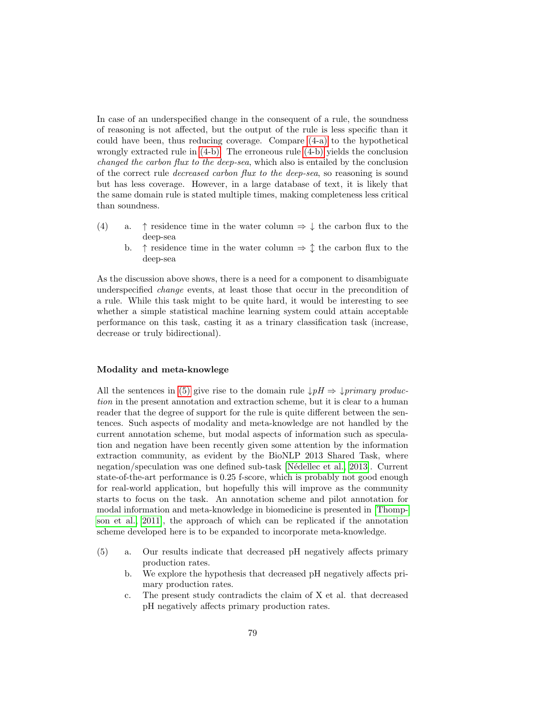In case of an underspecified change in the consequent of a rule, the soundness of reasoning is not affected, but the output of the rule is less specific than it could have been, thus reducing coverage. Compare [\(4-a\)](#page-81-0) to the hypothetical wrongly extracted rule in [\(4-b\).](#page-81-1) The erroneous rule [\(4-b\)](#page-81-1) yields the conclusion changed the carbon flux to the deep-sea, which also is entailed by the conclusion of the correct rule decreased carbon flux to the deep-sea, so reasoning is sound but has less coverage. However, in a large database of text, it is likely that the same domain rule is stated multiple times, making completeness less critical than soundness.

- <span id="page-81-1"></span><span id="page-81-0"></span>(4) a.  $\uparrow$  residence time in the water column  $\Rightarrow \downarrow$  the carbon flux to the deep-sea
	- b.  $\uparrow$  residence time in the water column  $\Rightarrow \updownarrow$  the carbon flux to the deep-sea

As the discussion above shows, there is a need for a component to disambiguate underspecified change events, at least those that occur in the precondition of a rule. While this task might to be quite hard, it would be interesting to see whether a simple statistical machine learning system could attain acceptable performance on this task, casting it as a trinary classification task (increase, decrease or truly bidirectional).

#### Modality and meta-knowlege

All the sentences in [\(5\)](#page-37-0) give rise to the domain rule  $\downarrow pH \Rightarrow \downarrow primary\ product$ tion in the present annotation and extraction scheme, but it is clear to a human reader that the degree of support for the rule is quite different between the sentences. Such aspects of modality and meta-knowledge are not handled by the current annotation scheme, but modal aspects of information such as speculation and negation have been recently given some attention by the information extraction community, as evident by the BioNLP 2013 Shared Task, where negation/speculation was one defined sub-task [Nédellec et al., 2013]. Current state-of-the-art performance is 0.25 f-score, which is probably not good enough for real-world application, but hopefully this will improve as the community starts to focus on the task. An annotation scheme and pilot annotation for modal information and meta-knowledge in biomedicine is presented in [\[Thomp](#page-95-0)[son et al., 2011\]](#page-95-0), the approach of which can be replicated if the annotation scheme developed here is to be expanded to incorporate meta-knowledge.

- (5) a. Our results indicate that decreased pH negatively affects primary production rates.
	- b. We explore the hypothesis that decreased pH negatively affects primary production rates.
	- c. The present study contradicts the claim of X et al. that decreased pH negatively affects primary production rates.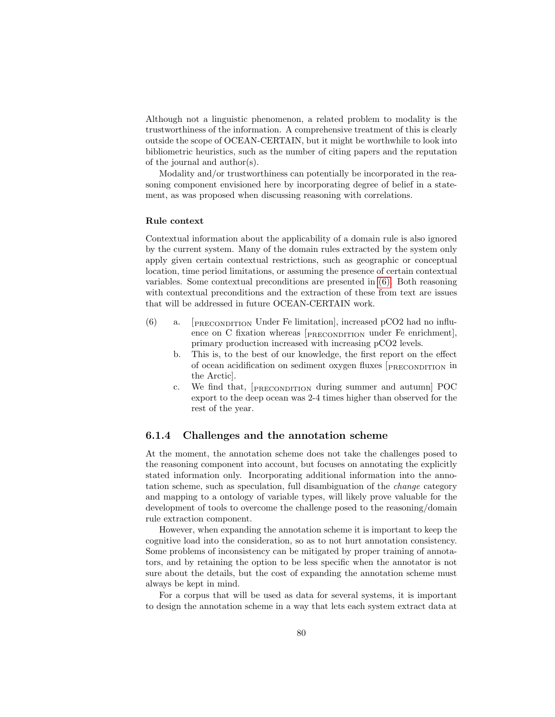Although not a linguistic phenomenon, a related problem to modality is the trustworthiness of the information. A comprehensive treatment of this is clearly outside the scope of OCEAN-CERTAIN, but it might be worthwhile to look into bibliometric heuristics, such as the number of citing papers and the reputation of the journal and author(s).

Modality and/or trustworthiness can potentially be incorporated in the reasoning component envisioned here by incorporating degree of belief in a statement, as was proposed when discussing reasoning with correlations.

#### Rule context

Contextual information about the applicability of a domain rule is also ignored by the current system. Many of the domain rules extracted by the system only apply given certain contextual restrictions, such as geographic or conceptual location, time period limitations, or assuming the presence of certain contextual variables. Some contextual preconditions are presented in [\(6\).](#page-37-1) Both reasoning with contextual preconditions and the extraction of these from text are issues that will be addressed in future OCEAN-CERTAIN work.

- (6) a. [PRECONDITION Under Fe limitation], increased pCO2 had no influence on C fixation whereas [PRECONDITION under Fe enrichment], primary production increased with increasing pCO2 levels.
	- b. This is, to the best of our knowledge, the first report on the effect of ocean acidification on sediment oxygen fluxes [PRECONDITION in the Arctic].
	- c. We find that, [PRECONDITION during summer and autumn] POC export to the deep ocean was 2-4 times higher than observed for the rest of the year.

### 6.1.4 Challenges and the annotation scheme

At the moment, the annotation scheme does not take the challenges posed to the reasoning component into account, but focuses on annotating the explicitly stated information only. Incorporating additional information into the annotation scheme, such as speculation, full disambiguation of the change category and mapping to a ontology of variable types, will likely prove valuable for the development of tools to overcome the challenge posed to the reasoning/domain rule extraction component.

However, when expanding the annotation scheme it is important to keep the cognitive load into the consideration, so as to not hurt annotation consistency. Some problems of inconsistency can be mitigated by proper training of annotators, and by retaining the option to be less specific when the annotator is not sure about the details, but the cost of expanding the annotation scheme must always be kept in mind.

For a corpus that will be used as data for several systems, it is important to design the annotation scheme in a way that lets each system extract data at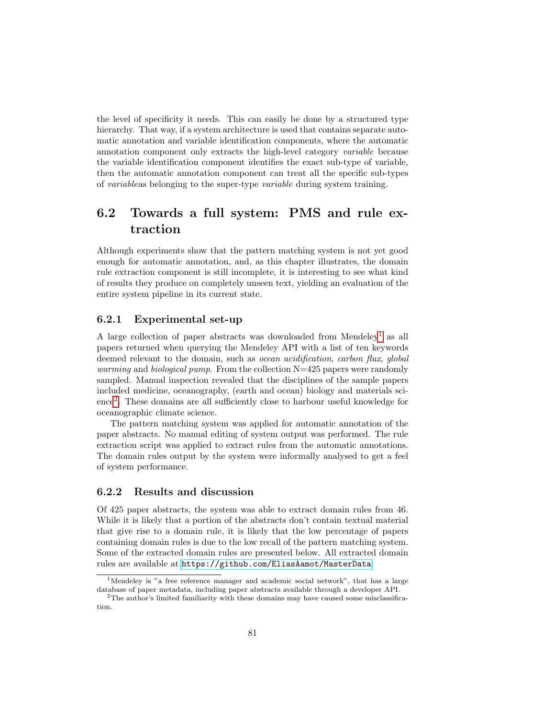the level of specificity it needs. This can easily be done by a structured type hierarchy. That way, if a system architecture is used that contains separate automatic annotation and variable identification components, where the automatic annotation component only extracts the high-level category variable because the variable identification component identifies the exact sub-type of variable, then the automatic annotation component can treat all the specific sub-types of variableas belonging to the super-type variable during system training.

### 6.2 Towards a full system: PMS and rule extraction

Although experiments show that the pattern matching system is not yet good enough for automatic annotation, and, as this chapter illustrates, the domain rule extraction component is still incomplete, it is interesting to see what kind of results they produce on completely unseen text, yielding an evaluation of the entire system pipeline in its current state.

### 6.2.1 Experimental set-up

A large collection of paper abstracts was downloaded from Mendeley<sup>[1](#page-83-0)</sup> as all papers returned when querying the Mendeley API with a list of ten keywords deemed relevant to the domain, such as *ocean acidification*, *carbon flux, global warming* and *biological pump*. From the collection  $N=425$  papers were randomly sampled. Manual inspection revealed that the disciplines of the sample papers included medicine, oceanography, (earth and ocean) biology and materials science[2](#page-83-1) . These domains are all sufficiently close to harbour useful knowledge for oceanographic climate science.

The pattern matching system was applied for automatic annotation of the paper abstracts. No manual editing of system output was performed. The rule extraction script was applied to extract rules from the automatic annotations. The domain rules output by the system were informally analysed to get a feel of system performance.

### 6.2.2 Results and discussion

Of 425 paper abstracts, the system was able to extract domain rules from 46. While it is likely that a portion of the abstracts don't contain textual material that give rise to a domain rule, it is likely that the low percentage of papers containing domain rules is due to the low recall of the pattern matching system. Some of the extracted domain rules are presented below. All extracted domain rules are available at <https://github.com/EliasAamot/MasterData>.

<span id="page-83-0"></span><sup>&</sup>lt;sup>1</sup>Mendeley is "a free reference manager and academic social network", that has a large database of paper metadata, including paper abstracts available through a developer API.

<span id="page-83-1"></span><sup>&</sup>lt;sup>2</sup>The author's limited familiarity with these domains may have caused some misclassification.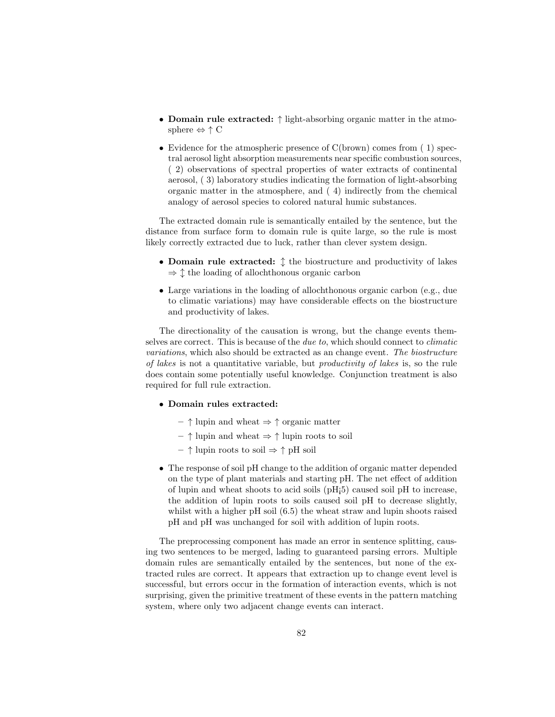- Domain rule extracted: ↑ light-absorbing organic matter in the atmosphere  $\Leftrightarrow \uparrow C$
- Evidence for the atmospheric presence of C(brown) comes from (1) spectral aerosol light absorption measurements near specific combustion sources, ( 2) observations of spectral properties of water extracts of continental aerosol, ( 3) laboratory studies indicating the formation of light-absorbing organic matter in the atmosphere, and ( 4) indirectly from the chemical analogy of aerosol species to colored natural humic substances.

The extracted domain rule is semantically entailed by the sentence, but the distance from surface form to domain rule is quite large, so the rule is most likely correctly extracted due to luck, rather than clever system design.

- Domain rule extracted:  $\updownarrow$  the biostructure and productivity of lakes  $\Rightarrow \updownarrow$  the loading of allochthonous organic carbon
- Large variations in the loading of allochthonous organic carbon (e.g., due to climatic variations) may have considerable effects on the biostructure and productivity of lakes.

The directionality of the causation is wrong, but the change events themselves are correct. This is because of the due to, which should connect to climatic variations, which also should be extracted as an change event. The biostructure of lakes is not a quantitative variable, but productivity of lakes is, so the rule does contain some potentially useful knowledge. Conjunction treatment is also required for full rule extraction.

- Domain rules extracted:
	- $\uparrow$  lupin and wheat  $\Rightarrow \uparrow$  organic matter
	- $\uparrow$  lupin and wheat  $\Rightarrow \uparrow$  lupin roots to soil
	- $\uparrow$  lupin roots to soil  $\Rightarrow \uparrow$  pH soil
- The response of soil pH change to the addition of organic matter depended on the type of plant materials and starting pH. The net effect of addition of lupin and wheat shoots to acid soils (pH¡5) caused soil pH to increase, the addition of lupin roots to soils caused soil pH to decrease slightly, whilst with a higher pH soil  $(6.5)$  the wheat straw and lupin shoots raised pH and pH was unchanged for soil with addition of lupin roots.

The preprocessing component has made an error in sentence splitting, causing two sentences to be merged, lading to guaranteed parsing errors. Multiple domain rules are semantically entailed by the sentences, but none of the extracted rules are correct. It appears that extraction up to change event level is successful, but errors occur in the formation of interaction events, which is not surprising, given the primitive treatment of these events in the pattern matching system, where only two adjacent change events can interact.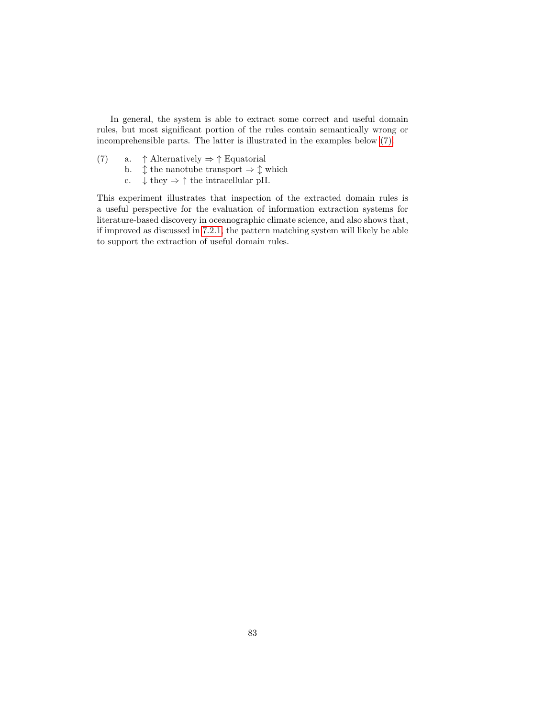In general, the system is able to extract some correct and useful domain rules, but most significant portion of the rules contain semantically wrong or incomprehensible parts. The latter is illustrated in the examples below [\(7\).](#page-38-0)

- (7) a.  $\uparrow$  Alternatively  $\Rightarrow \uparrow$  Equatorial
	- b.  $\updownarrow$  the nanotube transport  $\Rightarrow \updownarrow$  which
	- c.  $\downarrow$  they  $\Rightarrow \uparrow$  the intracellular pH.

This experiment illustrates that inspection of the extracted domain rules is a useful perspective for the evaluation of information extraction systems for literature-based discovery in oceanographic climate science, and also shows that, if improved as discussed in [7.2.1,](#page-88-0) the pattern matching system will likely be able to support the extraction of useful domain rules.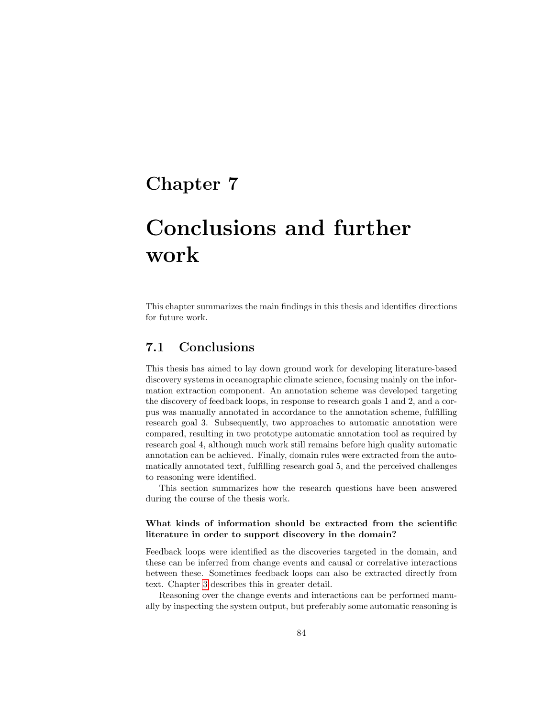### Chapter 7

# Conclusions and further work

This chapter summarizes the main findings in this thesis and identifies directions for future work.

### 7.1 Conclusions

This thesis has aimed to lay down ground work for developing literature-based discovery systems in oceanographic climate science, focusing mainly on the information extraction component. An annotation scheme was developed targeting the discovery of feedback loops, in response to research goals 1 and 2, and a corpus was manually annotated in accordance to the annotation scheme, fulfilling research goal 3. Subsequently, two approaches to automatic annotation were compared, resulting in two prototype automatic annotation tool as required by research goal 4, although much work still remains before high quality automatic annotation can be achieved. Finally, domain rules were extracted from the automatically annotated text, fulfilling research goal 5, and the perceived challenges to reasoning were identified.

This section summarizes how the research questions have been answered during the course of the thesis work.

### What kinds of information should be extracted from the scientific literature in order to support discovery in the domain?

Feedback loops were identified as the discoveries targeted in the domain, and these can be inferred from change events and causal or correlative interactions between these. Sometimes feedback loops can also be extracted directly from text. Chapter [3](#page-32-0) describes this in greater detail.

Reasoning over the change events and interactions can be performed manually by inspecting the system output, but preferably some automatic reasoning is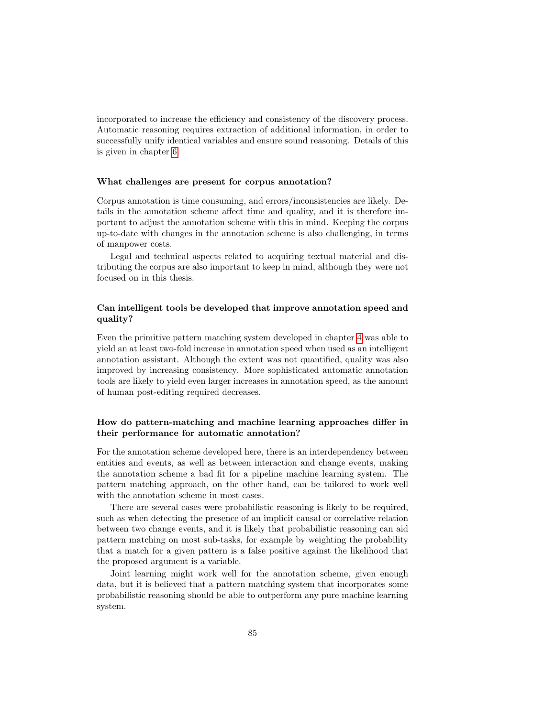incorporated to increase the efficiency and consistency of the discovery process. Automatic reasoning requires extraction of additional information, in order to successfully unify identical variables and ensure sound reasoning. Details of this is given in chapter [6.](#page-77-0)

### What challenges are present for corpus annotation?

Corpus annotation is time consuming, and errors/inconsistencies are likely. Details in the annotation scheme affect time and quality, and it is therefore important to adjust the annotation scheme with this in mind. Keeping the corpus up-to-date with changes in the annotation scheme is also challenging, in terms of manpower costs.

Legal and technical aspects related to acquiring textual material and distributing the corpus are also important to keep in mind, although they were not focused on in this thesis.

### Can intelligent tools be developed that improve annotation speed and quality?

Even the primitive pattern matching system developed in chapter [4](#page-43-0) was able to yield an at least two-fold increase in annotation speed when used as an intelligent annotation assistant. Although the extent was not quantified, quality was also improved by increasing consistency. More sophisticated automatic annotation tools are likely to yield even larger increases in annotation speed, as the amount of human post-editing required decreases.

### How do pattern-matching and machine learning approaches differ in their performance for automatic annotation?

For the annotation scheme developed here, there is an interdependency between entities and events, as well as between interaction and change events, making the annotation scheme a bad fit for a pipeline machine learning system. The pattern matching approach, on the other hand, can be tailored to work well with the annotation scheme in most cases.

There are several cases were probabilistic reasoning is likely to be required, such as when detecting the presence of an implicit causal or correlative relation between two change events, and it is likely that probabilistic reasoning can aid pattern matching on most sub-tasks, for example by weighting the probability that a match for a given pattern is a false positive against the likelihood that the proposed argument is a variable.

Joint learning might work well for the annotation scheme, given enough data, but it is believed that a pattern matching system that incorporates some probabilistic reasoning should be able to outperform any pure machine learning system.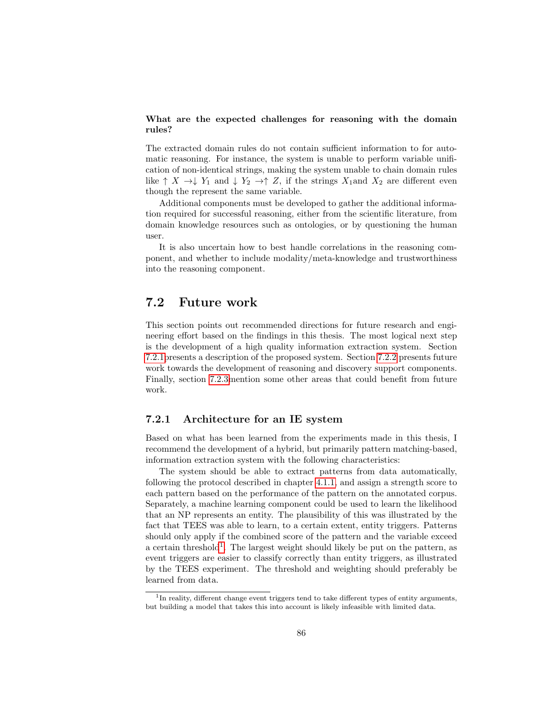### What are the expected challenges for reasoning with the domain rules?

The extracted domain rules do not contain sufficient information to for automatic reasoning. For instance, the system is unable to perform variable unification of non-identical strings, making the system unable to chain domain rules like  $\uparrow X \to \downarrow Y_1$  and  $\downarrow Y_2 \to \uparrow Z$ , if the strings  $X_1$  and  $X_2$  are different even though the represent the same variable.

Additional components must be developed to gather the additional information required for successful reasoning, either from the scientific literature, from domain knowledge resources such as ontologies, or by questioning the human user.

It is also uncertain how to best handle correlations in the reasoning component, and whether to include modality/meta-knowledge and trustworthiness into the reasoning component.

### 7.2 Future work

This section points out recommended directions for future research and engineering effort based on the findings in this thesis. The most logical next step is the development of a high quality information extraction system. Section [7.2.1p](#page-88-0)resents a description of the proposed system. Section [7.2.2](#page-90-0) presents future work towards the development of reasoning and discovery support components. Finally, section [7.2.3m](#page-90-1)ention some other areas that could benefit from future work.

### <span id="page-88-0"></span>7.2.1 Architecture for an IE system

Based on what has been learned from the experiments made in this thesis, I recommend the development of a hybrid, but primarily pattern matching-based, information extraction system with the following characteristics:

The system should be able to extract patterns from data automatically, following the protocol described in chapter [4.1.1,](#page-46-0) and assign a strength score to each pattern based on the performance of the pattern on the annotated corpus. Separately, a machine learning component could be used to learn the likelihood that an NP represents an entity. The plausibility of this was illustrated by the fact that TEES was able to learn, to a certain extent, entity triggers. Patterns should only apply if the combined score of the pattern and the variable exceed a certain threshold<sup>[1](#page-88-1)</sup>. The largest weight should likely be put on the pattern, as event triggers are easier to classify correctly than entity triggers, as illustrated by the TEES experiment. The threshold and weighting should preferably be learned from data.

<span id="page-88-1"></span><sup>&</sup>lt;sup>1</sup>In reality, different change event triggers tend to take different types of entity arguments, but building a model that takes this into account is likely infeasible with limited data.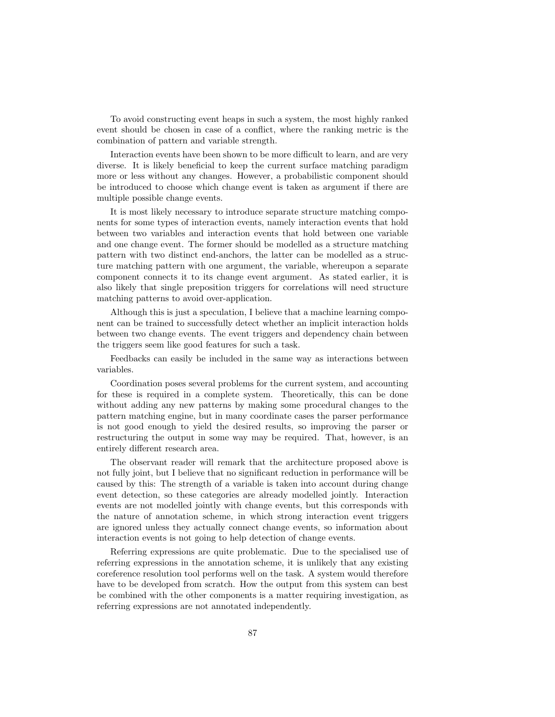To avoid constructing event heaps in such a system, the most highly ranked event should be chosen in case of a conflict, where the ranking metric is the combination of pattern and variable strength.

Interaction events have been shown to be more difficult to learn, and are very diverse. It is likely beneficial to keep the current surface matching paradigm more or less without any changes. However, a probabilistic component should be introduced to choose which change event is taken as argument if there are multiple possible change events.

It is most likely necessary to introduce separate structure matching components for some types of interaction events, namely interaction events that hold between two variables and interaction events that hold between one variable and one change event. The former should be modelled as a structure matching pattern with two distinct end-anchors, the latter can be modelled as a structure matching pattern with one argument, the variable, whereupon a separate component connects it to its change event argument. As stated earlier, it is also likely that single preposition triggers for correlations will need structure matching patterns to avoid over-application.

Although this is just a speculation, I believe that a machine learning component can be trained to successfully detect whether an implicit interaction holds between two change events. The event triggers and dependency chain between the triggers seem like good features for such a task.

Feedbacks can easily be included in the same way as interactions between variables.

Coordination poses several problems for the current system, and accounting for these is required in a complete system. Theoretically, this can be done without adding any new patterns by making some procedural changes to the pattern matching engine, but in many coordinate cases the parser performance is not good enough to yield the desired results, so improving the parser or restructuring the output in some way may be required. That, however, is an entirely different research area.

The observant reader will remark that the architecture proposed above is not fully joint, but I believe that no significant reduction in performance will be caused by this: The strength of a variable is taken into account during change event detection, so these categories are already modelled jointly. Interaction events are not modelled jointly with change events, but this corresponds with the nature of annotation scheme, in which strong interaction event triggers are ignored unless they actually connect change events, so information about interaction events is not going to help detection of change events.

Referring expressions are quite problematic. Due to the specialised use of referring expressions in the annotation scheme, it is unlikely that any existing coreference resolution tool performs well on the task. A system would therefore have to be developed from scratch. How the output from this system can best be combined with the other components is a matter requiring investigation, as referring expressions are not annotated independently.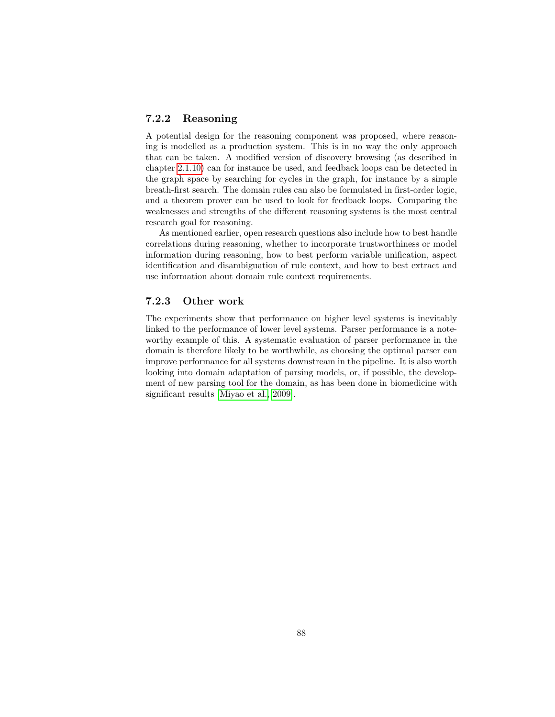### <span id="page-90-0"></span>7.2.2 Reasoning

A potential design for the reasoning component was proposed, where reasoning is modelled as a production system. This is in no way the only approach that can be taken. A modified version of discovery browsing (as described in chapter [2.1.10\)](#page-21-0) can for instance be used, and feedback loops can be detected in the graph space by searching for cycles in the graph, for instance by a simple breath-first search. The domain rules can also be formulated in first-order logic, and a theorem prover can be used to look for feedback loops. Comparing the weaknesses and strengths of the different reasoning systems is the most central research goal for reasoning.

As mentioned earlier, open research questions also include how to best handle correlations during reasoning, whether to incorporate trustworthiness or model information during reasoning, how to best perform variable unification, aspect identification and disambiguation of rule context, and how to best extract and use information about domain rule context requirements.

### <span id="page-90-1"></span>7.2.3 Other work

The experiments show that performance on higher level systems is inevitably linked to the performance of lower level systems. Parser performance is a noteworthy example of this. A systematic evaluation of parser performance in the domain is therefore likely to be worthwhile, as choosing the optimal parser can improve performance for all systems downstream in the pipeline. It is also worth looking into domain adaptation of parsing models, or, if possible, the development of new parsing tool for the domain, as has been done in biomedicine with significant results [\[Miyao et al., 2009\]](#page-94-1).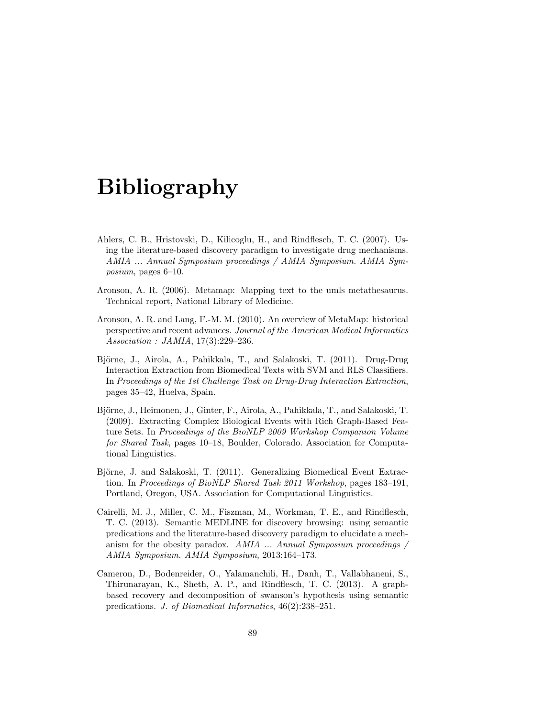# Bibliography

- Ahlers, C. B., Hristovski, D., Kilicoglu, H., and Rindflesch, T. C. (2007). Using the literature-based discovery paradigm to investigate drug mechanisms. AMIA ... Annual Symposium proceedings / AMIA Symposium. AMIA Symposium, pages 6–10.
- Aronson, A. R. (2006). Metamap: Mapping text to the umls metathesaurus. Technical report, National Library of Medicine.
- Aronson, A. R. and Lang, F.-M. M. (2010). An overview of MetaMap: historical perspective and recent advances. Journal of the American Medical Informatics Association : JAMIA, 17(3):229–236.
- Björne, J., Airola, A., Pahikkala, T., and Salakoski, T. (2011). Drug-Drug Interaction Extraction from Biomedical Texts with SVM and RLS Classifiers. In Proceedings of the 1st Challenge Task on Drug-Drug Interaction Extraction, pages 35–42, Huelva, Spain.
- Björne, J., Heimonen, J., Ginter, F., Airola, A., Pahikkala, T., and Salakoski, T. (2009). Extracting Complex Biological Events with Rich Graph-Based Feature Sets. In Proceedings of the BioNLP 2009 Workshop Companion Volume for Shared Task, pages 10–18, Boulder, Colorado. Association for Computational Linguistics.
- Björne, J. and Salakoski, T. (2011). Generalizing Biomedical Event Extraction. In Proceedings of BioNLP Shared Task 2011 Workshop, pages 183–191, Portland, Oregon, USA. Association for Computational Linguistics.
- Cairelli, M. J., Miller, C. M., Fiszman, M., Workman, T. E., and Rindflesch, T. C. (2013). Semantic MEDLINE for discovery browsing: using semantic predications and the literature-based discovery paradigm to elucidate a mechanism for the obesity paradox. AMIA  $\ldots$  Annual Symposium proceedings  $\ell$ AMIA Symposium. AMIA Symposium, 2013:164–173.
- Cameron, D., Bodenreider, O., Yalamanchili, H., Danh, T., Vallabhaneni, S., Thirunarayan, K., Sheth, A. P., and Rindflesch, T. C. (2013). A graphbased recovery and decomposition of swanson's hypothesis using semantic predications. J. of Biomedical Informatics, 46(2):238–251.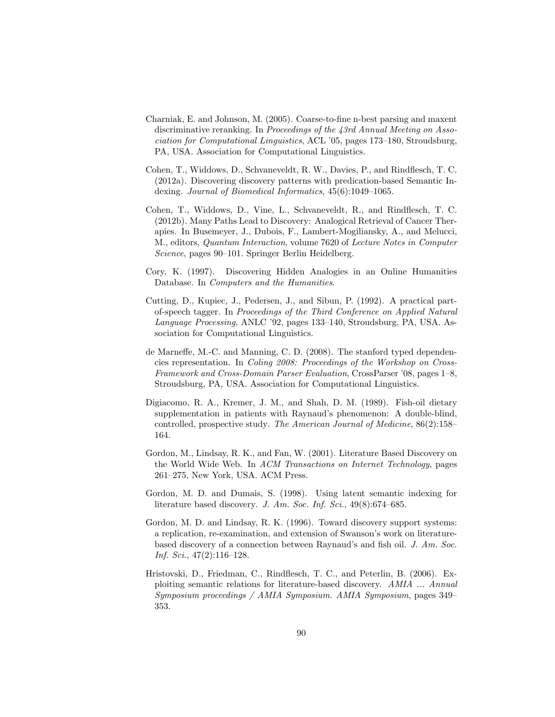- Charniak, E. and Johnson, M. (2005). Coarse-to-fine n-best parsing and maxent discriminative reranking. In Proceedings of the 43rd Annual Meeting on Association for Computational Linguistics, ACL '05, pages 173–180, Stroudsburg, PA, USA. Association for Computational Linguistics.
- Cohen, T., Widdows, D., Schvaneveldt, R. W., Davies, P., and Rindflesch, T. C. (2012a). Discovering discovery patterns with predication-based Semantic Indexing. Journal of Biomedical Informatics, 45(6):1049–1065.
- Cohen, T., Widdows, D., Vine, L., Schvaneveldt, R., and Rindflesch, T. C. (2012b). Many Paths Lead to Discovery: Analogical Retrieval of Cancer Therapies. In Busemeyer, J., Dubois, F., Lambert-Mogiliansky, A., and Melucci, M., editors, Quantum Interaction, volume 7620 of Lecture Notes in Computer Science, pages 90–101. Springer Berlin Heidelberg.
- Cory, K. (1997). Discovering Hidden Analogies in an Online Humanities Database. In Computers and the Humanities.
- Cutting, D., Kupiec, J., Pedersen, J., and Sibun, P. (1992). A practical partof-speech tagger. In Proceedings of the Third Conference on Applied Natural Language Processing, ANLC '92, pages 133–140, Stroudsburg, PA, USA. Association for Computational Linguistics.
- de Marneffe, M.-C. and Manning, C. D. (2008). The stanford typed dependencies representation. In Coling 2008: Proceedings of the Workshop on Cross-Framework and Cross-Domain Parser Evaluation, CrossParser '08, pages 1–8, Stroudsburg, PA, USA. Association for Computational Linguistics.
- Digiacomo, R. A., Kremer, J. M., and Shah, D. M. (1989). Fish-oil dietary supplementation in patients with Raynaud's phenomenon: A double-blind, controlled, prospective study. The American Journal of Medicine, 86(2):158– 164.
- Gordon, M., Lindsay, R. K., and Fan, W. (2001). Literature Based Discovery on the World Wide Web. In ACM Transactions on Internet Technology, pages 261–275, New York, USA. ACM Press.
- Gordon, M. D. and Dumais, S. (1998). Using latent semantic indexing for literature based discovery. J. Am. Soc. Inf. Sci., 49(8):674–685.
- Gordon, M. D. and Lindsay, R. K. (1996). Toward discovery support systems: a replication, re-examination, and extension of Swanson's work on literaturebased discovery of a connection between Raynaud's and fish oil. J. Am. Soc. Inf. Sci., 47(2):116-128.
- Hristovski, D., Friedman, C., Rindflesch, T. C., and Peterlin, B. (2006). Exploiting semantic relations for literature-based discovery. AMIA ... Annual Symposium proceedings / AMIA Symposium. AMIA Symposium, pages 349– 353.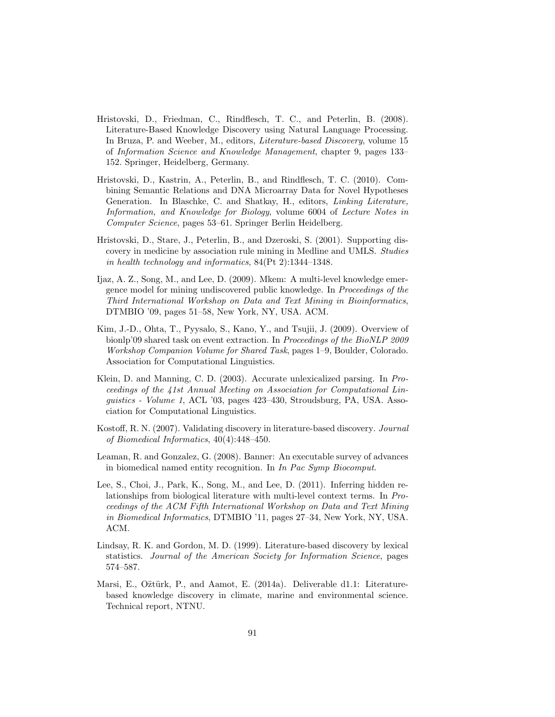- Hristovski, D., Friedman, C., Rindflesch, T. C., and Peterlin, B. (2008). Literature-Based Knowledge Discovery using Natural Language Processing. In Bruza, P. and Weeber, M., editors, Literature-based Discovery, volume 15 of Information Science and Knowledge Management, chapter 9, pages 133– 152. Springer, Heidelberg, Germany.
- Hristovski, D., Kastrin, A., Peterlin, B., and Rindflesch, T. C. (2010). Combining Semantic Relations and DNA Microarray Data for Novel Hypotheses Generation. In Blaschke, C. and Shatkay, H., editors, Linking Literature, Information, and Knowledge for Biology, volume 6004 of Lecture Notes in Computer Science, pages 53–61. Springer Berlin Heidelberg.
- Hristovski, D., Stare, J., Peterlin, B., and Dzeroski, S. (2001). Supporting discovery in medicine by association rule mining in Medline and UMLS. Studies in health technology and informatics, 84(Pt 2):1344–1348.
- Ijaz, A. Z., Song, M., and Lee, D. (2009). Mkem: A multi-level knowledge emergence model for mining undiscovered public knowledge. In Proceedings of the Third International Workshop on Data and Text Mining in Bioinformatics, DTMBIO '09, pages 51–58, New York, NY, USA. ACM.
- Kim, J.-D., Ohta, T., Pyysalo, S., Kano, Y., and Tsujii, J. (2009). Overview of bionlp'09 shared task on event extraction. In Proceedings of the BioNLP 2009 Workshop Companion Volume for Shared Task, pages 1–9, Boulder, Colorado. Association for Computational Linguistics.
- Klein, D. and Manning, C. D. (2003). Accurate unlexicalized parsing. In Proceedings of the 41st Annual Meeting on Association for Computational Linguistics - Volume 1, ACL '03, pages 423–430, Stroudsburg, PA, USA. Association for Computational Linguistics.
- Kostoff, R. N. (2007). Validating discovery in literature-based discovery. Journal of Biomedical Informatics, 40(4):448–450.
- Leaman, R. and Gonzalez, G. (2008). Banner: An executable survey of advances in biomedical named entity recognition. In In Pac Symp Biocomput.
- Lee, S., Choi, J., Park, K., Song, M., and Lee, D. (2011). Inferring hidden relationships from biological literature with multi-level context terms. In Proceedings of the ACM Fifth International Workshop on Data and Text Mining in Biomedical Informatics, DTMBIO '11, pages 27–34, New York, NY, USA. ACM.
- Lindsay, R. K. and Gordon, M. D. (1999). Literature-based discovery by lexical statistics. Journal of the American Society for Information Science, pages 574–587.
- Marsi, E., O ztürk, P., and Aamot, E. (2014a). Deliverable d1.1: Literaturebased knowledge discovery in climate, marine and environmental science. Technical report, NTNU.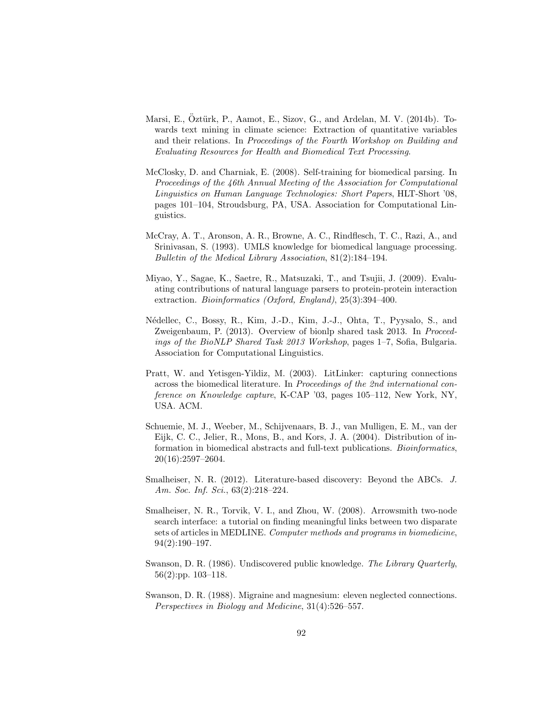- Marsi, E., Öztürk, P., Aamot, E., Sizov, G., and Ardelan, M. V. (2014b). Towards text mining in climate science: Extraction of quantitative variables and their relations. In Proceedings of the Fourth Workshop on Building and Evaluating Resources for Health and Biomedical Text Processing.
- McClosky, D. and Charniak, E. (2008). Self-training for biomedical parsing. In Proceedings of the 46th Annual Meeting of the Association for Computational Linguistics on Human Language Technologies: Short Papers, HLT-Short '08, pages 101–104, Stroudsburg, PA, USA. Association for Computational Linguistics.
- McCray, A. T., Aronson, A. R., Browne, A. C., Rindflesch, T. C., Razi, A., and Srinivasan, S. (1993). UMLS knowledge for biomedical language processing. Bulletin of the Medical Library Association, 81(2):184–194.
- <span id="page-94-1"></span>Miyao, Y., Sagae, K., Saetre, R., Matsuzaki, T., and Tsujii, J. (2009). Evaluating contributions of natural language parsers to protein-protein interaction extraction. Bioinformatics (Oxford, England), 25(3):394–400.
- <span id="page-94-0"></span>N´edellec, C., Bossy, R., Kim, J.-D., Kim, J.-J., Ohta, T., Pyysalo, S., and Zweigenbaum, P. (2013). Overview of bionlp shared task 2013. In Proceedings of the BioNLP Shared Task 2013 Workshop, pages 1–7, Sofia, Bulgaria. Association for Computational Linguistics.
- Pratt, W. and Yetisgen-Yildiz, M. (2003). LitLinker: capturing connections across the biomedical literature. In Proceedings of the 2nd international conference on Knowledge capture, K-CAP '03, pages 105–112, New York, NY, USA. ACM.
- Schuemie, M. J., Weeber, M., Schijvenaars, B. J., van Mulligen, E. M., van der Eijk, C. C., Jelier, R., Mons, B., and Kors, J. A. (2004). Distribution of information in biomedical abstracts and full-text publications. Bioinformatics, 20(16):2597–2604.
- Smalheiser, N. R. (2012). Literature-based discovery: Beyond the ABCs. J. Am. Soc. Inf. Sci., 63(2):218–224.
- Smalheiser, N. R., Torvik, V. I., and Zhou, W. (2008). Arrowsmith two-node search interface: a tutorial on finding meaningful links between two disparate sets of articles in MEDLINE. Computer methods and programs in biomedicine, 94(2):190–197.
- Swanson, D. R. (1986). Undiscovered public knowledge. The Library Quarterly, 56(2):pp. 103–118.
- Swanson, D. R. (1988). Migraine and magnesium: eleven neglected connections. Perspectives in Biology and Medicine, 31(4):526–557.